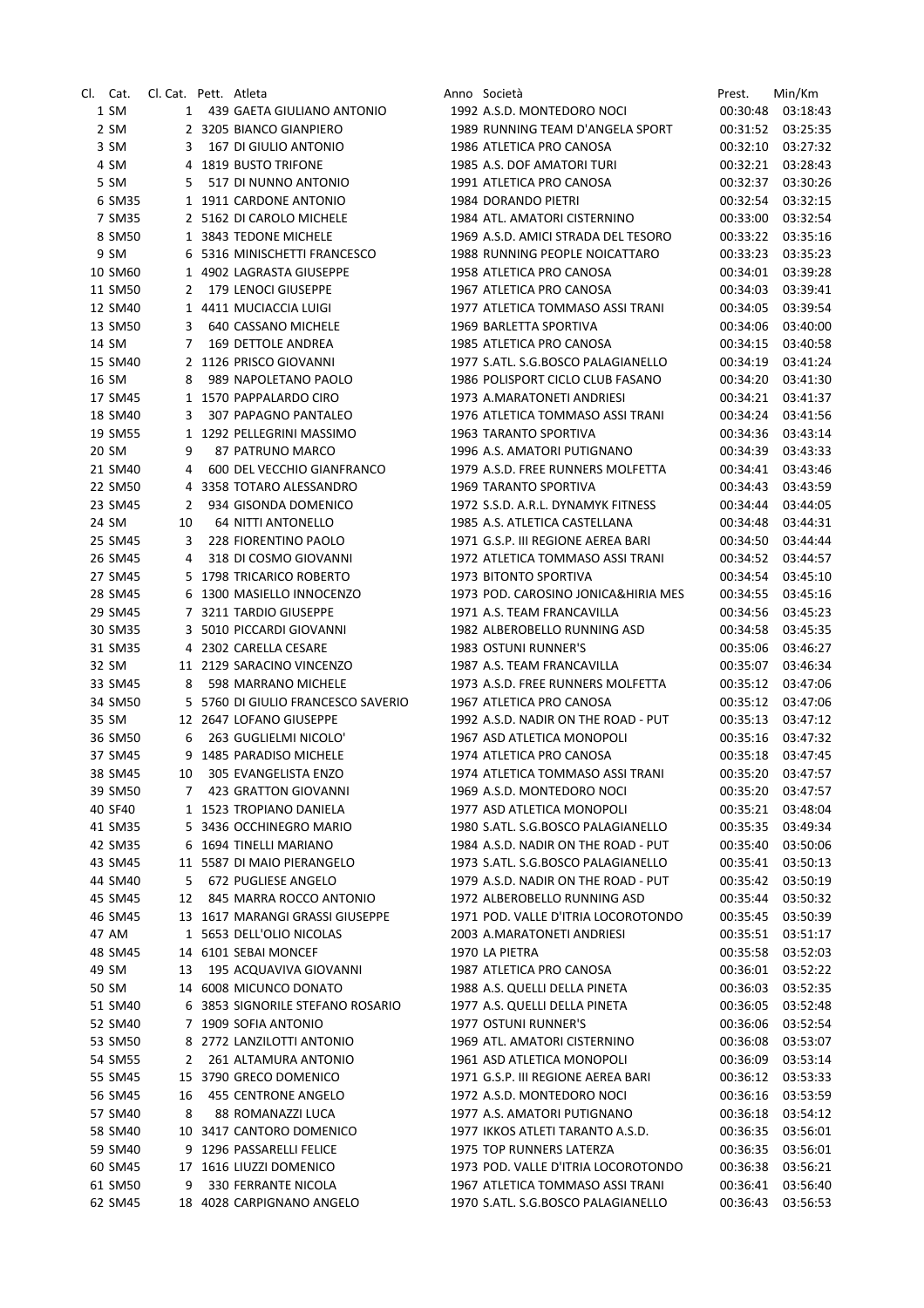| Cl. Cat. | Cl. Cat. Pett. Atleta |   |                                    | Anno Società                        | Prest.   | Min/Km   |
|----------|-----------------------|---|------------------------------------|-------------------------------------|----------|----------|
| 1 SM     |                       | 1 | 439 GAETA GIULIANO ANTONIO         | 1992 A.S.D. MONTEDORO NOCI          | 00:30:48 | 03:18:43 |
| 2 SM     |                       |   | 2 3205 BIANCO GIANPIERO            | 1989 RUNNING TEAM D'ANGELA SPORT    | 00:31:52 | 03:25:35 |
| 3 SM     | 3                     |   | 167 DI GIULIO ANTONIO              | 1986 ATLETICA PRO CANOSA            | 00:32:10 | 03:27:32 |
| 4 SM     |                       |   | 4 1819 BUSTO TRIFONE               | 1985 A.S. DOF AMATORI TURI          | 00:32:21 | 03:28:43 |
| 5 SM     | 5                     |   | 517 DI NUNNO ANTONIO               | 1991 ATLETICA PRO CANOSA            | 00:32:37 | 03:30:26 |
| 6 SM35   |                       |   | 1 1911 CARDONE ANTONIO             | 1984 DORANDO PIETRI                 | 00:32:54 | 03:32:15 |
| 7 SM35   |                       |   | 2 5162 DI CAROLO MICHELE           | 1984 ATL. AMATORI CISTERNINO        | 00:33:00 | 03:32:54 |
| 8 SM50   |                       |   | 1 3843 TEDONE MICHELE              | 1969 A.S.D. AMICI STRADA DEL TESORO | 00:33:22 | 03:35:16 |
| 9 SM     |                       |   | 6 5316 MINISCHETTI FRANCESCO       | 1988 RUNNING PEOPLE NOICATTARO      | 00:33:23 | 03:35:23 |
| 10 SM60  |                       |   | 1 4902 LAGRASTA GIUSEPPE           | 1958 ATLETICA PRO CANOSA            | 00:34:01 | 03:39:28 |
| 11 SM50  | 2                     |   | 179 LENOCI GIUSEPPE                | 1967 ATLETICA PRO CANOSA            | 00:34:03 | 03:39:41 |
| 12 SM40  |                       |   | 1 4411 MUCIACCIA LUIGI             | 1977 ATLETICA TOMMASO ASSI TRANI    | 00:34:05 | 03:39:54 |
| 13 SM50  | 3                     |   | 640 CASSANO MICHELE                | 1969 BARLETTA SPORTIVA              | 00:34:06 | 03:40:00 |
| 14 SM    | 7                     |   | 169 DETTOLE ANDREA                 | 1985 ATLETICA PRO CANOSA            | 00:34:15 | 03:40:58 |
| 15 SM40  |                       |   | 2 1126 PRISCO GIOVANNI             | 1977 S.ATL. S.G.BOSCO PALAGIANELLO  | 00:34:19 | 03:41:24 |
| 16 SM    | 8                     |   | 989 NAPOLETANO PAOLO               | 1986 POLISPORT CICLO CLUB FASANO    | 00:34:20 | 03:41:30 |
| 17 SM45  |                       |   | 1 1570 PAPPALARDO CIRO             | 1973 A.MARATONETI ANDRIESI          | 00:34:21 | 03:41:37 |
| 18 SM40  | 3                     |   | 307 PAPAGNO PANTALEO               | 1976 ATLETICA TOMMASO ASSI TRANI    | 00:34:24 | 03:41:56 |
| 19 SM55  |                       |   | 1 1292 PELLEGRINI MASSIMO          | 1963 TARANTO SPORTIVA               | 00:34:36 | 03:43:14 |
| 20 SM    | 9                     |   | 87 PATRUNO MARCO                   | 1996 A.S. AMATORI PUTIGNANO         | 00:34:39 | 03:43:33 |
| 21 SM40  | 4                     |   | 600 DEL VECCHIO GIANFRANCO         | 1979 A.S.D. FREE RUNNERS MOLFETTA   | 00:34:41 | 03:43:46 |
| 22 SM50  |                       |   | 4 3358 TOTARO ALESSANDRO           | <b>1969 TARANTO SPORTIVA</b>        | 00:34:43 | 03:43:59 |
| 23 SM45  | 2                     |   | 934 GISONDA DOMENICO               | 1972 S.S.D. A.R.L. DYNAMYK FITNESS  | 00:34:44 | 03:44:05 |
| 24 SM    | 10                    |   | <b>64 NITTI ANTONELLO</b>          | 1985 A.S. ATLETICA CASTELLANA       | 00:34:48 | 03:44:31 |
| 25 SM45  | 3                     |   | 228 FIORENTINO PAOLO               | 1971 G.S.P. III REGIONE AEREA BARI  | 00:34:50 | 03:44:44 |
| 26 SM45  | 4                     |   | 318 DI COSMO GIOVANNI              | 1972 ATLETICA TOMMASO ASSI TRANI    | 00:34:52 | 03:44:57 |
| 27 SM45  |                       |   | 5 1798 TRICARICO ROBERTO           | 1973 BITONTO SPORTIVA               | 00:34:54 | 03:45:10 |
| 28 SM45  |                       |   | 6 1300 MASIELLO INNOCENZO          | 1973 POD. CAROSINO JONICA&HIRIA MES | 00:34:55 | 03:45:16 |
|          |                       |   | 7 3211 TARDIO GIUSEPPE             | 1971 A.S. TEAM FRANCAVILLA          |          |          |
| 29 SM45  |                       |   |                                    |                                     | 00:34:56 | 03:45:23 |
| 30 SM35  |                       |   | 3 5010 PICCARDI GIOVANNI           | 1982 ALBEROBELLO RUNNING ASD        | 00:34:58 | 03:45:35 |
| 31 SM35  |                       |   | 4 2302 CARELLA CESARE              | 1983 OSTUNI RUNNER'S                | 00:35:06 | 03:46:27 |
| 32 SM    |                       |   | 11 2129 SARACINO VINCENZO          | 1987 A.S. TEAM FRANCAVILLA          | 00:35:07 | 03:46:34 |
| 33 SM45  | 8                     |   | 598 MARRANO MICHELE                | 1973 A.S.D. FREE RUNNERS MOLFETTA   | 00:35:12 | 03:47:06 |
| 34 SM50  |                       |   | 5 5760 DI GIULIO FRANCESCO SAVERIO | 1967 ATLETICA PRO CANOSA            | 00:35:12 | 03:47:06 |
| 35 SM    |                       |   | 12 2647 LOFANO GIUSEPPE            | 1992 A.S.D. NADIR ON THE ROAD - PUT | 00:35:13 | 03:47:12 |
| 36 SM50  | 6                     |   | 263 GUGLIELMI NICOLO'              | 1967 ASD ATLETICA MONOPOLI          | 00:35:16 | 03:47:32 |
| 37 SM45  |                       |   | 9 1485 PARADISO MICHELE            | 1974 ATLETICA PRO CANOSA            | 00:35:18 | 03:47:45 |
| 38 SM45  | 10                    |   | 305 EVANGELISTA ENZO               | 1974 ATLETICA TOMMASO ASSI TRANI    | 00:35:20 | 03:47:57 |
| 39 SM50  | 7                     |   | 423 GRATTON GIOVANNI               | 1969 A.S.D. MONTEDORO NOCI          | 00:35:20 | 03:47:57 |
| 40 SF40  |                       |   | 1 1523 TROPIANO DANIELA            | 1977 ASD ATLETICA MONOPOLI          | 00:35:21 | 03:48:04 |
| 41 SM35  |                       |   | 5 3436 OCCHINEGRO MARIO            | 1980 S.ATL. S.G.BOSCO PALAGIANELLO  | 00:35:35 | 03:49:34 |
| 42 SM35  |                       |   | 6 1694 TINELLI MARIANO             | 1984 A.S.D. NADIR ON THE ROAD - PUT | 00:35:40 | 03:50:06 |
| 43 SM45  |                       |   | 11 5587 DI MAIO PIERANGELO         | 1973 S.ATL. S.G.BOSCO PALAGIANELLO  | 00:35:41 | 03:50:13 |
| 44 SM40  | 5                     |   | 672 PUGLIESE ANGELO                | 1979 A.S.D. NADIR ON THE ROAD - PUT | 00:35:42 | 03:50:19 |
| 45 SM45  | 12                    |   | 845 MARRA ROCCO ANTONIO            | 1972 ALBEROBELLO RUNNING ASD        | 00:35:44 | 03:50:32 |
| 46 SM45  |                       |   | 13 1617 MARANGI GRASSI GIUSEPPE    | 1971 POD. VALLE D'ITRIA LOCOROTONDO | 00:35:45 | 03:50:39 |
| 47 AM    |                       |   | 1 5653 DELL'OLIO NICOLAS           | 2003 A.MARATONETI ANDRIESI          | 00:35:51 | 03:51:17 |
| 48 SM45  |                       |   | 14 6101 SEBAI MONCEF               | 1970 LA PIETRA                      | 00:35:58 | 03:52:03 |
| 49 SM    | 13                    |   | 195 ACQUAVIVA GIOVANNI             | 1987 ATLETICA PRO CANOSA            | 00:36:01 | 03:52:22 |
| 50 SM    |                       |   | 14 6008 MICUNCO DONATO             | 1988 A.S. QUELLI DELLA PINETA       | 00:36:03 | 03:52:35 |
| 51 SM40  |                       |   | 6 3853 SIGNORILE STEFANO ROSARIO   | 1977 A.S. QUELLI DELLA PINETA       | 00:36:05 | 03:52:48 |
| 52 SM40  |                       |   | 7 1909 SOFIA ANTONIO               | 1977 OSTUNI RUNNER'S                | 00:36:06 | 03:52:54 |
| 53 SM50  |                       |   | 8 2772 LANZILOTTI ANTONIO          | 1969 ATL. AMATORI CISTERNINO        | 00:36:08 | 03:53:07 |
| 54 SM55  | 2                     |   | 261 ALTAMURA ANTONIO               | 1961 ASD ATLETICA MONOPOLI          | 00:36:09 | 03:53:14 |
| 55 SM45  |                       |   | 15 3790 GRECO DOMENICO             | 1971 G.S.P. III REGIONE AEREA BARI  | 00:36:12 | 03:53:33 |
| 56 SM45  | 16                    |   | 455 CENTRONE ANGELO                | 1972 A.S.D. MONTEDORO NOCI          | 00:36:16 | 03:53:59 |
| 57 SM40  | 8                     |   | 88 ROMANAZZI LUCA                  | 1977 A.S. AMATORI PUTIGNANO         | 00:36:18 | 03:54:12 |
| 58 SM40  |                       |   | 10 3417 CANTORO DOMENICO           | 1977 IKKOS ATLETI TARANTO A.S.D.    | 00:36:35 | 03:56:01 |
| 59 SM40  |                       |   | 9 1296 PASSARELLI FELICE           | 1975 TOP RUNNERS LATERZA            | 00:36:35 | 03:56:01 |
| 60 SM45  |                       |   | 17 1616 LIUZZI DOMENICO            | 1973 POD. VALLE D'ITRIA LOCOROTONDO | 00:36:38 | 03:56:21 |
| 61 SM50  | 9                     |   | 330 FERRANTE NICOLA                | 1967 ATLETICA TOMMASO ASSI TRANI    | 00:36:41 | 03:56:40 |
| 62 SM45  |                       |   | 18 4028 CARPIGNANO ANGELO          | 1970 S.ATL. S.G.BOSCO PALAGIANELLO  | 00:36:43 | 03:56:53 |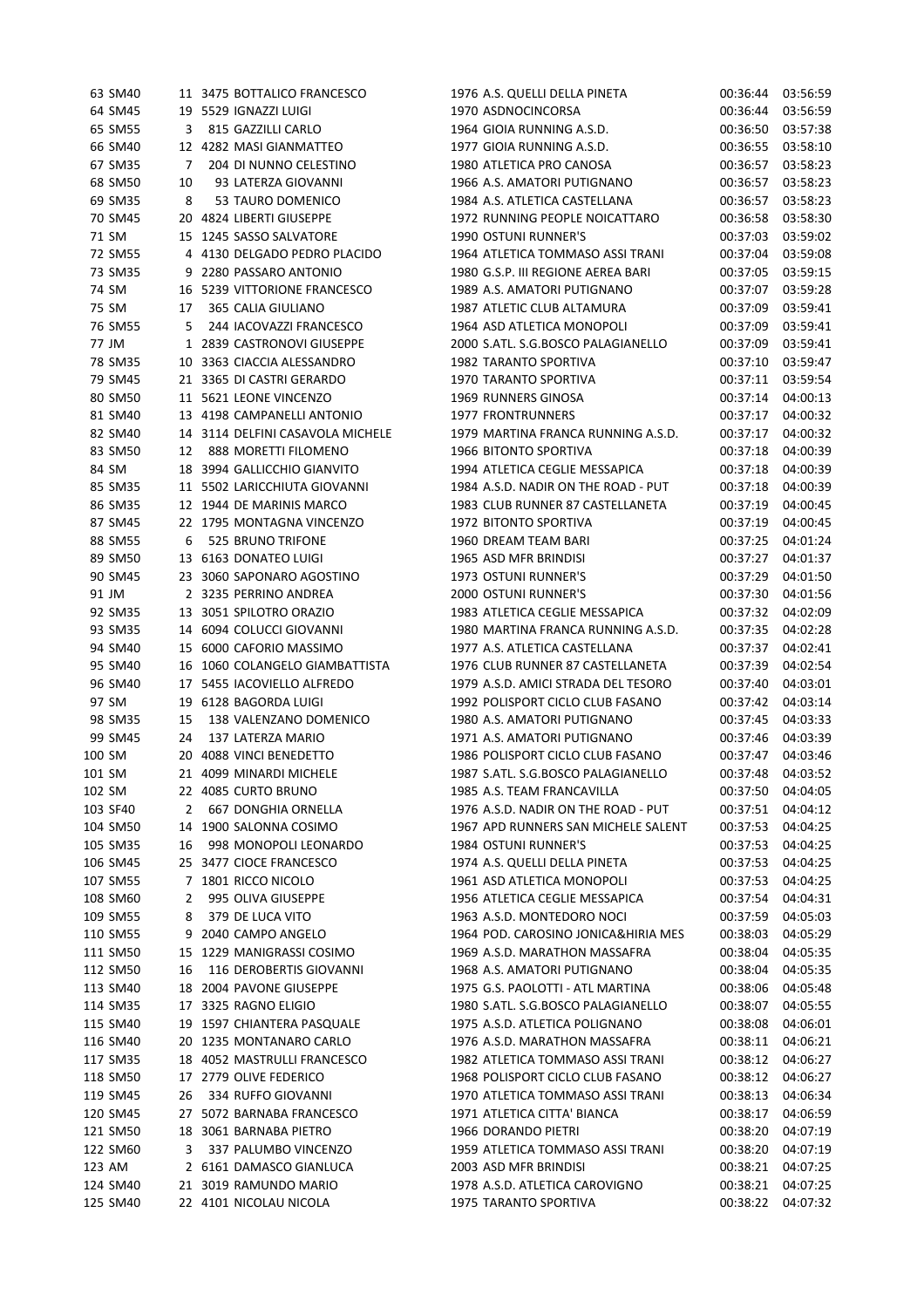| 63 SM40              |    | 11 3475 BOTTALICO FRANCESCO      | 1976 A.S. QUELLI DELLA PINETA       |                      | 00:36:44 03:56:59 |
|----------------------|----|----------------------------------|-------------------------------------|----------------------|-------------------|
| 64 SM45              |    | 19 5529 IGNAZZI LUIGI            | 1970 ASDNOCINCORSA                  | 00:36:44             | 03:56:59          |
| 65 SM55              | 3  | 815 GAZZILLI CARLO               | 1964 GIOIA RUNNING A.S.D.           | 00:36:50             | 03:57:38          |
| 66 SM40              |    | 12 4282 MASI GIANMATTEO          | 1977 GIOIA RUNNING A.S.D.           | 00:36:55             | 03:58:10          |
| 67 SM35              | 7  | 204 DI NUNNO CELESTINO           | 1980 ATLETICA PRO CANOSA            | 00:36:57             | 03:58:23          |
| 68 SM50              | 10 | 93 LATERZA GIOVANNI              | 1966 A.S. AMATORI PUTIGNANO         | 00:36:57             | 03:58:23          |
| 69 SM35              | 8  | 53 TAURO DOMENICO                | 1984 A.S. ATLETICA CASTELLANA       | 00:36:57             | 03:58:23          |
| 70 SM45              |    | 20 4824 LIBERTI GIUSEPPE         | 1972 RUNNING PEOPLE NOICATTARO      | 00:36:58             | 03:58:30          |
| 71 SM                |    | 15 1245 SASSO SALVATORE          | 1990 OSTUNI RUNNER'S                | 00:37:03             | 03:59:02          |
| 72 SM55              |    | 4 4130 DELGADO PEDRO PLACIDO     | 1964 ATLETICA TOMMASO ASSI TRANI    | 00:37:04             | 03:59:08          |
| 73 SM35              |    | 9 2280 PASSARO ANTONIO           | 1980 G.S.P. III REGIONE AEREA BARI  | 00:37:05             | 03:59:15          |
| 74 SM                |    | 16 5239 VITTORIONE FRANCESCO     | 1989 A.S. AMATORI PUTIGNANO         | 00:37:07             | 03:59:28          |
| 75 SM                | 17 | 365 CALIA GIULIANO               | 1987 ATLETIC CLUB ALTAMURA          | 00:37:09             | 03:59:41          |
| 76 SM55              | 5  | 244 IACOVAZZI FRANCESCO          | 1964 ASD ATLETICA MONOPOLI          | 00:37:09             | 03:59:41          |
| 77 JM                |    | 1 2839 CASTRONOVI GIUSEPPE       | 2000 S.ATL. S.G.BOSCO PALAGIANELLO  | 00:37:09             | 03:59:41          |
| 78 SM35              |    | 10 3363 CIACCIA ALESSANDRO       | 1982 TARANTO SPORTIVA               | 00:37:10             | 03:59:47          |
| 79 SM45              |    | 21 3365 DI CASTRI GERARDO        | 1970 TARANTO SPORTIVA               | 00:37:11             | 03:59:54          |
| 80 SM50              |    | 11 5621 LEONE VINCENZO           | 1969 RUNNERS GINOSA                 | 00:37:14             | 04:00:13          |
| 81 SM40              |    | 13 4198 CAMPANELLI ANTONIO       | <b>1977 FRONTRUNNERS</b>            | 00:37:17             | 04:00:32          |
| 82 SM40              |    | 14 3114 DELFINI CASAVOLA MICHELE | 1979 MARTINA FRANCA RUNNING A.S.D.  | 00:37:17             | 04:00:32          |
| 83 SM50              | 12 | 888 MORETTI FILOMENO             | 1966 BITONTO SPORTIVA               | 00:37:18             | 04:00:39          |
| 84 SM                |    | 18 3994 GALLICCHIO GIANVITO      | 1994 ATLETICA CEGLIE MESSAPICA      | 00:37:18             | 04:00:39          |
| 85 SM35              |    | 11 5502 LARICCHIUTA GIOVANNI     | 1984 A.S.D. NADIR ON THE ROAD - PUT | 00:37:18             | 04:00:39          |
| 86 SM35              |    | 12 1944 DE MARINIS MARCO         | 1983 CLUB RUNNER 87 CASTELLANETA    | 00:37:19             | 04:00:45          |
| 87 SM45              |    | 22 1795 MONTAGNA VINCENZO        | 1972 BITONTO SPORTIVA               | 00:37:19             | 04:00:45          |
| 88 SM55              | 6  | 525 BRUNO TRIFONE                | 1960 DREAM TEAM BARI                | 00:37:25             | 04:01:24          |
| 89 SM50              |    | 13 6163 DONATEO LUIGI            | 1965 ASD MFR BRINDISI               | 00:37:27             | 04:01:37          |
| 90 SM45              |    | 23 3060 SAPONARO AGOSTINO        | 1973 OSTUNI RUNNER'S                | 00:37:29             | 04:01:50          |
| 91 JM                |    | 2 3235 PERRINO ANDREA            | <b>2000 OSTUNI RUNNER'S</b>         | 00:37:30             | 04:01:56          |
| 92 SM35              |    | 13 3051 SPILOTRO ORAZIO          | 1983 ATLETICA CEGLIE MESSAPICA      | 00:37:32             | 04:02:09          |
| 93 SM35              |    | 14 6094 COLUCCI GIOVANNI         | 1980 MARTINA FRANCA RUNNING A.S.D.  | 00:37:35             | 04:02:28          |
| 94 SM40              |    | 15 6000 CAFORIO MASSIMO          | 1977 A.S. ATLETICA CASTELLANA       | 00:37:37             | 04:02:41          |
| 95 SM40              |    | 16 1060 COLANGELO GIAMBATTISTA   | 1976 CLUB RUNNER 87 CASTELLANETA    | 00:37:39             | 04:02:54          |
| 96 SM40              |    | 17 5455 IACOVIELLO ALFREDO       | 1979 A.S.D. AMICI STRADA DEL TESORO | 00:37:40             | 04:03:01          |
| 97 SM                |    | 19 6128 BAGORDA LUIGI            | 1992 POLISPORT CICLO CLUB FASANO    | 00:37:42             | 04:03:14          |
| 98 SM35              | 15 | 138 VALENZANO DOMENICO           | 1980 A.S. AMATORI PUTIGNANO         | 00:37:45             | 04:03:33          |
| 99 SM45              | 24 | 137 LATERZA MARIO                | 1971 A.S. AMATORI PUTIGNANO         | 00:37:46             | 04:03:39          |
| 100 SM               |    | 20 4088 VINCI BENEDETTO          | 1986 POLISPORT CICLO CLUB FASANO    | 00:37:47             | 04:03:46          |
| 101 SM               |    | 21 4099 MINARDI MICHELE          | 1987 S.ATL. S.G.BOSCO PALAGIANELLO  | 00:37:48             | 04:03:52          |
| 102 SM               |    | 22 4085 CURTO BRUNO              | 1985 A.S. TEAM FRANCAVILLA          | 00:37:50             | 04:04:05          |
| 103 SF40             | 2  | 667 DONGHIA ORNELLA              | 1976 A.S.D. NADIR ON THE ROAD - PUT | 00:37:51             | 04:04:12          |
|                      |    | 14 1900 SALONNA COSIMO           | 1967 APD RUNNERS SAN MICHELE SALENT |                      | 04:04:25          |
| 104 SM50<br>105 SM35 |    | 998 MONOPOLI LEONARDO            | 1984 OSTUNI RUNNER'S                | 00:37:53<br>00:37:53 | 04:04:25          |
|                      | 16 | 25 3477 CIOCE FRANCESCO          |                                     |                      |                   |
| 106 SM45             |    |                                  | 1974 A.S. QUELLI DELLA PINETA       | 00:37:53             | 04:04:25          |
| 107 SM55             |    | 7 1801 RICCO NICOLO              | 1961 ASD ATLETICA MONOPOLI          | 00:37:53             | 04:04:25          |
| 108 SM60             | 2  | 995 OLIVA GIUSEPPE               | 1956 ATLETICA CEGLIE MESSAPICA      | 00:37:54             | 04:04:31          |
| 109 SM55             | 8  | 379 DE LUCA VITO                 | 1963 A.S.D. MONTEDORO NOCI          | 00:37:59             | 04:05:03          |
| 110 SM55             |    | 9 2040 CAMPO ANGELO              | 1964 POD. CAROSINO JONICA&HIRIA MES | 00:38:03             | 04:05:29          |
| 111 SM50             |    | 15 1229 MANIGRASSI COSIMO        | 1969 A.S.D. MARATHON MASSAFRA       | 00:38:04             | 04:05:35          |
| 112 SM50             | 16 | 116 DEROBERTIS GIOVANNI          | 1968 A.S. AMATORI PUTIGNANO         | 00:38:04             | 04:05:35          |
| 113 SM40             |    | 18 2004 PAVONE GIUSEPPE          | 1975 G.S. PAOLOTTI - ATL MARTINA    | 00:38:06             | 04:05:48          |
| 114 SM35             |    | 17 3325 RAGNO ELIGIO             | 1980 S.ATL. S.G.BOSCO PALAGIANELLO  | 00:38:07             | 04:05:55          |
| 115 SM40             |    | 19 1597 CHIANTERA PASQUALE       | 1975 A.S.D. ATLETICA POLIGNANO      | 00:38:08             | 04:06:01          |
| 116 SM40             |    | 20 1235 MONTANARO CARLO          | 1976 A.S.D. MARATHON MASSAFRA       | 00:38:11             | 04:06:21          |
| 117 SM35             |    | 18 4052 MASTRULLI FRANCESCO      | 1982 ATLETICA TOMMASO ASSI TRANI    | 00:38:12             | 04:06:27          |
| 118 SM50             |    | 17 2779 OLIVE FEDERICO           | 1968 POLISPORT CICLO CLUB FASANO    | 00:38:12             | 04:06:27          |
| 119 SM45             | 26 | 334 RUFFO GIOVANNI               | 1970 ATLETICA TOMMASO ASSI TRANI    | 00:38:13             | 04:06:34          |
| 120 SM45             |    | 27 5072 BARNABA FRANCESCO        | 1971 ATLETICA CITTA' BIANCA         | 00:38:17             | 04:06:59          |
| 121 SM50             |    | 18 3061 BARNABA PIETRO           | 1966 DORANDO PIETRI                 | 00:38:20             | 04:07:19          |
| 122 SM60             | 3  | 337 PALUMBO VINCENZO             | 1959 ATLETICA TOMMASO ASSI TRANI    | 00:38:20             | 04:07:19          |
| 123 AM               |    | 2 6161 DAMASCO GIANLUCA          | 2003 ASD MFR BRINDISI               | 00:38:21             | 04:07:25          |
| 124 SM40             |    | 21 3019 RAMUNDO MARIO            | 1978 A.S.D. ATLETICA CAROVIGNO      | 00:38:21             | 04:07:25          |
| 125 SM40             |    | 22 4101 NICOLAU NICOLA           | 1975 TARANTO SPORTIVA               | 00:38:22             | 04:07:32          |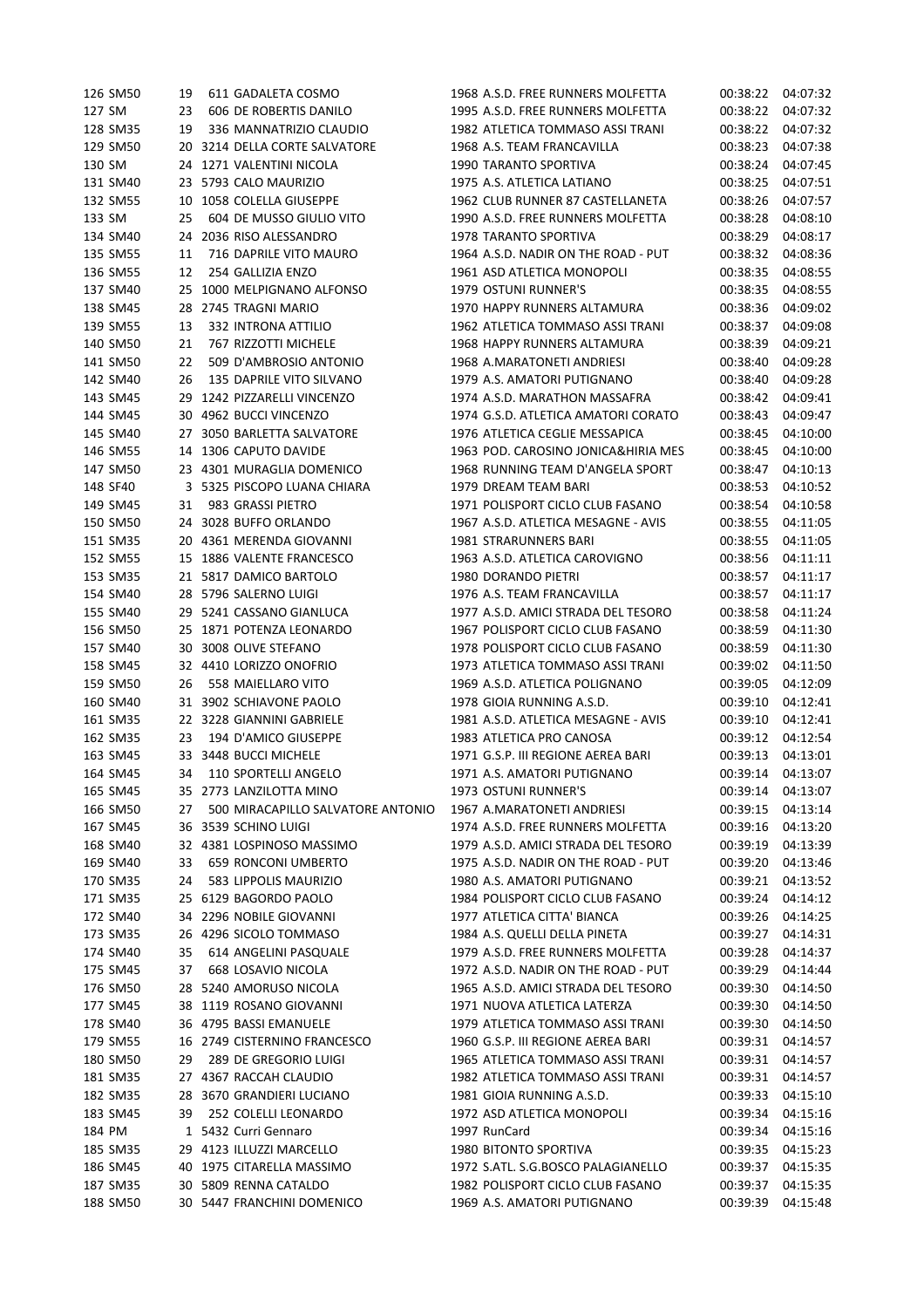| 126 SM50             | 19 | 611 GADALETA COSMO                                  | 1968 A.S.D. FREE RUNNERS MOLFETTA   | 00:38:22 | 04:07:32 |
|----------------------|----|-----------------------------------------------------|-------------------------------------|----------|----------|
| 127 SM               | 23 | 606 DE ROBERTIS DANILO                              | 1995 A.S.D. FREE RUNNERS MOLFETTA   | 00:38:22 | 04:07:32 |
| 128 SM35             | 19 | 336 MANNATRIZIO CLAUDIO                             | 1982 ATLETICA TOMMASO ASSI TRANI    | 00:38:22 | 04:07:32 |
| 129 SM50             |    | 20 3214 DELLA CORTE SALVATORE                       | 1968 A.S. TEAM FRANCAVILLA          | 00:38:23 | 04:07:38 |
| 130 SM               |    | 24 1271 VALENTINI NICOLA                            | 1990 TARANTO SPORTIVA               | 00:38:24 | 04:07:45 |
| 131 SM40             | 23 | 5793 CALO MAURIZIO                                  | 1975 A.S. ATLETICA LATIANO          | 00:38:25 | 04:07:51 |
| 132 SM55             | 10 | 1058 COLELLA GIUSEPPE                               | 1962 CLUB RUNNER 87 CASTELLANETA    | 00:38:26 | 04:07:57 |
| 133 SM               | 25 | 604 DE MUSSO GIULIO VITO                            | 1990 A.S.D. FREE RUNNERS MOLFETTA   | 00:38:28 | 04:08:10 |
| 134 SM40             | 24 | 2036 RISO ALESSANDRO                                | 1978 TARANTO SPORTIVA               | 00:38:29 | 04:08:17 |
| 135 SM55             | 11 | 716 DAPRILE VITO MAURO                              | 1964 A.S.D. NADIR ON THE ROAD - PUT | 00:38:32 | 04:08:36 |
| 136 SM55             | 12 | 254 GALLIZIA ENZO                                   | 1961 ASD ATLETICA MONOPOLI          | 00:38:35 | 04:08:55 |
| 137 SM40             | 25 | 1000 MELPIGNANO ALFONSO                             | 1979 OSTUNI RUNNER'S                | 00:38:35 | 04:08:55 |
| 138 SM45             |    | 28 2745 TRAGNI MARIO                                | 1970 HAPPY RUNNERS ALTAMURA         | 00:38:36 | 04:09:02 |
| 139 SM55             | 13 | 332 INTRONA ATTILIO                                 | 1962 ATLETICA TOMMASO ASSI TRANI    | 00:38:37 | 04:09:08 |
| 140 SM50             | 21 | 767 RIZZOTTI MICHELE                                | 1968 HAPPY RUNNERS ALTAMURA         | 00:38:39 | 04:09:21 |
| 141 SM50             | 22 | 509 D'AMBROSIO ANTONIO                              |                                     |          | 04:09:28 |
|                      |    |                                                     | 1968 A.MARATONETI ANDRIESI          | 00:38:40 |          |
| 142 SM40             | 26 | 135 DAPRILE VITO SILVANO                            | 1979 A.S. AMATORI PUTIGNANO         | 00:38:40 | 04:09:28 |
| 143 SM45             |    | 29 1242 PIZZARELLI VINCENZO                         | 1974 A.S.D. MARATHON MASSAFRA       | 00:38:42 | 04:09:41 |
| 144 SM45             |    | 30 4962 BUCCI VINCENZO                              | 1974 G.S.D. ATLETICA AMATORI CORATO | 00:38:43 | 04:09:47 |
| 145 SM40             |    | 27 3050 BARLETTA SALVATORE                          | 1976 ATLETICA CEGLIE MESSAPICA      | 00:38:45 | 04:10:00 |
| 146 SM55             |    | 14 1306 CAPUTO DAVIDE                               | 1963 POD. CAROSINO JONICA&HIRIA MES | 00:38:45 | 04:10:00 |
| 147 SM50             |    | 23 4301 MURAGLIA DOMENICO                           | 1968 RUNNING TEAM D'ANGELA SPORT    | 00:38:47 | 04:10:13 |
| 148 SF40             |    | 3 5325 PISCOPO LUANA CHIARA                         | 1979 DREAM TEAM BARI                | 00:38:53 | 04:10:52 |
| 149 SM45             | 31 | 983 GRASSI PIETRO                                   | 1971 POLISPORT CICLO CLUB FASANO    | 00:38:54 | 04:10:58 |
| 150 SM50             |    | 24 3028 BUFFO ORLANDO                               | 1967 A.S.D. ATLETICA MESAGNE - AVIS | 00:38:55 | 04:11:05 |
| 151 SM35             |    | 20 4361 MERENDA GIOVANNI                            | 1981 STRARUNNERS BARI               | 00:38:55 | 04:11:05 |
| 152 SM55             |    | 15 1886 VALENTE FRANCESCO                           | 1963 A.S.D. ATLETICA CAROVIGNO      | 00:38:56 | 04:11:11 |
| 153 SM35             |    | 21 5817 DAMICO BARTOLO                              | 1980 DORANDO PIETRI                 | 00:38:57 | 04:11:17 |
| 154 SM40             |    | 28 5796 SALERNO LUIGI                               | 1976 A.S. TEAM FRANCAVILLA          | 00:38:57 | 04:11:17 |
| 155 SM40             |    | 29 5241 CASSANO GIANLUCA                            | 1977 A.S.D. AMICI STRADA DEL TESORO | 00:38:58 | 04:11:24 |
| 156 SM50             |    | 25 1871 POTENZA LEONARDO                            | 1967 POLISPORT CICLO CLUB FASANO    | 00:38:59 | 04:11:30 |
| 157 SM40             | 30 | 3008 OLIVE STEFANO                                  | 1978 POLISPORT CICLO CLUB FASANO    | 00:38:59 | 04:11:30 |
| 158 SM45             |    | 32 4410 LORIZZO ONOFRIO                             | 1973 ATLETICA TOMMASO ASSI TRANI    | 00:39:02 | 04:11:50 |
| 159 SM50             | 26 | 558 MAIELLARO VITO                                  | 1969 A.S.D. ATLETICA POLIGNANO      | 00:39:05 | 04:12:09 |
| 160 SM40             |    | 31 3902 SCHIAVONE PAOLO                             | 1978 GIOIA RUNNING A.S.D.           | 00:39:10 | 04:12:41 |
| 161 SM35             |    | 22 3228 GIANNINI GABRIELE                           | 1981 A.S.D. ATLETICA MESAGNE - AVIS | 00:39:10 | 04:12:41 |
| 162 SM35             | 23 | 194 D'AMICO GIUSEPPE                                | 1983 ATLETICA PRO CANOSA            | 00:39:12 | 04:12:54 |
| 163 SM45             |    | 33 3448 BUCCI MICHELE                               | 1971 G.S.P. III REGIONE AEREA BARI  | 00:39:13 | 04:13:01 |
| 164 SM45             | 34 | 110 SPORTELLI ANGELO                                | 1971 A.S. AMATORI PUTIGNANO         | 00:39:14 | 04:13:07 |
| 165 SM45             |    | 35 2773 LANZILOTTA MINO                             | 1973 OSTUNI RUNNER'S                | 00:39:14 | 04:13:07 |
| 166 SM50             | 27 | 500 MIRACAPILLO SALVATORE ANTONIO                   | 1967 A.MARATONETI ANDRIESI          | 00:39:15 | 04:13:14 |
| 167 SM45             |    | 36 3539 SCHINO LUIGI                                | 1974 A.S.D. FREE RUNNERS MOLFETTA   | 00:39:16 | 04:13:20 |
|                      |    | 32 4381 LOSPINOSO MASSIMO                           | 1979 A.S.D. AMICI STRADA DEL TESORO |          | 04:13:39 |
| 168 SM40<br>169 SM40 |    |                                                     | 1975 A.S.D. NADIR ON THE ROAD - PUT | 00:39:19 | 04:13:46 |
|                      | 33 | <b>659 RONCONI UMBERTO</b><br>583 LIPPOLIS MAURIZIO | 1980 A.S. AMATORI PUTIGNANO         | 00:39:20 |          |
| 170 SM35             | 24 |                                                     |                                     | 00:39:21 | 04:13:52 |
| 171 SM35             | 25 | 6129 BAGORDO PAOLO                                  | 1984 POLISPORT CICLO CLUB FASANO    | 00:39:24 | 04:14:12 |
| 172 SM40             | 34 | 2296 NOBILE GIOVANNI                                | 1977 ATLETICA CITTA' BIANCA         | 00:39:26 | 04:14:25 |
| 173 SM35             |    | 26 4296 SICOLO TOMMASO                              | 1984 A.S. QUELLI DELLA PINETA       | 00:39:27 | 04:14:31 |
| 174 SM40             | 35 | 614 ANGELINI PASQUALE                               | 1979 A.S.D. FREE RUNNERS MOLFETTA   | 00:39:28 | 04:14:37 |
| 175 SM45             | 37 | 668 LOSAVIO NICOLA                                  | 1972 A.S.D. NADIR ON THE ROAD - PUT | 00:39:29 | 04:14:44 |
| 176 SM50             |    | 28 5240 AMORUSO NICOLA                              | 1965 A.S.D. AMICI STRADA DEL TESORO | 00:39:30 | 04:14:50 |
| 177 SM45             |    | 38 1119 ROSANO GIOVANNI                             | 1971 NUOVA ATLETICA LATERZA         | 00:39:30 | 04:14:50 |
| 178 SM40             |    | 36 4795 BASSI EMANUELE                              | 1979 ATLETICA TOMMASO ASSI TRANI    | 00:39:30 | 04:14:50 |
| 179 SM55             |    | 16 2749 CISTERNINO FRANCESCO                        | 1960 G.S.P. III REGIONE AEREA BARI  | 00:39:31 | 04:14:57 |
| 180 SM50             | 29 | 289 DE GREGORIO LUIGI                               | 1965 ATLETICA TOMMASO ASSI TRANI    | 00:39:31 | 04:14:57 |
| 181 SM35             |    | 27 4367 RACCAH CLAUDIO                              | 1982 ATLETICA TOMMASO ASSI TRANI    | 00:39:31 | 04:14:57 |
| 182 SM35             |    | 28 3670 GRANDIERI LUCIANO                           | 1981 GIOIA RUNNING A.S.D.           | 00:39:33 | 04:15:10 |
| 183 SM45             | 39 | 252 COLELLI LEONARDO                                | 1972 ASD ATLETICA MONOPOLI          | 00:39:34 | 04:15:16 |
| 184 PM               |    | 1 5432 Curri Gennaro                                | 1997 RunCard                        | 00:39:34 | 04:15:16 |
| 185 SM35             |    | 29 4123 ILLUZZI MARCELLO                            | 1980 BITONTO SPORTIVA               | 00:39:35 | 04:15:23 |
| 186 SM45             |    | 40 1975 CITARELLA MASSIMO                           | 1972 S.ATL. S.G.BOSCO PALAGIANELLO  | 00:39:37 | 04:15:35 |
| 187 SM35             |    | 30 5809 RENNA CATALDO                               | 1982 POLISPORT CICLO CLUB FASANO    | 00:39:37 | 04:15:35 |
| 188 SM50             |    | 30 5447 FRANCHINI DOMENICO                          | 1969 A.S. AMATORI PUTIGNANO         | 00:39:39 | 04:15:48 |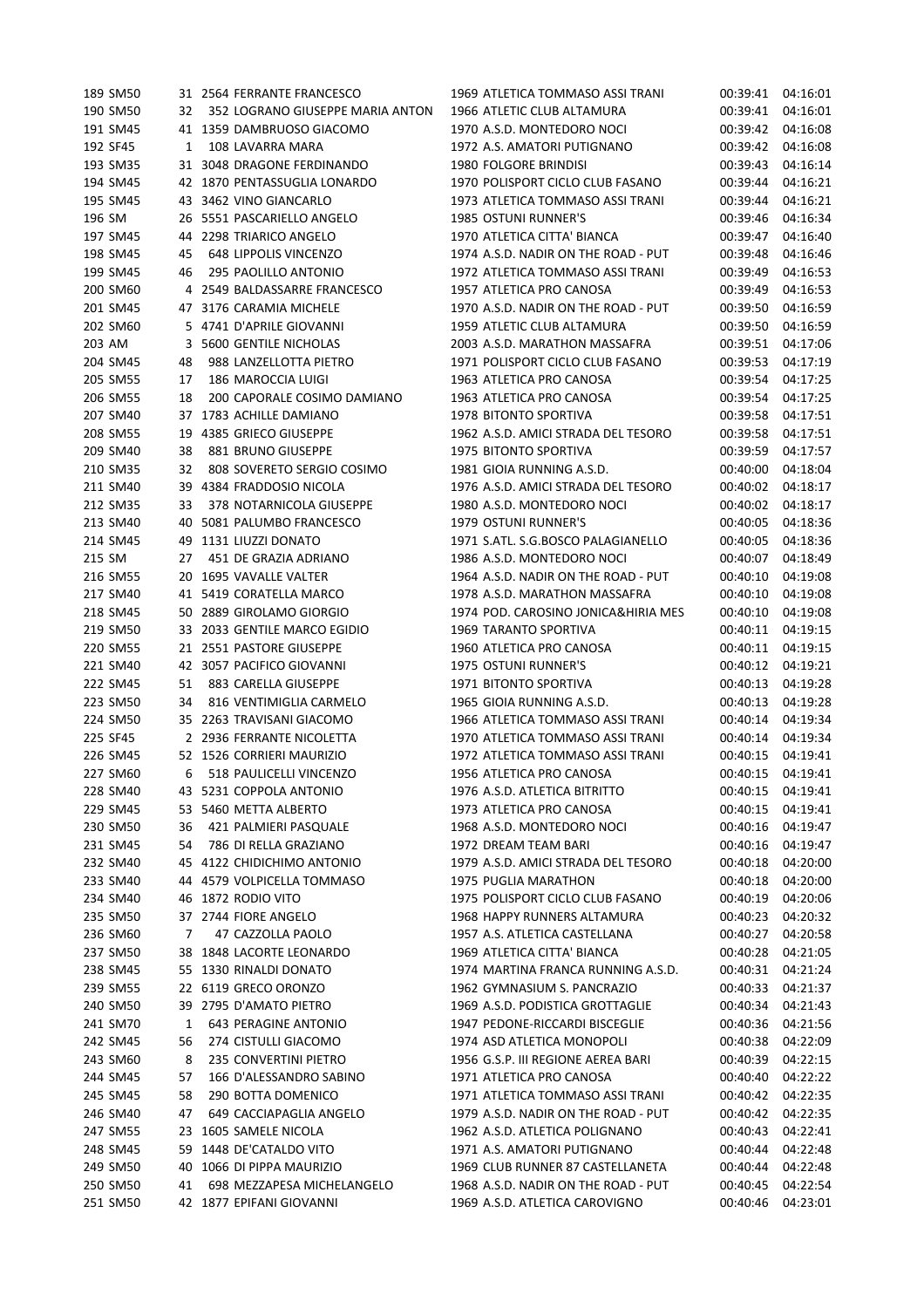| 189 SM50 |    | 31 2564 FERRANTE FRANCESCO       | 1969 ATLETICA TOMMASO ASSI TRANI    | 00:39:41 | 04:16:01 |
|----------|----|----------------------------------|-------------------------------------|----------|----------|
| 190 SM50 | 32 | 352 LOGRANO GIUSEPPE MARIA ANTON | 1966 ATLETIC CLUB ALTAMURA          | 00:39:41 | 04:16:01 |
| 191 SM45 |    | 41 1359 DAMBRUOSO GIACOMO        | 1970 A.S.D. MONTEDORO NOCI          | 00:39:42 | 04:16:08 |
| 192 SF45 | 1  | 108 LAVARRA MARA                 | 1972 A.S. AMATORI PUTIGNANO         | 00:39:42 | 04:16:08 |
| 193 SM35 |    | 31 3048 DRAGONE FERDINANDO       | 1980 FOLGORE BRINDISI               | 00:39:43 | 04:16:14 |
| 194 SM45 |    | 42 1870 PENTASSUGLIA LONARDO     | 1970 POLISPORT CICLO CLUB FASANO    | 00:39:44 | 04:16:21 |
| 195 SM45 | 43 | 3462 VINO GIANCARLO              | 1973 ATLETICA TOMMASO ASSI TRANI    | 00:39:44 | 04:16:21 |
| 196 SM   |    | 26 5551 PASCARIELLO ANGELO       | 1985 OSTUNI RUNNER'S                | 00:39:46 | 04:16:34 |
| 197 SM45 | 44 | 2298 TRIARICO ANGELO             | 1970 ATLETICA CITTA' BIANCA         | 00:39:47 | 04:16:40 |
| 198 SM45 | 45 | <b>648 LIPPOLIS VINCENZO</b>     | 1974 A.S.D. NADIR ON THE ROAD - PUT | 00:39:48 | 04:16:46 |
| 199 SM45 | 46 | 295 PAOLILLO ANTONIO             | 1972 ATLETICA TOMMASO ASSI TRANI    | 00:39:49 | 04:16:53 |
| 200 SM60 |    | 4 2549 BALDASSARRE FRANCESCO     | 1957 ATLETICA PRO CANOSA            | 00:39:49 | 04:16:53 |
| 201 SM45 |    |                                  |                                     |          |          |
|          |    | 47 3176 CARAMIA MICHELE          | 1970 A.S.D. NADIR ON THE ROAD - PUT | 00:39:50 | 04:16:59 |
| 202 SM60 |    | 5 4741 D'APRILE GIOVANNI         | 1959 ATLETIC CLUB ALTAMURA          | 00:39:50 | 04:16:59 |
| 203 AM   | 3  | 5600 GENTILE NICHOLAS            | 2003 A.S.D. MARATHON MASSAFRA       | 00:39:51 | 04:17:06 |
| 204 SM45 | 48 | 988 LANZELLOTTA PIETRO           | 1971 POLISPORT CICLO CLUB FASANO    | 00:39:53 | 04:17:19 |
| 205 SM55 | 17 | 186 MAROCCIA LUIGI               | 1963 ATLETICA PRO CANOSA            | 00:39:54 | 04:17:25 |
| 206 SM55 | 18 | 200 CAPORALE COSIMO DAMIANO      | 1963 ATLETICA PRO CANOSA            | 00:39:54 | 04:17:25 |
| 207 SM40 |    | 37 1783 ACHILLE DAMIANO          | 1978 BITONTO SPORTIVA               | 00:39:58 | 04:17:51 |
| 208 SM55 | 19 | 4385 GRIECO GIUSEPPE             | 1962 A.S.D. AMICI STRADA DEL TESORO | 00:39:58 | 04:17:51 |
| 209 SM40 | 38 | 881 BRUNO GIUSEPPE               | 1975 BITONTO SPORTIVA               | 00:39:59 | 04:17:57 |
| 210 SM35 | 32 | 808 SOVERETO SERGIO COSIMO       | 1981 GIOIA RUNNING A.S.D.           | 00:40:00 | 04:18:04 |
| 211 SM40 |    | 39 4384 FRADDOSIO NICOLA         | 1976 A.S.D. AMICI STRADA DEL TESORO | 00:40:02 | 04:18:17 |
| 212 SM35 | 33 | 378 NOTARNICOLA GIUSEPPE         | 1980 A.S.D. MONTEDORO NOCI          | 00:40:02 | 04:18:17 |
| 213 SM40 |    | 40 5081 PALUMBO FRANCESCO        | <b>1979 OSTUNI RUNNER'S</b>         | 00:40:05 | 04:18:36 |
| 214 SM45 |    | 49 1131 LIUZZI DONATO            | 1971 S.ATL. S.G.BOSCO PALAGIANELLO  | 00:40:05 | 04:18:36 |
| 215 SM   | 27 | 451 DE GRAZIA ADRIANO            | 1986 A.S.D. MONTEDORO NOCI          | 00:40:07 | 04:18:49 |
| 216 SM55 |    | 20 1695 VAVALLE VALTER           | 1964 A.S.D. NADIR ON THE ROAD - PUT | 00:40:10 | 04:19:08 |
| 217 SM40 |    | 41 5419 CORATELLA MARCO          | 1978 A.S.D. MARATHON MASSAFRA       | 00:40:10 | 04:19:08 |
| 218 SM45 |    | 50 2889 GIROLAMO GIORGIO         | 1974 POD. CAROSINO JONICA&HIRIA MES | 00:40:10 | 04:19:08 |
| 219 SM50 |    | 33 2033 GENTILE MARCO EGIDIO     | 1969 TARANTO SPORTIVA               | 00:40:11 | 04:19:15 |
|          |    |                                  |                                     |          |          |
| 220 SM55 |    | 21 2551 PASTORE GIUSEPPE         | 1960 ATLETICA PRO CANOSA            | 00:40:11 | 04:19:15 |
| 221 SM40 |    | 42 3057 PACIFICO GIOVANNI        | 1975 OSTUNI RUNNER'S                | 00:40:12 | 04:19:21 |
| 222 SM45 | 51 | 883 CARELLA GIUSEPPE             | 1971 BITONTO SPORTIVA               | 00:40:13 | 04:19:28 |
| 223 SM50 | 34 | 816 VENTIMIGLIA CARMELO          | 1965 GIOIA RUNNING A.S.D.           | 00:40:13 | 04:19:28 |
| 224 SM50 |    | 35 2263 TRAVISANI GIACOMO        | 1966 ATLETICA TOMMASO ASSI TRANI    | 00:40:14 | 04:19:34 |
| 225 SF45 |    | 2 2936 FERRANTE NICOLETTA        | 1970 ATLETICA TOMMASO ASSI TRANI    | 00:40:14 | 04:19:34 |
| 226 SM45 |    | 52 1526 CORRIERI MAURIZIO        | 1972 ATLETICA TOMMASO ASSI TRANI    | 00:40:15 | 04:19:41 |
| 227 SM60 | 6  | 518 PAULICELLI VINCENZO          | 1956 ATLETICA PRO CANOSA            | 00:40:15 | 04:19:41 |
| 228 SM40 |    | 43 5231 COPPOLA ANTONIO          | 1976 A.S.D. ATLETICA BITRITTO       | 00:40:15 | 04:19:41 |
| 229 SM45 |    | 53 5460 METTA ALBERTO            | 1973 ATLETICA PRO CANOSA            | 00:40:15 | 04:19:41 |
| 230 SM50 | 36 | 421 PALMIERI PASQUALE            | 1968 A.S.D. MONTEDORO NOCI          | 00:40:16 | 04:19:47 |
| 231 SM45 | 54 | 786 DI RELLA GRAZIANO            | 1972 DREAM TEAM BARI                | 00:40:16 | 04:19:47 |
| 232 SM40 | 45 | 4122 CHIDICHIMO ANTONIO          | 1979 A.S.D. AMICI STRADA DEL TESORO | 00:40:18 | 04:20:00 |
| 233 SM40 |    | 44 4579 VOLPICELLA TOMMASO       | 1975 PUGLIA MARATHON                | 00:40:18 | 04:20:00 |
| 234 SM40 |    | 46 1872 RODIO VITO               | 1975 POLISPORT CICLO CLUB FASANO    | 00:40:19 | 04:20:06 |
| 235 SM50 |    | 37 2744 FIORE ANGELO             | 1968 HAPPY RUNNERS ALTAMURA         | 00:40:23 | 04:20:32 |
| 236 SM60 | 7  | 47 CAZZOLLA PAOLO                | 1957 A.S. ATLETICA CASTELLANA       | 00:40:27 | 04:20:58 |
| 237 SM50 |    | 38 1848 LACORTE LEONARDO         | 1969 ATLETICA CITTA' BIANCA         | 00:40:28 | 04:21:05 |
| 238 SM45 |    | 55 1330 RINALDI DONATO           | 1974 MARTINA FRANCA RUNNING A.S.D.  | 00:40:31 | 04:21:24 |
| 239 SM55 |    | 22 6119 GRECO ORONZO             | 1962 GYMNASIUM S. PANCRAZIO         | 00:40:33 | 04:21:37 |
| 240 SM50 |    | 39 2795 D'AMATO PIETRO           | 1969 A.S.D. PODISTICA GROTTAGLIE    | 00:40:34 | 04:21:43 |
| 241 SM70 | 1  | <b>643 PERAGINE ANTONIO</b>      | 1947 PEDONE-RICCARDI BISCEGLIE      | 00:40:36 | 04:21:56 |
| 242 SM45 | 56 | 274 CISTULLI GIACOMO             | 1974 ASD ATLETICA MONOPOLI          | 00:40:38 | 04:22:09 |
| 243 SM60 |    | 235 CONVERTINI PIETRO            | 1956 G.S.P. III REGIONE AEREA BARI  | 00:40:39 | 04:22:15 |
|          | 8  |                                  |                                     |          | 04:22:22 |
| 244 SM45 | 57 | 166 D'ALESSANDRO SABINO          | 1971 ATLETICA PRO CANOSA            | 00:40:40 |          |
| 245 SM45 | 58 | 290 BOTTA DOMENICO               | 1971 ATLETICA TOMMASO ASSI TRANI    | 00:40:42 | 04:22:35 |
| 246 SM40 | 47 | 649 CACCIAPAGLIA ANGELO          | 1979 A.S.D. NADIR ON THE ROAD - PUT | 00:40:42 | 04:22:35 |
| 247 SM55 |    | 23 1605 SAMELE NICOLA            | 1962 A.S.D. ATLETICA POLIGNANO      | 00:40:43 | 04:22:41 |
| 248 SM45 | 59 | 1448 DE'CATALDO VITO             | 1971 A.S. AMATORI PUTIGNANO         | 00:40:44 | 04:22:48 |
| 249 SM50 |    | 40 1066 DI PIPPA MAURIZIO        | 1969 CLUB RUNNER 87 CASTELLANETA    | 00:40:44 | 04:22:48 |
| 250 SM50 | 41 | 698 MEZZAPESA MICHELANGELO       | 1968 A.S.D. NADIR ON THE ROAD - PUT | 00:40:45 | 04:22:54 |
| 251 SM50 |    | 42 1877 EPIFANI GIOVANNI         | 1969 A.S.D. ATLETICA CAROVIGNO      | 00:40:46 | 04:23:01 |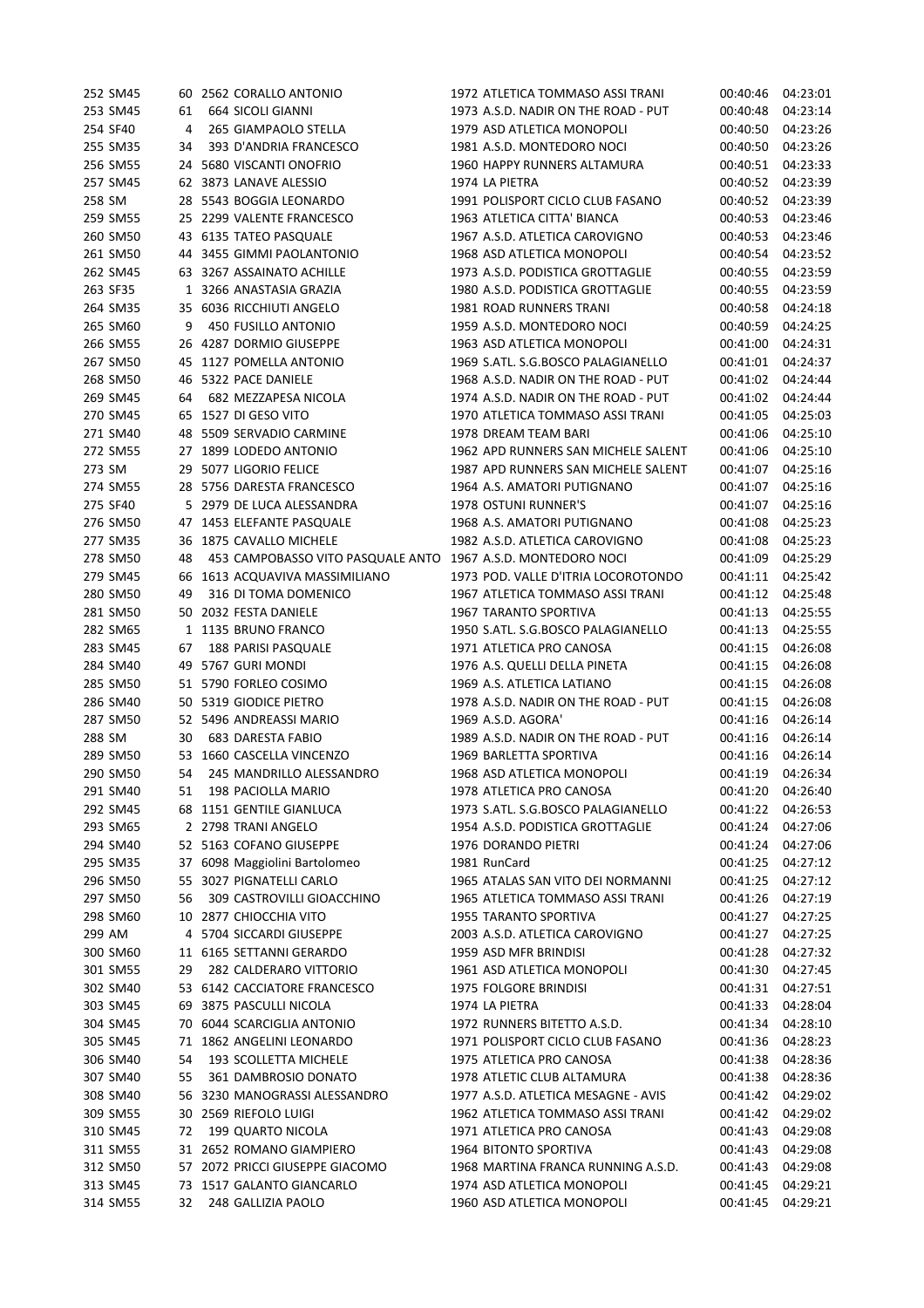|        | 252 SM45 |    | 60 2562 CORALLO ANTONIO           | 1972 ATLETICA TOMMASO ASSI TRANI    | 00:40:46 | 04:23:01 |
|--------|----------|----|-----------------------------------|-------------------------------------|----------|----------|
|        | 253 SM45 | 61 | <b>664 SICOLI GIANNI</b>          | 1973 A.S.D. NADIR ON THE ROAD - PUT | 00:40:48 | 04:23:14 |
|        | 254 SF40 | 4  | 265 GIAMPAOLO STELLA              | 1979 ASD ATLETICA MONOPOLI          | 00:40:50 | 04:23:26 |
|        | 255 SM35 | 34 | 393 D'ANDRIA FRANCESCO            | 1981 A.S.D. MONTEDORO NOCI          | 00:40:50 | 04:23:26 |
|        | 256 SM55 |    | 24 5680 VISCANTI ONOFRIO          | 1960 HAPPY RUNNERS ALTAMURA         | 00:40:51 | 04:23:33 |
|        | 257 SM45 |    | 62 3873 LANAVE ALESSIO            | 1974 LA PIETRA                      | 00:40:52 | 04:23:39 |
| 258 SM |          |    | 28 5543 BOGGIA LEONARDO           | 1991 POLISPORT CICLO CLUB FASANO    | 00:40:52 | 04:23:39 |
|        | 259 SM55 |    | 25 2299 VALENTE FRANCESCO         | 1963 ATLETICA CITTA' BIANCA         | 00:40:53 | 04:23:46 |
|        | 260 SM50 |    | 43 6135 TATEO PASQUALE            | 1967 A.S.D. ATLETICA CAROVIGNO      | 00:40:53 | 04:23:46 |
|        | 261 SM50 |    | 44 3455 GIMMI PAOLANTONIO         | 1968 ASD ATLETICA MONOPOLI          | 00:40:54 | 04:23:52 |
|        | 262 SM45 |    | 63 3267 ASSAINATO ACHILLE         | 1973 A.S.D. PODISTICA GROTTAGLIE    | 00:40:55 | 04:23:59 |
|        | 263 SF35 |    | 1 3266 ANASTASIA GRAZIA           | 1980 A.S.D. PODISTICA GROTTAGLIE    | 00:40:55 | 04:23:59 |
|        | 264 SM35 |    | 35 6036 RICCHIUTI ANGELO          | 1981 ROAD RUNNERS TRANI             | 00:40:58 | 04:24:18 |
|        | 265 SM60 | 9  | 450 FUSILLO ANTONIO               | 1959 A.S.D. MONTEDORO NOCI          |          | 04:24:25 |
|        | 266 SM55 |    | 26 4287 DORMIO GIUSEPPE           | 1963 ASD ATLETICA MONOPOLI          | 00:40:59 |          |
|        |          |    |                                   |                                     | 00:41:00 | 04:24:31 |
|        | 267 SM50 |    | 45 1127 POMELLA ANTONIO           | 1969 S.ATL. S.G.BOSCO PALAGIANELLO  | 00:41:01 | 04:24:37 |
|        | 268 SM50 |    | 46 5322 PACE DANIELE              | 1968 A.S.D. NADIR ON THE ROAD - PUT | 00:41:02 | 04:24:44 |
|        | 269 SM45 | 64 | 682 MEZZAPESA NICOLA              | 1974 A.S.D. NADIR ON THE ROAD - PUT | 00:41:02 | 04:24:44 |
|        | 270 SM45 |    | 65 1527 DI GESO VITO              | 1970 ATLETICA TOMMASO ASSI TRANI    | 00:41:05 | 04:25:03 |
|        | 271 SM40 |    | 48 5509 SERVADIO CARMINE          | 1978 DREAM TEAM BARI                | 00:41:06 | 04:25:10 |
|        | 272 SM55 |    | 27 1899 LODEDO ANTONIO            | 1962 APD RUNNERS SAN MICHELE SALENT | 00:41:06 | 04:25:10 |
| 273 SM |          |    | 29 5077 LIGORIO FELICE            | 1987 APD RUNNERS SAN MICHELE SALENT | 00:41:07 | 04:25:16 |
|        | 274 SM55 |    | 28 5756 DARESTA FRANCESCO         | 1964 A.S. AMATORI PUTIGNANO         | 00:41:07 | 04:25:16 |
|        | 275 SF40 |    | 5 2979 DE LUCA ALESSANDRA         | <b>1978 OSTUNI RUNNER'S</b>         | 00:41:07 | 04:25:16 |
|        | 276 SM50 |    | 47 1453 ELEFANTE PASQUALE         | 1968 A.S. AMATORI PUTIGNANO         | 00:41:08 | 04:25:23 |
|        | 277 SM35 |    | 36 1875 CAVALLO MICHELE           | 1982 A.S.D. ATLETICA CAROVIGNO      | 00:41:08 | 04:25:23 |
|        | 278 SM50 | 48 | 453 CAMPOBASSO VITO PASQUALE ANTO | 1967 A.S.D. MONTEDORO NOCI          | 00:41:09 | 04:25:29 |
|        | 279 SM45 | 66 | 1613 ACQUAVIVA MASSIMILIANO       | 1973 POD. VALLE D'ITRIA LOCOROTONDO | 00:41:11 | 04:25:42 |
|        | 280 SM50 | 49 | 316 DI TOMA DOMENICO              | 1967 ATLETICA TOMMASO ASSI TRANI    | 00:41:12 | 04:25:48 |
|        | 281 SM50 |    | 50 2032 FESTA DANIELE             | 1967 TARANTO SPORTIVA               | 00:41:13 | 04:25:55 |
|        | 282 SM65 |    | 1 1135 BRUNO FRANCO               | 1950 S.ATL. S.G.BOSCO PALAGIANELLO  | 00:41:13 | 04:25:55 |
|        | 283 SM45 | 67 | 188 PARISI PASQUALE               | 1971 ATLETICA PRO CANOSA            | 00:41:15 | 04:26:08 |
|        | 284 SM40 | 49 | 5767 GURI MONDI                   | 1976 A.S. QUELLI DELLA PINETA       | 00:41:15 | 04:26:08 |
|        | 285 SM50 |    | 51 5790 FORLEO COSIMO             | 1969 A.S. ATLETICA LATIANO          | 00:41:15 | 04:26:08 |
|        | 286 SM40 |    | 50 5319 GIODICE PIETRO            | 1978 A.S.D. NADIR ON THE ROAD - PUT | 00:41:15 | 04:26:08 |
|        | 287 SM50 |    | 52 5496 ANDREASSI MARIO           | 1969 A.S.D. AGORA'                  | 00:41:16 | 04:26:14 |
| 288 SM |          | 30 | <b>683 DARESTA FABIO</b>          | 1989 A.S.D. NADIR ON THE ROAD - PUT | 00:41:16 | 04:26:14 |
|        | 289 SM50 |    | 53 1660 CASCELLA VINCENZO         | 1969 BARLETTA SPORTIVA              | 00:41:16 | 04:26:14 |
|        | 290 SM50 | 54 | 245 MANDRILLO ALESSANDRO          | 1968 ASD ATLETICA MONOPOLI          | 00:41:19 | 04:26:34 |
|        | 291 SM40 | 51 | 198 PACIOLLA MARIO                | 1978 ATLETICA PRO CANOSA            | 00:41:20 | 04:26:40 |
|        | 292 SM45 |    | 68 1151 GENTILE GIANLUCA          | 1973 S.ATL. S.G.BOSCO PALAGIANELLO  | 00:41:22 | 04:26:53 |
|        | 293 SM65 |    | 2 2798 TRANI ANGELO               | 1954 A.S.D. PODISTICA GROTTAGLIE    | 00:41:24 | 04:27:06 |
|        | 294 SM40 |    | 52 5163 COFANO GIUSEPPE           | 1976 DORANDO PIETRI                 | 00:41:24 | 04:27:06 |
|        |          |    |                                   | 1981 RunCard                        |          | 04:27:12 |
|        | 295 SM35 |    | 37 6098 Maggiolini Bartolomeo     |                                     | 00:41:25 |          |
|        | 296 SM50 | 55 | 3027 PIGNATELLI CARLO             | 1965 ATALAS SAN VITO DEI NORMANNI   | 00:41:25 | 04:27:12 |
|        | 297 SM50 | 56 | 309 CASTROVILLI GIOACCHINO        | 1965 ATLETICA TOMMASO ASSI TRANI    | 00:41:26 | 04:27:19 |
|        | 298 SM60 |    | 10 2877 CHIOCCHIA VITO            | <b>1955 TARANTO SPORTIVA</b>        | 00:41:27 | 04:27:25 |
| 299 AM |          |    | 4 5704 SICCARDI GIUSEPPE          | 2003 A.S.D. ATLETICA CAROVIGNO      | 00:41:27 | 04:27:25 |
|        | 300 SM60 |    | 11 6165 SETTANNI GERARDO          | 1959 ASD MFR BRINDISI               | 00:41:28 | 04:27:32 |
|        | 301 SM55 | 29 | 282 CALDERARO VITTORIO            | 1961 ASD ATLETICA MONOPOLI          | 00:41:30 | 04:27:45 |
|        | 302 SM40 |    | 53 6142 CACCIATORE FRANCESCO      | 1975 FOLGORE BRINDISI               | 00:41:31 | 04:27:51 |
|        | 303 SM45 | 69 | 3875 PASCULLI NICOLA              | 1974 LA PIETRA                      | 00:41:33 | 04:28:04 |
|        | 304 SM45 |    | 70 6044 SCARCIGLIA ANTONIO        | 1972 RUNNERS BITETTO A.S.D.         | 00:41:34 | 04:28:10 |
|        | 305 SM45 |    | 71 1862 ANGELINI LEONARDO         | 1971 POLISPORT CICLO CLUB FASANO    | 00:41:36 | 04:28:23 |
|        | 306 SM40 | 54 | 193 SCOLLETTA MICHELE             | 1975 ATLETICA PRO CANOSA            | 00:41:38 | 04:28:36 |
|        | 307 SM40 | 55 | 361 DAMBROSIO DONATO              | 1978 ATLETIC CLUB ALTAMURA          | 00:41:38 | 04:28:36 |
|        | 308 SM40 |    | 56 3230 MANOGRASSI ALESSANDRO     | 1977 A.S.D. ATLETICA MESAGNE - AVIS | 00:41:42 | 04:29:02 |
|        | 309 SM55 |    | 30 2569 RIEFOLO LUIGI             | 1962 ATLETICA TOMMASO ASSI TRANI    | 00:41:42 | 04:29:02 |
|        | 310 SM45 | 72 | 199 QUARTO NICOLA                 | 1971 ATLETICA PRO CANOSA            | 00:41:43 | 04:29:08 |
|        | 311 SM55 |    | 31 2652 ROMANO GIAMPIERO          | 1964 BITONTO SPORTIVA               | 00:41:43 | 04:29:08 |
|        | 312 SM50 |    | 57 2072 PRICCI GIUSEPPE GIACOMO   | 1968 MARTINA FRANCA RUNNING A.S.D.  | 00:41:43 | 04:29:08 |
|        | 313 SM45 |    | 73 1517 GALANTO GIANCARLO         | 1974 ASD ATLETICA MONOPOLI          | 00:41:45 | 04:29:21 |
|        | 314 SM55 | 32 | 248 GALLIZIA PAOLO                | 1960 ASD ATLETICA MONOPOLI          | 00:41:45 | 04:29:21 |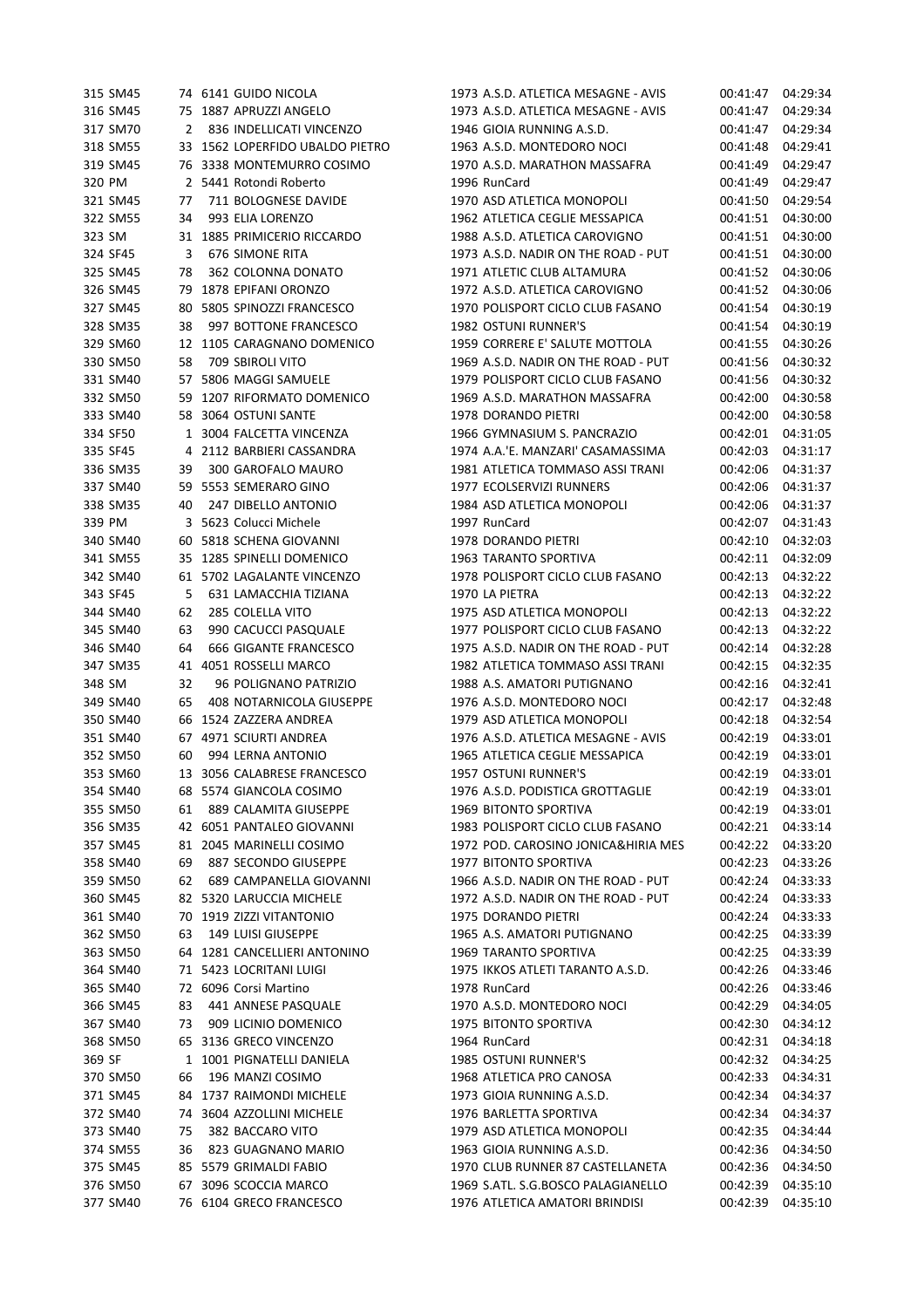|        | 315 SM45 |    | 74 6141 GUIDO NICOLA            | 1973 A.S.D. ATLETICA MESAGNE - AVIS | 00:41:47 | 04:29:34 |
|--------|----------|----|---------------------------------|-------------------------------------|----------|----------|
|        | 316 SM45 |    | 75 1887 APRUZZI ANGELO          | 1973 A.S.D. ATLETICA MESAGNE - AVIS | 00:41:47 | 04:29:34 |
|        | 317 SM70 | 2  | 836 INDELLICATI VINCENZO        | 1946 GIOIA RUNNING A.S.D.           | 00:41:47 | 04:29:34 |
|        | 318 SM55 |    | 33 1562 LOPERFIDO UBALDO PIETRO | 1963 A.S.D. MONTEDORO NOCI          | 00:41:48 | 04:29:41 |
|        | 319 SM45 |    | 76 3338 MONTEMURRO COSIMO       | 1970 A.S.D. MARATHON MASSAFRA       | 00:41:49 | 04:29:47 |
| 320 PM |          |    | 2 5441 Rotondi Roberto          | 1996 RunCard                        | 00:41:49 | 04:29:47 |
|        | 321 SM45 | 77 | 711 BOLOGNESE DAVIDE            | 1970 ASD ATLETICA MONOPOLI          | 00:41:50 | 04:29:54 |
|        | 322 SM55 | 34 | 993 ELIA LORENZO                | 1962 ATLETICA CEGLIE MESSAPICA      | 00:41:51 | 04:30:00 |
| 323 SM |          |    | 31 1885 PRIMICERIO RICCARDO     | 1988 A.S.D. ATLETICA CAROVIGNO      | 00:41:51 | 04:30:00 |
|        | 324 SF45 | 3  | 676 SIMONE RITA                 | 1973 A.S.D. NADIR ON THE ROAD - PUT | 00:41:51 | 04:30:00 |
|        | 325 SM45 | 78 | 362 COLONNA DONATO              | 1971 ATLETIC CLUB ALTAMURA          | 00:41:52 | 04:30:06 |
|        | 326 SM45 |    | 79 1878 EPIFANI ORONZO          | 1972 A.S.D. ATLETICA CAROVIGNO      | 00:41:52 | 04:30:06 |
|        | 327 SM45 | 80 | 5805 SPINOZZI FRANCESCO         | 1970 POLISPORT CICLO CLUB FASANO    | 00:41:54 | 04:30:19 |
|        | 328 SM35 | 38 | 997 BOTTONE FRANCESCO           | <b>1982 OSTUNI RUNNER'S</b>         | 00:41:54 | 04:30:19 |
|        | 329 SM60 |    | 12 1105 CARAGNANO DOMENICO      | 1959 CORRERE E' SALUTE MOTTOLA      | 00:41:55 | 04:30:26 |
|        | 330 SM50 | 58 | 709 SBIROLI VITO                | 1969 A.S.D. NADIR ON THE ROAD - PUT | 00:41:56 | 04:30:32 |
|        | 331 SM40 |    | 57 5806 MAGGI SAMUELE           | 1979 POLISPORT CICLO CLUB FASANO    | 00:41:56 | 04:30:32 |
|        | 332 SM50 |    | 59 1207 RIFORMATO DOMENICO      | 1969 A.S.D. MARATHON MASSAFRA       | 00:42:00 | 04:30:58 |
|        | 333 SM40 |    | 58 3064 OSTUNI SANTE            | 1978 DORANDO PIETRI                 | 00:42:00 | 04:30:58 |
|        | 334 SF50 |    | 1 3004 FALCETTA VINCENZA        | 1966 GYMNASIUM S. PANCRAZIO         | 00:42:01 | 04:31:05 |
|        | 335 SF45 |    | 4 2112 BARBIERI CASSANDRA       | 1974 A.A.'E. MANZARI' CASAMASSIMA   | 00:42:03 | 04:31:17 |
|        | 336 SM35 | 39 | 300 GAROFALO MAURO              | 1981 ATLETICA TOMMASO ASSI TRANI    | 00:42:06 | 04:31:37 |
|        | 337 SM40 |    | 59 5553 SEMERARO GINO           | 1977 ECOLSERVIZI RUNNERS            | 00:42:06 | 04:31:37 |
|        | 338 SM35 | 40 | 247 DIBELLO ANTONIO             | 1984 ASD ATLETICA MONOPOLI          |          | 04:31:37 |
| 339 PM |          |    | 3 5623 Colucci Michele          |                                     | 00:42:06 |          |
|        |          |    |                                 | 1997 RunCard                        | 00:42:07 | 04:31:43 |
|        | 340 SM40 |    | 60 5818 SCHENA GIOVANNI         | 1978 DORANDO PIETRI                 | 00:42:10 | 04:32:03 |
|        | 341 SM55 |    | 35 1285 SPINELLI DOMENICO       | 1963 TARANTO SPORTIVA               | 00:42:11 | 04:32:09 |
|        | 342 SM40 |    | 61 5702 LAGALANTE VINCENZO      | 1978 POLISPORT CICLO CLUB FASANO    | 00:42:13 | 04:32:22 |
|        | 343 SF45 | 5  | 631 LAMACCHIA TIZIANA           | 1970 LA PIETRA                      | 00:42:13 | 04:32:22 |
|        | 344 SM40 | 62 | 285 COLELLA VITO                | 1975 ASD ATLETICA MONOPOLI          | 00:42:13 | 04:32:22 |
|        | 345 SM40 | 63 | 990 CACUCCI PASQUALE            | 1977 POLISPORT CICLO CLUB FASANO    | 00:42:13 | 04:32:22 |
|        | 346 SM40 | 64 | 666 GIGANTE FRANCESCO           | 1975 A.S.D. NADIR ON THE ROAD - PUT | 00:42:14 | 04:32:28 |
|        | 347 SM35 | 41 | 4051 ROSSELLI MARCO             | 1982 ATLETICA TOMMASO ASSI TRANI    | 00:42:15 | 04:32:35 |
| 348 SM |          | 32 | 96 POLIGNANO PATRIZIO           | 1988 A.S. AMATORI PUTIGNANO         | 00:42:16 | 04:32:41 |
|        | 349 SM40 | 65 | 408 NOTARNICOLA GIUSEPPE        | 1976 A.S.D. MONTEDORO NOCI          | 00:42:17 | 04:32:48 |
|        | 350 SM40 |    | 66 1524 ZAZZERA ANDREA          | 1979 ASD ATLETICA MONOPOLI          | 00:42:18 | 04:32:54 |
|        | 351 SM40 |    | 67 4971 SCIURTI ANDREA          | 1976 A.S.D. ATLETICA MESAGNE - AVIS | 00:42:19 | 04:33:01 |
|        | 352 SM50 | 60 | 994 LERNA ANTONIO               | 1965 ATLETICA CEGLIE MESSAPICA      | 00:42:19 | 04:33:01 |
|        | 353 SM60 |    | 13 3056 CALABRESE FRANCESCO     | <b>1957 OSTUNI RUNNER'S</b>         | 00:42:19 | 04:33:01 |
|        | 354 SM40 |    | 68 5574 GIANCOLA COSIMO         | 1976 A.S.D. PODISTICA GROTTAGLIE    | 00:42:19 | 04:33:01 |
|        | 355 SM50 | 61 | 889 CALAMITA GIUSEPPE           | 1969 BITONTO SPORTIVA               | 00:42:19 | 04:33:01 |
|        | 356 SM35 |    | 42 6051 PANTALEO GIOVANNI       | 1983 POLISPORT CICLO CLUB FASANO    | 00:42:21 | 04:33:14 |
|        | 357 SM45 |    | 81 2045 MARINELLI COSIMO        | 1972 POD. CAROSINO JONICA&HIRIA MES | 00:42:22 | 04:33:20 |
|        | 358 SM40 | 69 | 887 SECONDO GIUSEPPE            | 1977 BITONTO SPORTIVA               | 00:42:23 | 04:33:26 |
|        | 359 SM50 | 62 | 689 CAMPANELLA GIOVANNI         | 1966 A.S.D. NADIR ON THE ROAD - PUT | 00:42:24 | 04:33:33 |
|        | 360 SM45 |    | 82 5320 LARUCCIA MICHELE        | 1972 A.S.D. NADIR ON THE ROAD - PUT | 00:42:24 | 04:33:33 |
|        | 361 SM40 | 70 | 1919 ZIZZI VITANTONIO           | 1975 DORANDO PIETRI                 | 00:42:24 | 04:33:33 |
|        | 362 SM50 | 63 | <b>149 LUISI GIUSEPPE</b>       | 1965 A.S. AMATORI PUTIGNANO         | 00:42:25 | 04:33:39 |
|        | 363 SM50 |    | 64 1281 CANCELLIERI ANTONINO    | 1969 TARANTO SPORTIVA               | 00:42:25 | 04:33:39 |
|        | 364 SM40 |    | 71 5423 LOCRITANI LUIGI         | 1975 IKKOS ATLETI TARANTO A.S.D.    | 00:42:26 | 04:33:46 |
|        | 365 SM40 |    | 72 6096 Corsi Martino           | 1978 RunCard                        | 00:42:26 | 04:33:46 |
|        | 366 SM45 | 83 | 441 ANNESE PASQUALE             | 1970 A.S.D. MONTEDORO NOCI          | 00:42:29 | 04:34:05 |
|        | 367 SM40 | 73 | 909 LICINIO DOMENICO            | 1975 BITONTO SPORTIVA               | 00:42:30 | 04:34:12 |
|        | 368 SM50 |    | 65 3136 GRECO VINCENZO          | 1964 RunCard                        | 00:42:31 | 04:34:18 |
| 369 SF |          |    | 1 1001 PIGNATELLI DANIELA       | 1985 OSTUNI RUNNER'S                | 00:42:32 | 04:34:25 |
|        | 370 SM50 | 66 | 196 MANZI COSIMO                | 1968 ATLETICA PRO CANOSA            | 00:42:33 | 04:34:31 |
|        | 371 SM45 |    | 84 1737 RAIMONDI MICHELE        | 1973 GIOIA RUNNING A.S.D.           | 00:42:34 | 04:34:37 |
|        | 372 SM40 |    | 74 3604 AZZOLLINI MICHELE       | 1976 BARLETTA SPORTIVA              | 00:42:34 | 04:34:37 |
|        | 373 SM40 | 75 | 382 BACCARO VITO                | 1979 ASD ATLETICA MONOPOLI          | 00:42:35 | 04:34:44 |
|        | 374 SM55 | 36 | 823 GUAGNANO MARIO              | 1963 GIOIA RUNNING A.S.D.           | 00:42:36 | 04:34:50 |
|        | 375 SM45 |    | 85 5579 GRIMALDI FABIO          | 1970 CLUB RUNNER 87 CASTELLANETA    | 00:42:36 | 04:34:50 |
|        | 376 SM50 |    | 67 3096 SCOCCIA MARCO           | 1969 S.ATL. S.G.BOSCO PALAGIANELLO  | 00:42:39 | 04:35:10 |
|        | 377 SM40 |    | 76 6104 GRECO FRANCESCO         | 1976 ATLETICA AMATORI BRINDISI      | 00:42:39 | 04:35:10 |
|        |          |    |                                 |                                     |          |          |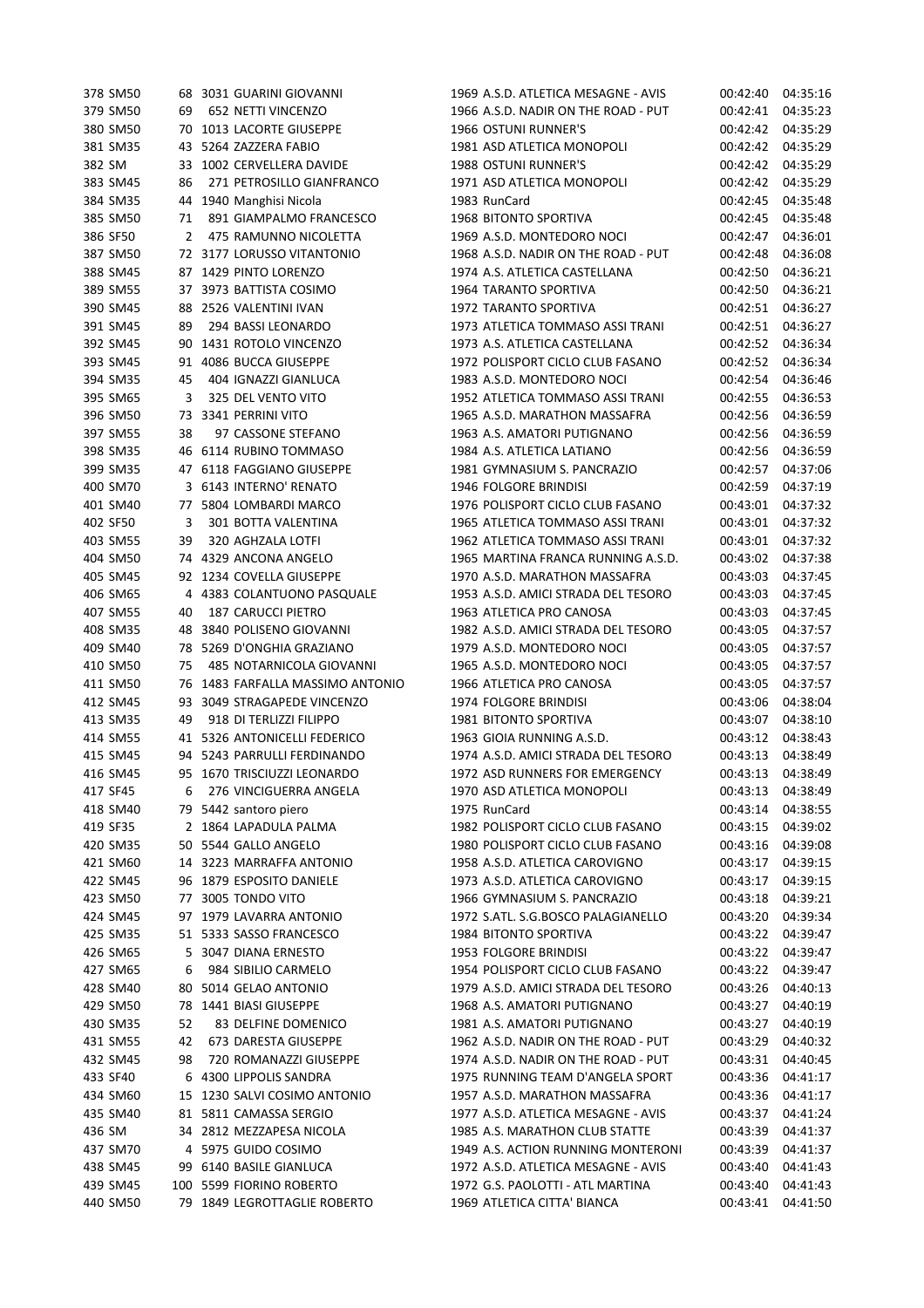|        | 378 SM50             |    | 68 3031 GUARINI GIOVANNI      | 1969 A.S.D. ATLETICA MESAGNE - AVIS | 00:42:40             | 04:35:16             |
|--------|----------------------|----|-------------------------------|-------------------------------------|----------------------|----------------------|
|        | 379 SM50             | 69 | 652 NETTI VINCENZO            | 1966 A.S.D. NADIR ON THE ROAD - PUT | 00:42:41             | 04:35:23             |
|        | 380 SM50             | 70 | 1013 LACORTE GIUSEPPE         | 1966 OSTUNI RUNNER'S                | 00:42:42             | 04:35:29             |
|        | 381 SM35             | 43 | 5264 ZAZZERA FABIO            | 1981 ASD ATLETICA MONOPOLI          | 00:42:42             | 04:35:29             |
| 382 SM |                      | 33 | 1002 CERVELLERA DAVIDE        | 1988 OSTUNI RUNNER'S                | 00:42:42             | 04:35:29             |
|        | 383 SM45             | 86 | 271 PETROSILLO GIANFRANCO     | 1971 ASD ATLETICA MONOPOLI          | 00:42:42             | 04:35:29             |
|        | 384 SM35             | 44 | 1940 Manghisi Nicola          | 1983 RunCard                        | 00:42:45             | 04:35:48             |
|        | 385 SM50             | 71 | 891 GIAMPALMO FRANCESCO       | 1968 BITONTO SPORTIVA               | 00:42:45             | 04:35:48             |
|        | 386 SF50             | 2  | 475 RAMUNNO NICOLETTA         | 1969 A.S.D. MONTEDORO NOCI          | 00:42:47             | 04:36:01             |
|        | 387 SM50             |    | 72 3177 LORUSSO VITANTONIO    | 1968 A.S.D. NADIR ON THE ROAD - PUT | 00:42:48             | 04:36:08             |
|        | 388 SM45             |    | 87 1429 PINTO LORENZO         | 1974 A.S. ATLETICA CASTELLANA       | 00:42:50             | 04:36:21             |
|        | 389 SM55             |    | 37 3973 BATTISTA COSIMO       | 1964 TARANTO SPORTIVA               | 00:42:50             | 04:36:21             |
|        | 390 SM45             | 88 | 2526 VALENTINI IVAN           | <b>1972 TARANTO SPORTIVA</b>        | 00:42:51             | 04:36:27             |
|        | 391 SM45             | 89 | 294 BASSI LEONARDO            | 1973 ATLETICA TOMMASO ASSI TRANI    | 00:42:51             | 04:36:27             |
|        | 392 SM45             | 90 | 1431 ROTOLO VINCENZO          | 1973 A.S. ATLETICA CASTELLANA       | 00:42:52             | 04:36:34             |
|        | 393 SM45             | 91 | 4086 BUCCA GIUSEPPE           | 1972 POLISPORT CICLO CLUB FASANO    | 00:42:52             | 04:36:34             |
|        | 394 SM35             | 45 | 404 IGNAZZI GIANLUCA          | 1983 A.S.D. MONTEDORO NOCI          | 00:42:54             | 04:36:46             |
|        | 395 SM65             | 3  | 325 DEL VENTO VITO            | 1952 ATLETICA TOMMASO ASSI TRANI    | 00:42:55             | 04:36:53             |
|        | 396 SM50             |    | 73 3341 PERRINI VITO          | 1965 A.S.D. MARATHON MASSAFRA       | 00:42:56             | 04:36:59             |
|        | 397 SM55             | 38 | 97 CASSONE STEFANO            | 1963 A.S. AMATORI PUTIGNANO         | 00:42:56             | 04:36:59             |
|        | 398 SM35             |    | 46 6114 RUBINO TOMMASO        | 1984 A.S. ATLETICA LATIANO          | 00:42:56             | 04:36:59             |
|        | 399 SM35             |    | 47 6118 FAGGIANO GIUSEPPE     | 1981 GYMNASIUM S. PANCRAZIO         | 00:42:57             | 04:37:06             |
|        | 400 SM70             |    | 3 6143 INTERNO' RENATO        | 1946 FOLGORE BRINDISI               |                      |                      |
|        | 401 SM40             |    |                               | 1976 POLISPORT CICLO CLUB FASANO    | 00:42:59<br>00:43:01 | 04:37:19<br>04:37:32 |
|        | 402 SF50             |    | 77 5804 LOMBARDI MARCO        |                                     |                      |                      |
|        |                      | 3  | 301 BOTTA VALENTINA           | 1965 ATLETICA TOMMASO ASSI TRANI    | 00:43:01             | 04:37:32             |
|        | 403 SM55             | 39 | 320 AGHZALA LOTFI             | 1962 ATLETICA TOMMASO ASSI TRANI    | 00:43:01             | 04:37:32             |
|        | 404 SM50             |    | 74 4329 ANCONA ANGELO         | 1965 MARTINA FRANCA RUNNING A.S.D.  | 00:43:02             | 04:37:38             |
|        | 405 SM45             |    | 92 1234 COVELLA GIUSEPPE      | 1970 A.S.D. MARATHON MASSAFRA       | 00:43:03             | 04:37:45             |
|        | 406 SM65             | 4  | 4383 COLANTUONO PASQUALE      | 1953 A.S.D. AMICI STRADA DEL TESORO | 00:43:03             | 04:37:45             |
|        | 407 SM55             | 40 | <b>187 CARUCCI PIETRO</b>     | 1963 ATLETICA PRO CANOSA            | 00:43:03             | 04:37:45             |
|        | 408 SM35             | 48 | 3840 POLISENO GIOVANNI        | 1982 A.S.D. AMICI STRADA DEL TESORO | 00:43:05             | 04:37:57             |
|        | 409 SM40<br>410 SM50 | 78 | 5269 D'ONGHIA GRAZIANO        | 1979 A.S.D. MONTEDORO NOCI          | 00:43:05             | 04:37:57             |
|        |                      | 75 | 485 NOTARNICOLA GIOVANNI      | 1965 A.S.D. MONTEDORO NOCI          | 00:43:05             | 04:37:57             |
|        | 411 SM50             | 76 | 1483 FARFALLA MASSIMO ANTONIO | 1966 ATLETICA PRO CANOSA            | 00:43:05             | 04:37:57             |
|        | 412 SM45             |    | 93 3049 STRAGAPEDE VINCENZO   | 1974 FOLGORE BRINDISI               | 00:43:06             | 04:38:04             |
|        | 413 SM35             | 49 | 918 DI TERLIZZI FILIPPO       | 1981 BITONTO SPORTIVA               | 00:43:07             | 04:38:10             |
|        | 414 SM55             |    | 41 5326 ANTONICELLI FEDERICO  | 1963 GIOIA RUNNING A.S.D.           | 00:43:12             | 04:38:43             |
|        | 415 SM45             |    | 94 5243 PARRULLI FERDINANDO   | 1974 A.S.D. AMICI STRADA DEL TESORO | 00:43:13             | 04:38:49             |
|        | 416 SM45             |    | 95 1670 TRISCIUZZI LEONARDO   | 1972 ASD RUNNERS FOR EMERGENCY      | 00:43:13             | 04:38:49             |
|        | 417 SF45             | 6  | 276 VINCIGUERRA ANGELA        | 1970 ASD ATLETICA MONOPOLI          | 00:43:13             | 04:38:49             |
|        | 418 SM40             |    | 79 5442 santoro piero         | 1975 RunCard                        | 00:43:14             | 04:38:55             |
|        | 419 SF35             |    | 2 1864 LAPADULA PALMA         | 1982 POLISPORT CICLO CLUB FASANO    | 00:43:15             | 04:39:02             |
|        | 420 SM35             |    | 50 5544 GALLO ANGELO          | 1980 POLISPORT CICLO CLUB FASANO    | 00:43:16             | 04:39:08             |
|        | 421 SM60             |    | 14 3223 MARRAFFA ANTONIO      | 1958 A.S.D. ATLETICA CAROVIGNO      | 00:43:17             | 04:39:15             |
|        | 422 SM45             |    | 96 1879 ESPOSITO DANIELE      | 1973 A.S.D. ATLETICA CAROVIGNO      | 00:43:17             | 04:39:15             |
|        | 423 SM50             | 77 | 3005 TONDO VITO               | 1966 GYMNASIUM S. PANCRAZIO         | 00:43:18             | 04:39:21             |
|        | 424 SM45             |    | 97 1979 LAVARRA ANTONIO       | 1972 S.ATL. S.G.BOSCO PALAGIANELLO  | 00:43:20             | 04:39:34             |
|        | 425 SM35             |    | 51 5333 SASSO FRANCESCO       | 1984 BITONTO SPORTIVA               | 00:43:22             | 04:39:47             |
|        | 426 SM65             |    | 5 3047 DIANA ERNESTO          | 1953 FOLGORE BRINDISI               | 00:43:22             | 04:39:47             |
|        | 427 SM65             | 6  | 984 SIBILIO CARMELO           | 1954 POLISPORT CICLO CLUB FASANO    | 00:43:22             | 04:39:47             |
|        | 428 SM40             | 80 | 5014 GELAO ANTONIO            | 1979 A.S.D. AMICI STRADA DEL TESORO | 00:43:26             | 04:40:13             |
|        | 429 SM50             | 78 | 1441 BIASI GIUSEPPE           | 1968 A.S. AMATORI PUTIGNANO         | 00:43:27             | 04:40:19             |
|        | 430 SM35             | 52 | 83 DELFINE DOMENICO           | 1981 A.S. AMATORI PUTIGNANO         | 00:43:27             | 04:40:19             |
|        | 431 SM55             | 42 | 673 DARESTA GIUSEPPE          | 1962 A.S.D. NADIR ON THE ROAD - PUT | 00:43:29             | 04:40:32             |
|        | 432 SM45             | 98 | 720 ROMANAZZI GIUSEPPE        | 1974 A.S.D. NADIR ON THE ROAD - PUT | 00:43:31             | 04:40:45             |
|        | 433 SF40             | 6  | 4300 LIPPOLIS SANDRA          | 1975 RUNNING TEAM D'ANGELA SPORT    | 00:43:36             | 04:41:17             |
|        | 434 SM60             |    | 15 1230 SALVI COSIMO ANTONIO  | 1957 A.S.D. MARATHON MASSAFRA       | 00:43:36             | 04:41:17             |
|        | 435 SM40             |    | 81 5811 CAMASSA SERGIO        | 1977 A.S.D. ATLETICA MESAGNE - AVIS | 00:43:37             | 04:41:24             |
| 436 SM |                      |    | 34 2812 MEZZAPESA NICOLA      | 1985 A.S. MARATHON CLUB STATTE      | 00:43:39             | 04:41:37             |
|        | 437 SM70             |    | 4 5975 GUIDO COSIMO           | 1949 A.S. ACTION RUNNING MONTERONI  | 00:43:39             | 04:41:37             |
|        | 438 SM45             |    | 99 6140 BASILE GIANLUCA       | 1972 A.S.D. ATLETICA MESAGNE - AVIS | 00:43:40             | 04:41:43             |
|        | 439 SM45             |    | 100 5599 FIORINO ROBERTO      | 1972 G.S. PAOLOTTI - ATL MARTINA    | 00:43:40             | 04:41:43             |
|        | 440 SM50             |    | 79 1849 LEGROTTAGLIE ROBERTO  | 1969 ATLETICA CITTA' BIANCA         | 00:43:41             | 04:41:50             |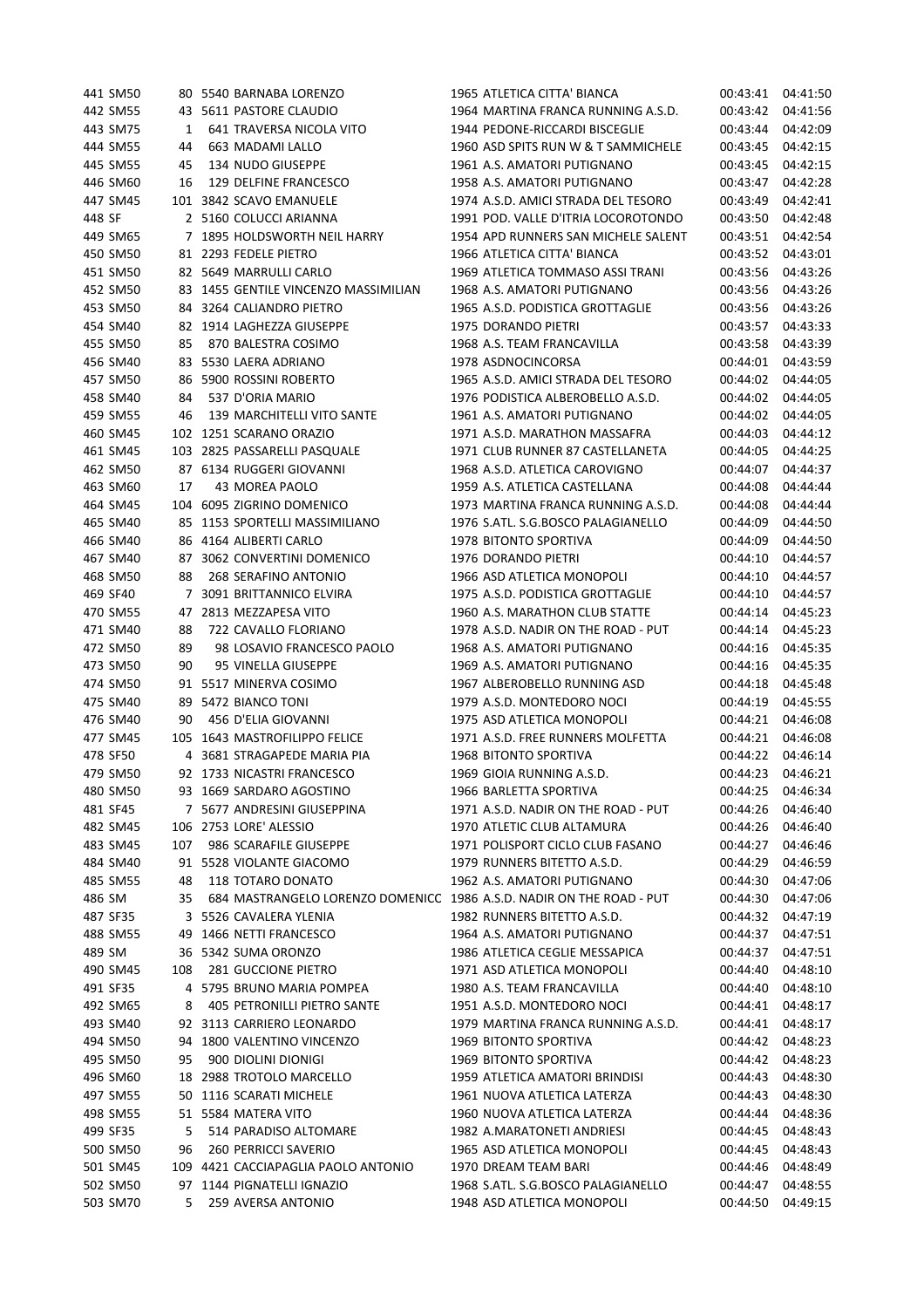|        | 441 SM50 |     | 80 5540 BARNABA LORENZO                                   | 1965 ATLETICA CITTA' BIANCA                                          | 00:43:41 | 04:41:50 |
|--------|----------|-----|-----------------------------------------------------------|----------------------------------------------------------------------|----------|----------|
|        | 442 SM55 |     | 43 5611 PASTORE CLAUDIO                                   | 1964 MARTINA FRANCA RUNNING A.S.D.                                   | 00:43:42 | 04:41:56 |
|        | 443 SM75 | 1   | 641 TRAVERSA NICOLA VITO                                  | 1944 PEDONE-RICCARDI BISCEGLIE                                       | 00:43:44 | 04:42:09 |
|        | 444 SM55 | 44  | 663 MADAMI LALLO                                          | 1960 ASD SPITS RUN W & T SAMMICHELE                                  | 00:43:45 | 04:42:15 |
|        | 445 SM55 | 45  | 134 NUDO GIUSEPPE                                         | 1961 A.S. AMATORI PUTIGNANO                                          | 00:43:45 | 04:42:15 |
|        | 446 SM60 | 16  | 129 DELFINE FRANCESCO                                     | 1958 A.S. AMATORI PUTIGNANO                                          | 00:43:47 | 04:42:28 |
|        | 447 SM45 |     | 101 3842 SCAVO EMANUELE                                   | 1974 A.S.D. AMICI STRADA DEL TESORO                                  | 00:43:49 | 04:42:41 |
| 448 SF |          |     | 2 5160 COLUCCI ARIANNA                                    | 1991 POD. VALLE D'ITRIA LOCOROTONDO                                  | 00:43:50 | 04:42:48 |
|        | 449 SM65 |     | 7 1895 HOLDSWORTH NEIL HARRY                              | 1954 APD RUNNERS SAN MICHELE SALENT                                  | 00:43:51 | 04:42:54 |
|        | 450 SM50 |     | 81 2293 FEDELE PIETRO                                     | 1966 ATLETICA CITTA' BIANCA                                          | 00:43:52 | 04:43:01 |
|        | 451 SM50 |     | 82 5649 MARRULLI CARLO                                    | 1969 ATLETICA TOMMASO ASSI TRANI                                     | 00:43:56 | 04:43:26 |
|        | 452 SM50 | 83  | 1455 GENTILE VINCENZO MASSIMILIAN                         | 1968 A.S. AMATORI PUTIGNANO                                          | 00:43:56 | 04:43:26 |
|        | 453 SM50 | 84  | 3264 CALIANDRO PIETRO                                     | 1965 A.S.D. PODISTICA GROTTAGLIE                                     | 00:43:56 | 04:43:26 |
|        | 454 SM40 | 82  | 1914 LAGHEZZA GIUSEPPE                                    | 1975 DORANDO PIETRI                                                  | 00:43:57 | 04:43:33 |
|        | 455 SM50 | 85  | 870 BALESTRA COSIMO                                       | 1968 A.S. TEAM FRANCAVILLA                                           | 00:43:58 | 04:43:39 |
|        | 456 SM40 | 83  | 5530 LAERA ADRIANO                                        | 1978 ASDNOCINCORSA                                                   | 00:44:01 | 04:43:59 |
|        | 457 SM50 | 86  | 5900 ROSSINI ROBERTO                                      | 1965 A.S.D. AMICI STRADA DEL TESORO                                  | 00:44:02 | 04:44:05 |
|        | 458 SM40 | 84  | 537 D'ORIA MARIO                                          | 1976 PODISTICA ALBEROBELLO A.S.D.                                    | 00:44:02 | 04:44:05 |
|        | 459 SM55 | 46  | 139 MARCHITELLI VITO SANTE                                | 1961 A.S. AMATORI PUTIGNANO                                          | 00:44:02 | 04:44:05 |
|        | 460 SM45 |     | 102 1251 SCARANO ORAZIO                                   | 1971 A.S.D. MARATHON MASSAFRA                                        | 00:44:03 | 04:44:12 |
|        | 461 SM45 |     | 103 2825 PASSARELLI PASQUALE                              | 1971 CLUB RUNNER 87 CASTELLANETA                                     | 00:44:05 | 04:44:25 |
|        | 462 SM50 |     | 87 6134 RUGGERI GIOVANNI                                  | 1968 A.S.D. ATLETICA CAROVIGNO                                       | 00:44:07 | 04:44:37 |
|        | 463 SM60 | 17  | 43 MOREA PAOLO                                            | 1959 A.S. ATLETICA CASTELLANA                                        | 00:44:08 | 04:44:44 |
|        | 464 SM45 | 104 | 6095 ZIGRINO DOMENICO                                     | 1973 MARTINA FRANCA RUNNING A.S.D.                                   | 00:44:08 | 04:44:44 |
|        | 465 SM40 |     | 85 1153 SPORTELLI MASSIMILIANO                            | 1976 S.ATL. S.G.BOSCO PALAGIANELLO                                   | 00:44:09 | 04:44:50 |
|        | 466 SM40 |     | 86 4164 ALIBERTI CARLO                                    | 1978 BITONTO SPORTIVA                                                | 00:44:09 | 04:44:50 |
|        | 467 SM40 | 87  | 3062 CONVERTINI DOMENICO                                  | 1976 DORANDO PIETRI                                                  | 00:44:10 | 04:44:57 |
|        | 468 SM50 | 88  | 268 SERAFINO ANTONIO                                      | 1966 ASD ATLETICA MONOPOLI                                           | 00:44:10 | 04:44:57 |
|        | 469 SF40 |     | 7 3091 BRITTANNICO ELVIRA                                 | 1975 A.S.D. PODISTICA GROTTAGLIE                                     | 00:44:10 | 04:44:57 |
|        | 470 SM55 |     | 47 2813 MEZZAPESA VITO                                    | 1960 A.S. MARATHON CLUB STATTE                                       | 00:44:14 | 04:45:23 |
|        | 471 SM40 | 88  | 722 CAVALLO FLORIANO                                      | 1978 A.S.D. NADIR ON THE ROAD - PUT                                  | 00:44:14 | 04:45:23 |
|        | 472 SM50 | 89  | 98 LOSAVIO FRANCESCO PAOLO                                | 1968 A.S. AMATORI PUTIGNANO                                          | 00:44:16 | 04:45:35 |
|        | 473 SM50 | 90  | 95 VINELLA GIUSEPPE                                       | 1969 A.S. AMATORI PUTIGNANO                                          | 00:44:16 | 04:45:35 |
|        | 474 SM50 |     | 91 5517 MINERVA COSIMO                                    | 1967 ALBEROBELLO RUNNING ASD                                         | 00:44:18 | 04:45:48 |
|        | 475 SM40 |     | 89 5472 BIANCO TONI                                       | 1979 A.S.D. MONTEDORO NOCI                                           | 00:44:19 | 04:45:55 |
|        | 476 SM40 | 90  | 456 D'ELIA GIOVANNI                                       | 1975 ASD ATLETICA MONOPOLI                                           | 00:44:21 | 04:46:08 |
|        | 477 SM45 |     | 105 1643 MASTROFILIPPO FELICE                             | 1971 A.S.D. FREE RUNNERS MOLFETTA                                    | 00:44:21 |          |
|        | 478 SF50 |     |                                                           | <b>1968 BITONTO SPORTIVA</b>                                         | 00:44:22 | 04:46:08 |
|        |          |     | 4 3681 STRAGAPEDE MARIA PIA<br>92 1733 NICASTRI FRANCESCO | 1969 GIOIA RUNNING A.S.D.                                            |          | 04:46:14 |
|        | 479 SM50 |     | 93 1669 SARDARO AGOSTINO                                  |                                                                      | 00:44:23 | 04:46:21 |
|        | 480 SM50 |     |                                                           | 1966 BARLETTA SPORTIVA                                               | 00:44:25 | 04:46:34 |
|        | 481 SF45 |     | 7 5677 ANDRESINI GIUSEPPINA                               | 1971 A.S.D. NADIR ON THE ROAD - PUT                                  | 00:44:26 | 04:46:40 |
|        | 482 SM45 |     | 106 2753 LORE' ALESSIO                                    | 1970 ATLETIC CLUB ALTAMURA                                           | 00:44:26 | 04:46:40 |
|        | 483 SM45 | 107 | 986 SCARAFILE GIUSEPPE                                    | 1971 POLISPORT CICLO CLUB FASANO                                     | 00:44:27 | 04:46:46 |
|        | 484 SM40 |     | 91 5528 VIOLANTE GIACOMO                                  | 1979 RUNNERS BITETTO A.S.D.                                          | 00:44:29 | 04:46:59 |
|        | 485 SM55 | 48  | 118 TOTARO DONATO                                         | 1962 A.S. AMATORI PUTIGNANO                                          | 00:44:30 | 04:47:06 |
| 486 SM |          | 35  |                                                           | 684 MASTRANGELO LORENZO DOMENICC 1986 A.S.D. NADIR ON THE ROAD - PUT | 00:44:30 | 04:47:06 |
|        | 487 SF35 |     | 3 5526 CAVALERA YLENIA                                    | 1982 RUNNERS BITETTO A.S.D.                                          | 00:44:32 | 04:47:19 |
|        | 488 SM55 |     | 49 1466 NETTI FRANCESCO                                   | 1964 A.S. AMATORI PUTIGNANO                                          | 00:44:37 | 04:47:51 |
| 489 SM |          |     | 36 5342 SUMA ORONZO                                       | 1986 ATLETICA CEGLIE MESSAPICA                                       | 00:44:37 | 04:47:51 |
|        | 490 SM45 | 108 | <b>281 GUCCIONE PIETRO</b>                                | 1971 ASD ATLETICA MONOPOLI                                           | 00:44:40 | 04:48:10 |
|        | 491 SF35 | 4   | 5795 BRUNO MARIA POMPEA                                   | 1980 A.S. TEAM FRANCAVILLA                                           | 00:44:40 | 04:48:10 |
|        | 492 SM65 | 8   | 405 PETRONILLI PIETRO SANTE                               | 1951 A.S.D. MONTEDORO NOCI                                           | 00:44:41 | 04:48:17 |
|        | 493 SM40 |     | 92 3113 CARRIERO LEONARDO                                 | 1979 MARTINA FRANCA RUNNING A.S.D.                                   | 00:44:41 | 04:48:17 |
|        | 494 SM50 | 94  | 1800 VALENTINO VINCENZO                                   | 1969 BITONTO SPORTIVA                                                | 00:44:42 | 04:48:23 |
|        | 495 SM50 | 95  | 900 DIOLINI DIONIGI                                       | 1969 BITONTO SPORTIVA                                                | 00:44:42 | 04:48:23 |
|        | 496 SM60 |     | 18 2988 TROTOLO MARCELLO                                  | 1959 ATLETICA AMATORI BRINDISI                                       | 00:44:43 | 04:48:30 |
|        | 497 SM55 | 50  | 1116 SCARATI MICHELE                                      | 1961 NUOVA ATLETICA LATERZA                                          | 00:44:43 | 04:48:30 |
|        | 498 SM55 |     | 51 5584 MATERA VITO                                       | 1960 NUOVA ATLETICA LATERZA                                          | 00:44:44 | 04:48:36 |
|        | 499 SF35 | 5   | 514 PARADISO ALTOMARE                                     | 1982 A.MARATONETI ANDRIESI                                           | 00:44:45 | 04:48:43 |
|        | 500 SM50 | 96  | <b>260 PERRICCI SAVERIO</b>                               | 1965 ASD ATLETICA MONOPOLI                                           | 00:44:45 | 04:48:43 |
|        | 501 SM45 |     | 109 4421 CACCIAPAGLIA PAOLO ANTONIO                       | 1970 DREAM TEAM BARI                                                 | 00:44:46 | 04:48:49 |
|        | 502 SM50 |     | 97 1144 PIGNATELLI IGNAZIO                                | 1968 S.ATL. S.G.BOSCO PALAGIANELLO                                   | 00:44:47 | 04:48:55 |
|        | 503 SM70 | 5   | 259 AVERSA ANTONIO                                        | 1948 ASD ATLETICA MONOPOLI                                           | 00:44:50 | 04:49:15 |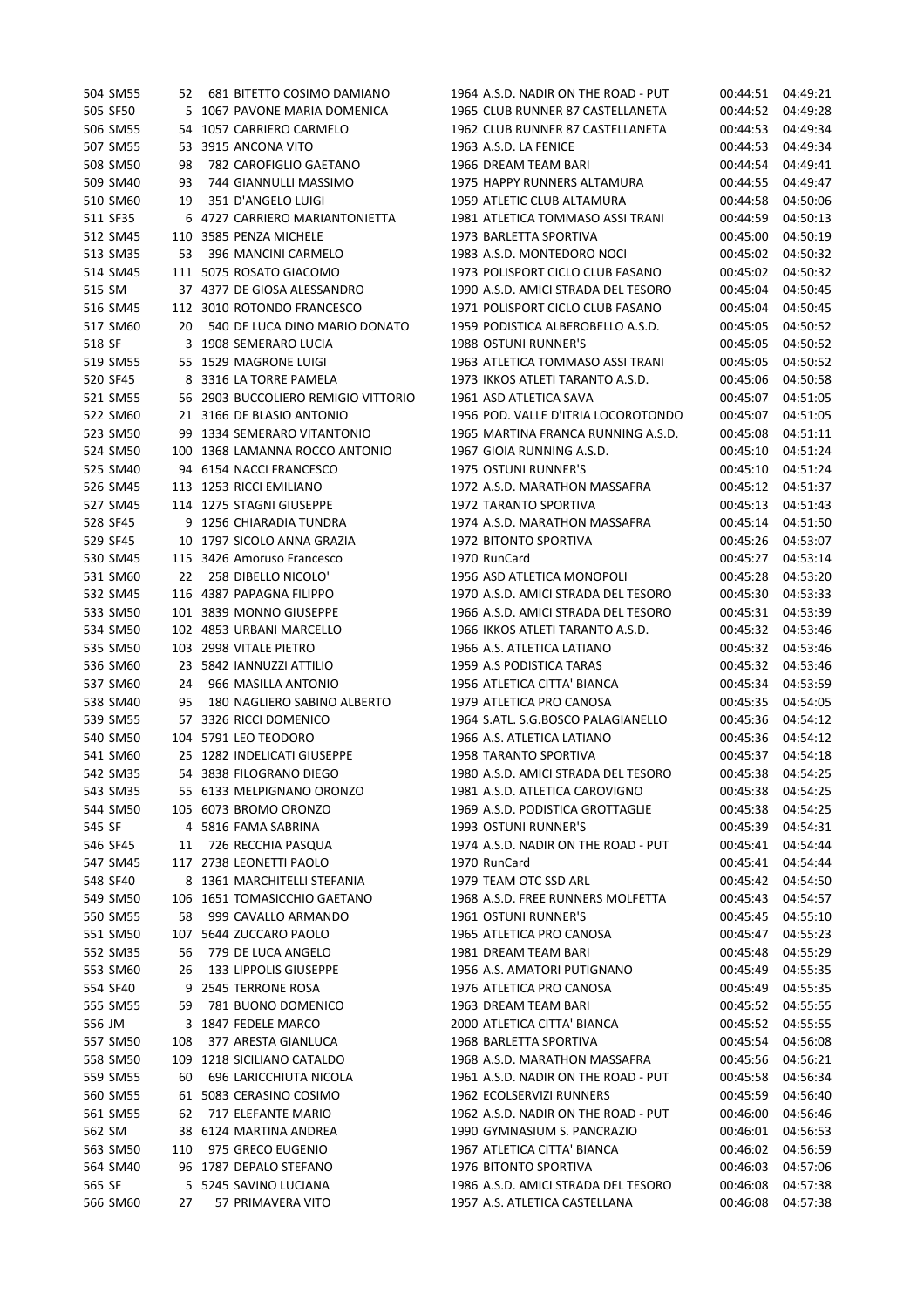|        | 504 SM55 | 52  | 681 BITETTO COSIMO DAMIANO          | 1964 A.S.D. NADIR ON THE ROAD - PUT | 00:44:51 | 04:49:21 |
|--------|----------|-----|-------------------------------------|-------------------------------------|----------|----------|
|        | 505 SF50 |     | 5 1067 PAVONE MARIA DOMENICA        | 1965 CLUB RUNNER 87 CASTELLANETA    | 00:44:52 | 04:49:28 |
|        | 506 SM55 |     | 54 1057 CARRIERO CARMELO            | 1962 CLUB RUNNER 87 CASTELLANETA    | 00:44:53 | 04:49:34 |
|        | 507 SM55 |     | 53 3915 ANCONA VITO                 | 1963 A.S.D. LA FENICE               | 00:44:53 | 04:49:34 |
|        | 508 SM50 | 98  | 782 CAROFIGLIO GAETANO              | 1966 DREAM TEAM BARI                | 00:44:54 | 04:49:41 |
|        | 509 SM40 | 93  | 744 GIANNULLI MASSIMO               | 1975 HAPPY RUNNERS ALTAMURA         | 00:44:55 | 04:49:47 |
|        | 510 SM60 | 19  | 351 D'ANGELO LUIGI                  | 1959 ATLETIC CLUB ALTAMURA          | 00:44:58 | 04:50:06 |
|        | 511 SF35 |     | 6 4727 CARRIERO MARIANTONIETTA      | 1981 ATLETICA TOMMASO ASSI TRANI    | 00:44:59 | 04:50:13 |
|        | 512 SM45 |     | 110 3585 PENZA MICHELE              | 1973 BARLETTA SPORTIVA              | 00:45:00 | 04:50:19 |
|        | 513 SM35 | 53  | 396 MANCINI CARMELO                 | 1983 A.S.D. MONTEDORO NOCI          | 00:45:02 | 04:50:32 |
|        | 514 SM45 |     | 111 5075 ROSATO GIACOMO             | 1973 POLISPORT CICLO CLUB FASANO    | 00:45:02 | 04:50:32 |
| 515 SM |          |     | 37 4377 DE GIOSA ALESSANDRO         | 1990 A.S.D. AMICI STRADA DEL TESORO | 00:45:04 | 04:50:45 |
|        | 516 SM45 |     | 112 3010 ROTONDO FRANCESCO          | 1971 POLISPORT CICLO CLUB FASANO    | 00:45:04 | 04:50:45 |
|        | 517 SM60 | 20  | 540 DE LUCA DINO MARIO DONATO       | 1959 PODISTICA ALBEROBELLO A.S.D.   | 00:45:05 | 04:50:52 |
| 518 SF |          |     | 3 1908 SEMERARO LUCIA               | 1988 OSTUNI RUNNER'S                | 00:45:05 | 04:50:52 |
|        | 519 SM55 |     | 55 1529 MAGRONE LUIGI               | 1963 ATLETICA TOMMASO ASSI TRANI    | 00:45:05 | 04:50:52 |
|        | 520 SF45 |     | 8 3316 LA TORRE PAMELA              | 1973 IKKOS ATLETI TARANTO A.S.D.    | 00:45:06 | 04:50:58 |
|        | 521 SM55 |     | 56 2903 BUCCOLIERO REMIGIO VITTORIO | 1961 ASD ATLETICA SAVA              | 00:45:07 | 04:51:05 |
|        | 522 SM60 |     | 21 3166 DE BLASIO ANTONIO           | 1956 POD. VALLE D'ITRIA LOCOROTONDO | 00:45:07 | 04:51:05 |
|        | 523 SM50 |     | 99 1334 SEMERARO VITANTONIO         | 1965 MARTINA FRANCA RUNNING A.S.D.  | 00:45:08 | 04:51:11 |
|        | 524 SM50 |     | 100 1368 LAMANNA ROCCO ANTONIO      | 1967 GIOIA RUNNING A.S.D.           | 00:45:10 | 04:51:24 |
|        | 525 SM40 |     | 94 6154 NACCI FRANCESCO             | 1975 OSTUNI RUNNER'S                | 00:45:10 | 04:51:24 |
|        | 526 SM45 |     | 113 1253 RICCI EMILIANO             | 1972 A.S.D. MARATHON MASSAFRA       | 00:45:12 | 04:51:37 |
|        | 527 SM45 |     | 114 1275 STAGNI GIUSEPPE            | 1972 TARANTO SPORTIVA               | 00:45:13 | 04:51:43 |
|        | 528 SF45 |     | 9 1256 CHIARADIA TUNDRA             | 1974 A.S.D. MARATHON MASSAFRA       | 00:45:14 | 04:51:50 |
|        | 529 SF45 |     | 10 1797 SICOLO ANNA GRAZIA          | 1972 BITONTO SPORTIVA               | 00:45:26 | 04:53:07 |
|        | 530 SM45 |     | 115 3426 Amoruso Francesco          | 1970 RunCard                        | 00:45:27 | 04:53:14 |
|        | 531 SM60 | 22  | 258 DIBELLO NICOLO'                 | 1956 ASD ATLETICA MONOPOLI          | 00:45:28 | 04:53:20 |
|        | 532 SM45 |     | 116 4387 PAPAGNA FILIPPO            | 1970 A.S.D. AMICI STRADA DEL TESORO | 00:45:30 | 04:53:33 |
|        | 533 SM50 |     | 101 3839 MONNO GIUSEPPE             | 1966 A.S.D. AMICI STRADA DEL TESORO | 00:45:31 | 04:53:39 |
|        | 534 SM50 |     | 102 4853 URBANI MARCELLO            | 1966 IKKOS ATLETI TARANTO A.S.D.    | 00:45:32 | 04:53:46 |
|        | 535 SM50 |     | 103 2998 VITALE PIETRO              | 1966 A.S. ATLETICA LATIANO          | 00:45:32 | 04:53:46 |
|        | 536 SM60 |     | 23 5842 IANNUZZI ATTILIO            | 1959 A.S PODISTICA TARAS            | 00:45:32 | 04:53:46 |
|        | 537 SM60 | 24  | 966 MASILLA ANTONIO                 | 1956 ATLETICA CITTA' BIANCA         | 00:45:34 | 04:53:59 |
|        | 538 SM40 | 95  | 180 NAGLIERO SABINO ALBERTO         | 1979 ATLETICA PRO CANOSA            | 00:45:35 | 04:54:05 |
|        | 539 SM55 |     | 57 3326 RICCI DOMENICO              | 1964 S.ATL. S.G.BOSCO PALAGIANELLO  | 00:45:36 | 04:54:12 |
|        | 540 SM50 |     | 104 5791 LEO TEODORO                | 1966 A.S. ATLETICA LATIANO          | 00:45:36 | 04:54:12 |
|        | 541 SM60 |     | 25 1282 INDELICATI GIUSEPPE         | <b>1958 TARANTO SPORTIVA</b>        | 00:45:37 | 04:54:18 |
|        | 542 SM35 |     | 54 3838 FILOGRANO DIEGO             | 1980 A.S.D. AMICI STRADA DEL TESORO | 00:45:38 | 04:54:25 |
|        | 543 SM35 |     | 55 6133 MELPIGNANO ORONZO           | 1981 A.S.D. ATLETICA CAROVIGNO      | 00:45:38 | 04:54:25 |
|        | 544 SM50 |     | 105 6073 BROMO ORONZO               | 1969 A.S.D. PODISTICA GROTTAGLIE    | 00:45:38 | 04:54:25 |
| 545 SF |          |     | 4 5816 FAMA SABRINA                 | 1993 OSTUNI RUNNER'S                | 00:45:39 | 04:54:31 |
|        | 546 SF45 | 11  | 726 RECCHIA PASQUA                  | 1974 A.S.D. NADIR ON THE ROAD - PUT | 00:45:41 | 04:54:44 |
|        | 547 SM45 |     | 117 2738 LEONETTI PAOLO             | 1970 RunCard                        | 00:45:41 | 04:54:44 |
|        | 548 SF40 |     | 8 1361 MARCHITELLI STEFANIA         | 1979 TEAM OTC SSD ARL               | 00:45:42 | 04:54:50 |
|        | 549 SM50 |     | 106 1651 TOMASICCHIO GAETANO        | 1968 A.S.D. FREE RUNNERS MOLFETTA   | 00:45:43 | 04:54:57 |
|        | 550 SM55 | 58  | 999 CAVALLO ARMANDO                 | 1961 OSTUNI RUNNER'S                | 00:45:45 | 04:55:10 |
|        | 551 SM50 |     | 107 5644 ZUCCARO PAOLO              | 1965 ATLETICA PRO CANOSA            | 00:45:47 | 04:55:23 |
|        | 552 SM35 | 56  | 779 DE LUCA ANGELO                  | 1981 DREAM TEAM BARI                | 00:45:48 | 04:55:29 |
|        | 553 SM60 | 26  | 133 LIPPOLIS GIUSEPPE               | 1956 A.S. AMATORI PUTIGNANO         | 00:45:49 | 04:55:35 |
|        | 554 SF40 |     | 9 2545 TERRONE ROSA                 | 1976 ATLETICA PRO CANOSA            | 00:45:49 | 04:55:35 |
|        | 555 SM55 | 59  | 781 BUONO DOMENICO                  | 1963 DREAM TEAM BARI                | 00:45:52 | 04:55:55 |
| 556 JM |          |     | 3 1847 FEDELE MARCO                 | 2000 ATLETICA CITTA' BIANCA         | 00:45:52 | 04:55:55 |
|        | 557 SM50 | 108 | 377 ARESTA GIANLUCA                 | 1968 BARLETTA SPORTIVA              | 00:45:54 | 04:56:08 |
|        | 558 SM50 |     | 109 1218 SICILIANO CATALDO          | 1968 A.S.D. MARATHON MASSAFRA       | 00:45:56 | 04:56:21 |
|        | 559 SM55 | 60  | 696 LARICCHIUTA NICOLA              | 1961 A.S.D. NADIR ON THE ROAD - PUT | 00:45:58 | 04:56:34 |
|        |          |     | 61 5083 CERASINO COSIMO             | 1962 ECOLSERVIZI RUNNERS            |          | 04:56:40 |
|        | 560 SM55 |     |                                     |                                     | 00:45:59 |          |
|        | 561 SM55 | 62  | 717 ELEFANTE MARIO                  | 1962 A.S.D. NADIR ON THE ROAD - PUT | 00:46:00 | 04:56:46 |
| 562 SM |          |     | 38 6124 MARTINA ANDREA              | 1990 GYMNASIUM S. PANCRAZIO         | 00:46:01 | 04:56:53 |
|        | 563 SM50 | 110 | 975 GRECO EUGENIO                   | 1967 ATLETICA CITTA' BIANCA         | 00:46:02 | 04:56:59 |
|        | 564 SM40 |     | 96 1787 DEPALO STEFANO              | 1976 BITONTO SPORTIVA               | 00:46:03 | 04:57:06 |
| 565 SF |          |     | 5 5245 SAVINO LUCIANA               | 1986 A.S.D. AMICI STRADA DEL TESORO | 00:46:08 | 04:57:38 |
|        | 566 SM60 | 27  | 57 PRIMAVERA VITO                   | 1957 A.S. ATLETICA CASTELLANA       | 00:46:08 | 04:57:38 |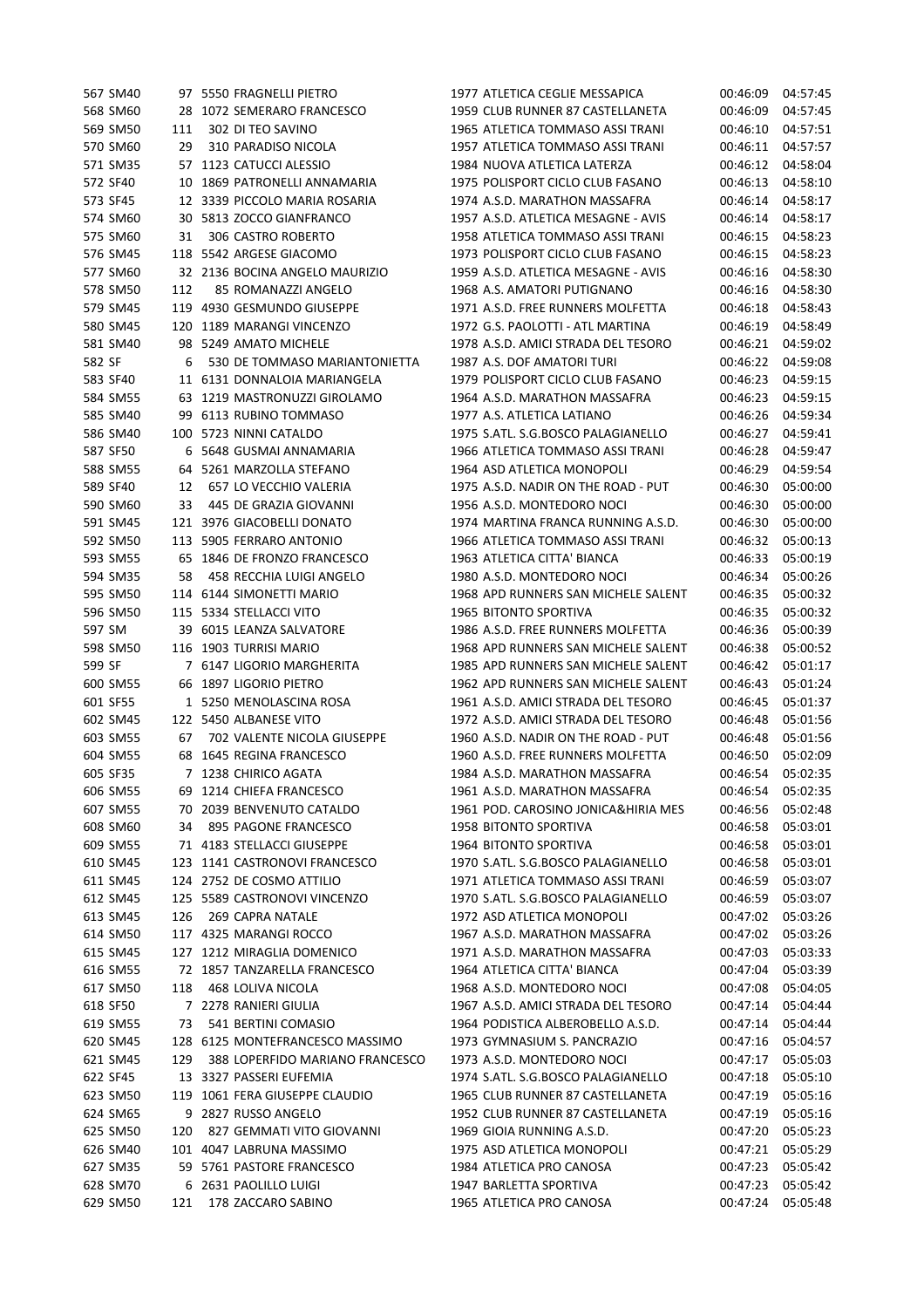|        | 567 SM40 |     | 97 5550 FRAGNELLI PIETRO        | 1977 ATLETICA CEGLIE MESSAPICA      | 00:46:09 | 04:57:45             |
|--------|----------|-----|---------------------------------|-------------------------------------|----------|----------------------|
|        | 568 SM60 | 28  | 1072 SEMERARO FRANCESCO         | 1959 CLUB RUNNER 87 CASTELLANETA    | 00:46:09 | 04:57:45             |
|        | 569 SM50 | 111 | 302 DI TEO SAVINO               | 1965 ATLETICA TOMMASO ASSI TRANI    | 00:46:10 | 04:57:51             |
|        | 570 SM60 | 29  | 310 PARADISO NICOLA             | 1957 ATLETICA TOMMASO ASSI TRANI    | 00:46:11 | 04:57:57             |
|        | 571 SM35 |     | 57 1123 CATUCCI ALESSIO         | 1984 NUOVA ATLETICA LATERZA         | 00:46:12 | 04:58:04             |
|        | 572 SF40 |     | 10 1869 PATRONELLI ANNAMARIA    | 1975 POLISPORT CICLO CLUB FASANO    | 00:46:13 | 04:58:10             |
|        | 573 SF45 |     | 12 3339 PICCOLO MARIA ROSARIA   | 1974 A.S.D. MARATHON MASSAFRA       | 00:46:14 | 04:58:17             |
|        | 574 SM60 | 30  | 5813 ZOCCO GIANFRANCO           | 1957 A.S.D. ATLETICA MESAGNE - AVIS | 00:46:14 | 04:58:17             |
|        | 575 SM60 | 31  | 306 CASTRO ROBERTO              | 1958 ATLETICA TOMMASO ASSI TRANI    | 00:46:15 | 04:58:23             |
|        | 576 SM45 |     | 118 5542 ARGESE GIACOMO         | 1973 POLISPORT CICLO CLUB FASANO    | 00:46:15 | 04:58:23             |
|        | 577 SM60 |     | 32 2136 BOCINA ANGELO MAURIZIO  | 1959 A.S.D. ATLETICA MESAGNE - AVIS | 00:46:16 | 04:58:30             |
|        | 578 SM50 | 112 | 85 ROMANAZZI ANGELO             | 1968 A.S. AMATORI PUTIGNANO         | 00:46:16 | 04:58:30             |
|        | 579 SM45 |     | 119 4930 GESMUNDO GIUSEPPE      | 1971 A.S.D. FREE RUNNERS MOLFETTA   | 00:46:18 | 04:58:43             |
|        | 580 SM45 |     | 120 1189 MARANGI VINCENZO       | 1972 G.S. PAOLOTTI - ATL MARTINA    | 00:46:19 | 04:58:49             |
|        | 581 SM40 |     | 98 5249 AMATO MICHELE           | 1978 A.S.D. AMICI STRADA DEL TESORO | 00:46:21 | 04:59:02             |
| 582 SF |          | 6   | 530 DE TOMMASO MARIANTONIETTA   | 1987 A.S. DOF AMATORI TURI          | 00:46:22 | 04:59:08             |
|        | 583 SF40 |     | 11 6131 DONNALOIA MARIANGELA    | 1979 POLISPORT CICLO CLUB FASANO    | 00:46:23 | 04:59:15             |
|        | 584 SM55 |     | 63 1219 MASTRONUZZI GIROLAMO    | 1964 A.S.D. MARATHON MASSAFRA       | 00:46:23 | 04:59:15             |
|        | 585 SM40 | 99  | 6113 RUBINO TOMMASO             | 1977 A.S. ATLETICA LATIANO          | 00:46:26 | 04:59:34             |
|        | 586 SM40 |     | 100 5723 NINNI CATALDO          | 1975 S.ATL. S.G.BOSCO PALAGIANELLO  | 00:46:27 | 04:59:41             |
|        | 587 SF50 |     | 6 5648 GUSMAI ANNAMARIA         | 1966 ATLETICA TOMMASO ASSI TRANI    | 00:46:28 | 04:59:47             |
|        | 588 SM55 |     | 64 5261 MARZOLLA STEFANO        | 1964 ASD ATLETICA MONOPOLI          | 00:46:29 | 04:59:54             |
|        | 589 SF40 | 12  | 657 LO VECCHIO VALERIA          | 1975 A.S.D. NADIR ON THE ROAD - PUT | 00:46:30 | 05:00:00             |
|        | 590 SM60 | 33  | 445 DE GRAZIA GIOVANNI          | 1956 A.S.D. MONTEDORO NOCI          | 00:46:30 | 05:00:00             |
|        | 591 SM45 |     | 121 3976 GIACOBELLI DONATO      | 1974 MARTINA FRANCA RUNNING A.S.D.  | 00:46:30 | 05:00:00             |
|        | 592 SM50 |     | 113 5905 FERRARO ANTONIO        | 1966 ATLETICA TOMMASO ASSI TRANI    | 00:46:32 | 05:00:13             |
|        | 593 SM55 |     | 65 1846 DE FRONZO FRANCESCO     | 1963 ATLETICA CITTA' BIANCA         | 00:46:33 | 05:00:19             |
|        | 594 SM35 | 58  | 458 RECCHIA LUIGI ANGELO        | 1980 A.S.D. MONTEDORO NOCI          | 00:46:34 | 05:00:26             |
|        | 595 SM50 |     | 114 6144 SIMONETTI MARIO        | 1968 APD RUNNERS SAN MICHELE SALENT | 00:46:35 | 05:00:32             |
|        | 596 SM50 |     | 115 5334 STELLACCI VITO         | 1965 BITONTO SPORTIVA               | 00:46:35 | 05:00:32             |
| 597 SM |          |     | 39 6015 LEANZA SALVATORE        | 1986 A.S.D. FREE RUNNERS MOLFETTA   | 00:46:36 | 05:00:39             |
|        | 598 SM50 |     | 116 1903 TURRISI MARIO          | 1968 APD RUNNERS SAN MICHELE SALENT | 00:46:38 | 05:00:52             |
| 599 SF |          |     | 7 6147 LIGORIO MARGHERITA       | 1985 APD RUNNERS SAN MICHELE SALENT | 00:46:42 | 05:01:17             |
|        | 600 SM55 |     | 66 1897 LIGORIO PIETRO          | 1962 APD RUNNERS SAN MICHELE SALENT | 00:46:43 | 05:01:24             |
|        | 601 SF55 |     | 1 5250 MENOLASCINA ROSA         | 1961 A.S.D. AMICI STRADA DEL TESORO | 00:46:45 | 05:01:37             |
|        | 602 SM45 |     | 122 5450 ALBANESE VITO          | 1972 A.S.D. AMICI STRADA DEL TESORO | 00:46:48 | 05:01:56             |
|        | 603 SM55 | 67  | 702 VALENTE NICOLA GIUSEPPE     | 1960 A.S.D. NADIR ON THE ROAD - PUT | 00:46:48 | 05:01:56             |
|        | 604 SM55 |     | 68 1645 REGINA FRANCESCO        | 1960 A.S.D. FREE RUNNERS MOLFETTA   | 00:46:50 | 05:02:09             |
|        | 605 SF35 |     | 7 1238 CHIRICO AGATA            | 1984 A.S.D. MARATHON MASSAFRA       | 00:46:54 | 05:02:35             |
|        | 606 SM55 |     | 69 1214 CHIEFA FRANCESCO        | 1961 A.S.D. MARATHON MASSAFRA       | 00:46:54 | 05:02:35             |
|        | 607 SM55 |     | 70 2039 BENVENUTO CATALDO       | 1961 POD. CAROSINO JONICA&HIRIA MES | 00:46:56 | 05:02:48             |
|        | 608 SM60 | 34  | 895 PAGONE FRANCESCO            | 1958 BITONTO SPORTIVA               | 00:46:58 | 05:03:01             |
|        | 609 SM55 |     | 71 4183 STELLACCI GIUSEPPE      | 1964 BITONTO SPORTIVA               | 00:46:58 | 05:03:01             |
|        | 610 SM45 |     | 123 1141 CASTRONOVI FRANCESCO   | 1970 S.ATL. S.G.BOSCO PALAGIANELLO  | 00:46:58 | 05:03:01             |
|        | 611 SM45 |     | 124 2752 DE COSMO ATTILIO       | 1971 ATLETICA TOMMASO ASSI TRANI    | 00:46:59 | 05:03:07             |
|        | 612 SM45 |     | 125 5589 CASTRONOVI VINCENZO    | 1970 S.ATL. S.G.BOSCO PALAGIANELLO  |          | 05:03:07             |
|        |          |     | <b>269 CAPRA NATALE</b>         |                                     | 00:46:59 |                      |
|        | 613 SM45 | 126 | 117 4325 MARANGI ROCCO          | 1972 ASD ATLETICA MONOPOLI          | 00:47:02 | 05:03:26             |
|        | 614 SM50 |     |                                 | 1967 A.S.D. MARATHON MASSAFRA       | 00:47:02 | 05:03:26<br>05:03:33 |
|        | 615 SM45 |     | 127 1212 MIRAGLIA DOMENICO      | 1971 A.S.D. MARATHON MASSAFRA       | 00:47:03 |                      |
|        | 616 SM55 |     | 72 1857 TANZARELLA FRANCESCO    | 1964 ATLETICA CITTA' BIANCA         | 00:47:04 | 05:03:39             |
|        | 617 SM50 | 118 | 468 LOLIVA NICOLA               | 1968 A.S.D. MONTEDORO NOCI          | 00:47:08 | 05:04:05             |
|        | 618 SF50 |     | 7 2278 RANIERI GIULIA           | 1967 A.S.D. AMICI STRADA DEL TESORO | 00:47:14 | 05:04:44             |
|        | 619 SM55 | 73  | 541 BERTINI COMASIO             | 1964 PODISTICA ALBEROBELLO A.S.D.   | 00:47:14 | 05:04:44             |
|        | 620 SM45 |     | 128 6125 MONTEFRANCESCO MASSIMO | 1973 GYMNASIUM S. PANCRAZIO         | 00:47:16 | 05:04:57             |
|        | 621 SM45 | 129 | 388 LOPERFIDO MARIANO FRANCESCO | 1973 A.S.D. MONTEDORO NOCI          | 00:47:17 | 05:05:03             |
|        | 622 SF45 |     | 13 3327 PASSERI EUFEMIA         | 1974 S.ATL. S.G.BOSCO PALAGIANELLO  | 00:47:18 | 05:05:10             |
|        | 623 SM50 |     | 119 1061 FERA GIUSEPPE CLAUDIO  | 1965 CLUB RUNNER 87 CASTELLANETA    | 00:47:19 | 05:05:16             |
|        | 624 SM65 |     | 9 2827 RUSSO ANGELO             | 1952 CLUB RUNNER 87 CASTELLANETA    | 00:47:19 | 05:05:16             |
|        | 625 SM50 | 120 | 827 GEMMATI VITO GIOVANNI       | 1969 GIOIA RUNNING A.S.D.           | 00:47:20 | 05:05:23             |
|        | 626 SM40 |     | 101 4047 LABRUNA MASSIMO        | 1975 ASD ATLETICA MONOPOLI          | 00:47:21 | 05:05:29             |
|        | 627 SM35 |     | 59 5761 PASTORE FRANCESCO       | 1984 ATLETICA PRO CANOSA            | 00:47:23 | 05:05:42             |
|        | 628 SM70 |     | 6 2631 PAOLILLO LUIGI           | 1947 BARLETTA SPORTIVA              | 00:47:23 | 05:05:42             |
|        | 629 SM50 | 121 | 178 ZACCARO SABINO              | 1965 ATLETICA PRO CANOSA            | 00:47:24 | 05:05:48             |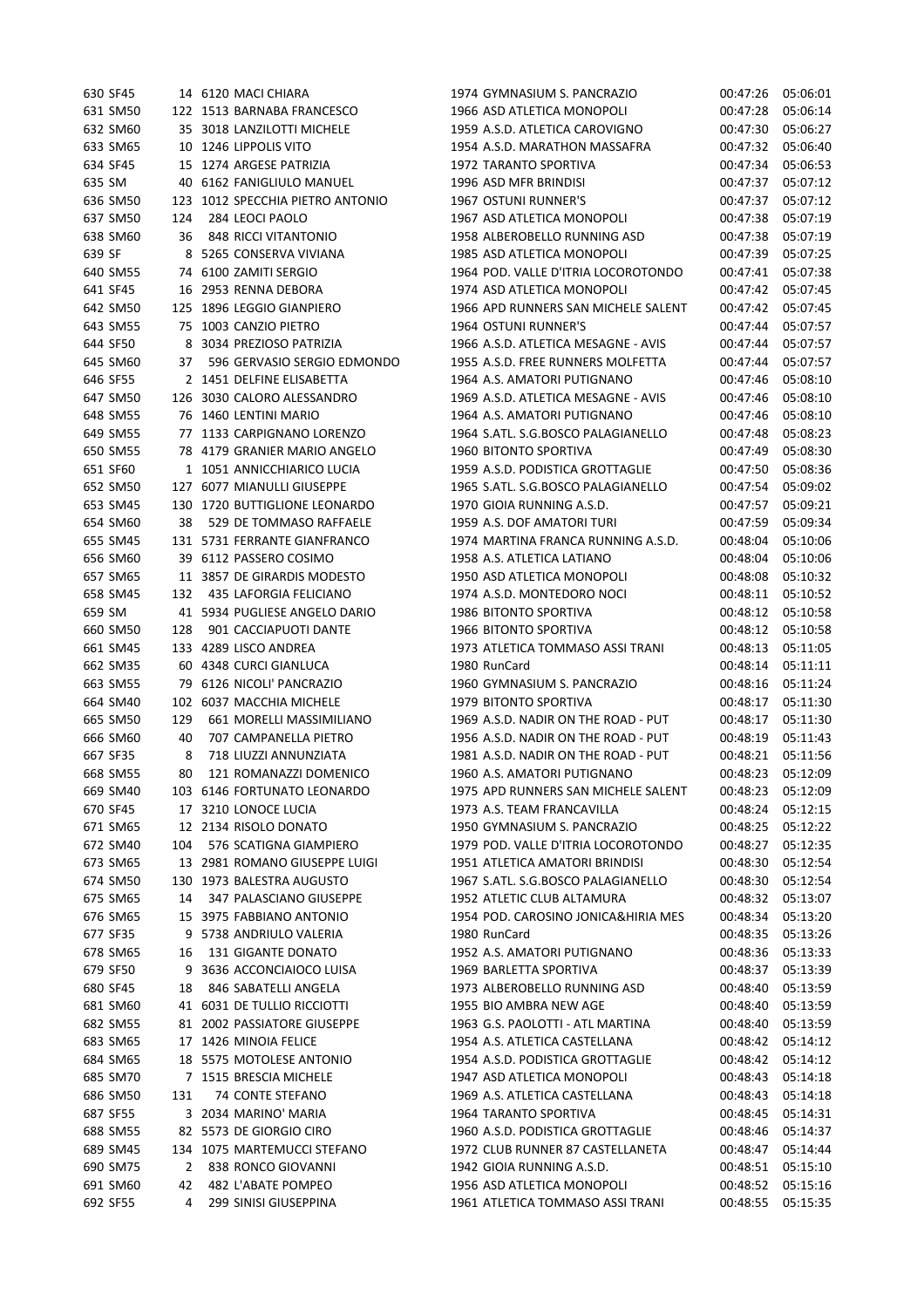| 630 SF45             |     | 14 6120 MACI CHIARA           | 1974 GYMNASIUM S. PANCRAZIO         | 00:47:26             | 05:06:01 |
|----------------------|-----|-------------------------------|-------------------------------------|----------------------|----------|
| 631 SM50             |     | 122 1513 BARNABA FRANCESCO    | 1966 ASD ATLETICA MONOPOLI          | 00:47:28             | 05:06:14 |
| 632 SM60             |     | 35 3018 LANZILOTTI MICHELE    | 1959 A.S.D. ATLETICA CAROVIGNO      | 00:47:30             | 05:06:27 |
| 633 SM65             |     | 10 1246 LIPPOLIS VITO         | 1954 A.S.D. MARATHON MASSAFRA       | 00:47:32             | 05:06:40 |
| 634 SF45             |     | 15 1274 ARGESE PATRIZIA       | 1972 TARANTO SPORTIVA               | 00:47:34             | 05:06:53 |
| 635 SM               |     | 40 6162 FANIGLIULO MANUEL     | 1996 ASD MFR BRINDISI               | 00:47:37             | 05:07:12 |
| 636 SM50             | 123 | 1012 SPECCHIA PIETRO ANTONIO  | <b>1967 OSTUNI RUNNER'S</b>         | 00:47:37             | 05:07:12 |
| 637 SM50             | 124 | 284 LEOCI PAOLO               | 1967 ASD ATLETICA MONOPOLI          | 00:47:38             | 05:07:19 |
| 638 SM60             | 36  | 848 RICCI VITANTONIO          | 1958 ALBEROBELLO RUNNING ASD        | 00:47:38             | 05:07:19 |
| 639 SF               |     | 8 5265 CONSERVA VIVIANA       | 1985 ASD ATLETICA MONOPOLI          | 00:47:39             | 05:07:25 |
| 640 SM55             |     | 74 6100 ZAMITI SERGIO         | 1964 POD. VALLE D'ITRIA LOCOROTONDO | 00:47:41             | 05:07:38 |
| 641 SF45             |     | 16 2953 RENNA DEBORA          | 1974 ASD ATLETICA MONOPOLI          | 00:47:42             | 05:07:45 |
| 642 SM50             |     | 125 1896 LEGGIO GIANPIERO     | 1966 APD RUNNERS SAN MICHELE SALENT | 00:47:42             | 05:07:45 |
| 643 SM55             |     | 75 1003 CANZIO PIETRO         | 1964 OSTUNI RUNNER'S                | 00:47:44             | 05:07:57 |
| 644 SF50             |     | 8 3034 PREZIOSO PATRIZIA      | 1966 A.S.D. ATLETICA MESAGNE - AVIS | 00:47:44             | 05:07:57 |
| 645 SM60             | 37  | 596 GERVASIO SERGIO EDMONDO   | 1955 A.S.D. FREE RUNNERS MOLFETTA   | 00:47:44             | 05:07:57 |
| 646 SF55             |     | 2 1451 DELFINE ELISABETTA     | 1964 A.S. AMATORI PUTIGNANO         | 00:47:46             | 05:08:10 |
| 647 SM50             |     | 126 3030 CALORO ALESSANDRO    | 1969 A.S.D. ATLETICA MESAGNE - AVIS | 00:47:46             | 05:08:10 |
| 648 SM55             |     | 76 1460 LENTINI MARIO         | 1964 A.S. AMATORI PUTIGNANO         | 00:47:46             | 05:08:10 |
| 649 SM55             |     | 77 1133 CARPIGNANO LORENZO    | 1964 S.ATL. S.G.BOSCO PALAGIANELLO  | 00:47:48             | 05:08:23 |
| 650 SM55             |     | 78 4179 GRANIER MARIO ANGELO  | 1960 BITONTO SPORTIVA               | 00:47:49             | 05:08:30 |
| 651 SF60             |     | 1 1051 ANNICCHIARICO LUCIA    | 1959 A.S.D. PODISTICA GROTTAGLIE    | 00:47:50             | 05:08:36 |
| 652 SM50             |     | 127 6077 MIANULLI GIUSEPPE    | 1965 S.ATL. S.G.BOSCO PALAGIANELLO  | 00:47:54             | 05:09:02 |
| 653 SM45             |     | 130 1720 BUTTIGLIONE LEONARDO | 1970 GIOIA RUNNING A.S.D.           | 00:47:57             | 05:09:21 |
| 654 SM60             | 38  | 529 DE TOMMASO RAFFAELE       | 1959 A.S. DOF AMATORI TURI          | 00:47:59             | 05:09:34 |
| 655 SM45             |     | 131 5731 FERRANTE GIANFRANCO  | 1974 MARTINA FRANCA RUNNING A.S.D.  | 00:48:04             | 05:10:06 |
| 656 SM60             |     | 39 6112 PASSERO COSIMO        | 1958 A.S. ATLETICA LATIANO          | 00:48:04             | 05:10:06 |
| 657 SM65             |     | 11 3857 DE GIRARDIS MODESTO   | 1950 ASD ATLETICA MONOPOLI          | 00:48:08             | 05:10:32 |
| 658 SM45             | 132 | 435 LAFORGIA FELICIANO        | 1974 A.S.D. MONTEDORO NOCI          | 00:48:11             | 05:10:52 |
| 659 SM               |     | 41 5934 PUGLIESE ANGELO DARIO | 1986 BITONTO SPORTIVA               | 00:48:12             | 05:10:58 |
| 660 SM50             | 128 | 901 CACCIAPUOTI DANTE         | 1966 BITONTO SPORTIVA               | 00:48:12             | 05:10:58 |
| 661 SM45             |     | 133 4289 LISCO ANDREA         | 1973 ATLETICA TOMMASO ASSI TRANI    | 00:48:13             | 05:11:05 |
| 662 SM35             |     | 60 4348 CURCI GIANLUCA        | 1980 RunCard                        | 00:48:14             | 05:11:11 |
| 663 SM55             | 79  | 6126 NICOLI' PANCRAZIO        | 1960 GYMNASIUM S. PANCRAZIO         | 00:48:16             | 05:11:24 |
| 664 SM40             |     | 102 6037 MACCHIA MICHELE      | <b>1979 BITONTO SPORTIVA</b>        | 00:48:17             | 05:11:30 |
| 665 SM50             | 129 | 661 MORELLI MASSIMILIANO      | 1969 A.S.D. NADIR ON THE ROAD - PUT | 00:48:17             | 05:11:30 |
| 666 SM60             | 40  | 707 CAMPANELLA PIETRO         | 1956 A.S.D. NADIR ON THE ROAD - PUT | 00:48:19             | 05:11:43 |
| 667 SF35             | 8   | 718 LIUZZI ANNUNZIATA         | 1981 A.S.D. NADIR ON THE ROAD - PUT | 00:48:21             | 05:11:56 |
| 668 SM55             | 80  | 121 ROMANAZZI DOMENICO        | 1960 A.S. AMATORI PUTIGNANO         | 00:48:23             | 05:12:09 |
| 669 SM40             |     | 103 6146 FORTUNATO LEONARDO   | 1975 APD RUNNERS SAN MICHELE SALENT | 00:48:23             | 05:12:09 |
| 670 SF45             |     | 17 3210 LONOCE LUCIA          | 1973 A.S. TEAM FRANCAVILLA          | 00:48:24             | 05:12:15 |
|                      |     | 12 2134 RISOLO DONATO         | 1950 GYMNASIUM S. PANCRAZIO         |                      | 05:12:22 |
| 671 SM65<br>672 SM40 |     | 576 SCATIGNA GIAMPIERO        | 1979 POD. VALLE D'ITRIA LOCOROTONDO | 00:48:25<br>00:48:27 | 05:12:35 |
| 673 SM65             | 104 |                               | 1951 ATLETICA AMATORI BRINDISI      | 00:48:30             | 05:12:54 |
|                      |     | 13 2981 ROMANO GIUSEPPE LUIGI |                                     |                      |          |
| 674 SM50             |     | 130 1973 BALESTRA AUGUSTO     | 1967 S.ATL. S.G.BOSCO PALAGIANELLO  | 00:48:30             | 05:12:54 |
| 675 SM65             | 14  | 347 PALASCIANO GIUSEPPE       | 1952 ATLETIC CLUB ALTAMURA          | 00:48:32             | 05:13:07 |
| 676 SM65             |     | 15 3975 FABBIANO ANTONIO      | 1954 POD. CAROSINO JONICA&HIRIA MES | 00:48:34             | 05:13:20 |
| 677 SF35             | 9   | 5738 ANDRIULO VALERIA         | 1980 RunCard                        | 00:48:35             | 05:13:26 |
| 678 SM65             | 16  | 131 GIGANTE DONATO            | 1952 A.S. AMATORI PUTIGNANO         | 00:48:36             | 05:13:33 |
| 679 SF50             | 9   | 3636 ACCONCIAIOCO LUISA       | 1969 BARLETTA SPORTIVA              | 00:48:37             | 05:13:39 |
| 680 SF45             | 18  | 846 SABATELLI ANGELA          | 1973 ALBEROBELLO RUNNING ASD        | 00:48:40             | 05:13:59 |
| 681 SM60             |     | 41 6031 DE TULLIO RICCIOTTI   | 1955 BIO AMBRA NEW AGE              | 00:48:40             | 05:13:59 |
| 682 SM55             |     | 81 2002 PASSIATORE GIUSEPPE   | 1963 G.S. PAOLOTTI - ATL MARTINA    | 00:48:40             | 05:13:59 |
| 683 SM65             |     | 17 1426 MINOIA FELICE         | 1954 A.S. ATLETICA CASTELLANA       | 00:48:42             | 05:14:12 |
| 684 SM65             |     | 18 5575 MOTOLESE ANTONIO      | 1954 A.S.D. PODISTICA GROTTAGLIE    | 00:48:42             | 05:14:12 |
| 685 SM70             |     | 7 1515 BRESCIA MICHELE        | 1947 ASD ATLETICA MONOPOLI          | 00:48:43             | 05:14:18 |
| 686 SM50             | 131 | 74 CONTE STEFANO              | 1969 A.S. ATLETICA CASTELLANA       | 00:48:43             | 05:14:18 |
| 687 SF55             |     | 3 2034 MARINO' MARIA          | 1964 TARANTO SPORTIVA               | 00:48:45             | 05:14:31 |
| 688 SM55             |     | 82 5573 DE GIORGIO CIRO       | 1960 A.S.D. PODISTICA GROTTAGLIE    | 00:48:46             | 05:14:37 |
| 689 SM45             |     | 134 1075 MARTEMUCCI STEFANO   | 1972 CLUB RUNNER 87 CASTELLANETA    | 00:48:47             | 05:14:44 |
| 690 SM75             | 2   | 838 RONCO GIOVANNI            | 1942 GIOIA RUNNING A.S.D.           | 00:48:51             | 05:15:10 |
| 691 SM60             | 42  | 482 L'ABATE POMPEO            | 1956 ASD ATLETICA MONOPOLI          | 00:48:52             | 05:15:16 |
| 692 SF55             | 4   | 299 SINISI GIUSEPPINA         | 1961 ATLETICA TOMMASO ASSI TRANI    | 00:48:55             | 05:15:35 |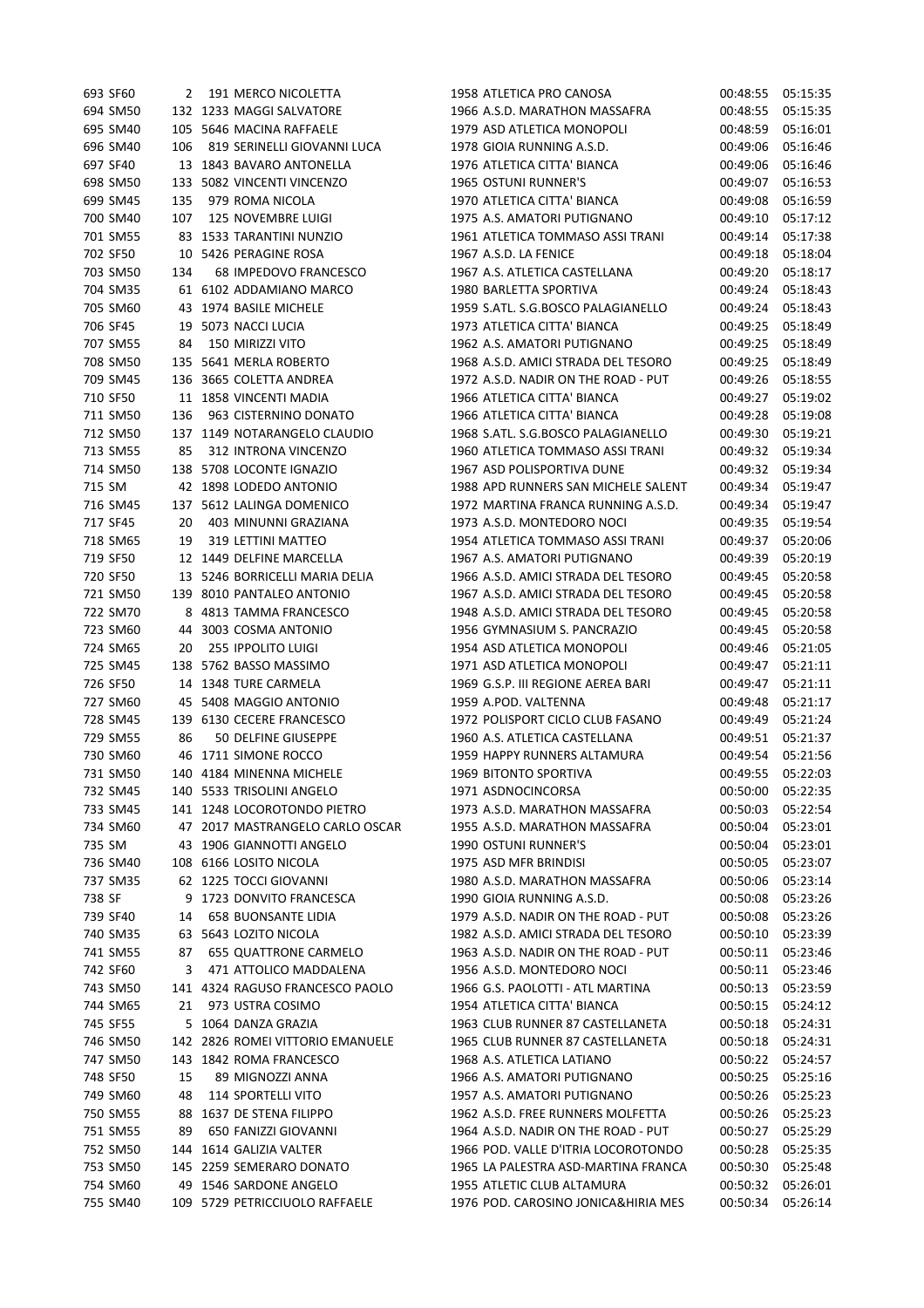|        | 693 SF60 | 2   | 191 MERCO NICOLETTA              | 1958 ATLETICA PRO CANOSA                    | 00:48:55 | 05:15:35 |
|--------|----------|-----|----------------------------------|---------------------------------------------|----------|----------|
|        | 694 SM50 |     | 132 1233 MAGGI SALVATORE         | 1966 A.S.D. MARATHON MASSAFRA               | 00:48:55 | 05:15:35 |
|        | 695 SM40 |     | 105 5646 MACINA RAFFAELE         | 1979 ASD ATLETICA MONOPOLI                  | 00:48:59 | 05:16:01 |
|        | 696 SM40 | 106 | 819 SERINELLI GIOVANNI LUCA      | 1978 GIOIA RUNNING A.S.D.                   | 00:49:06 | 05:16:46 |
|        | 697 SF40 |     | 13 1843 BAVARO ANTONELLA         | 1976 ATLETICA CITTA' BIANCA                 | 00:49:06 | 05:16:46 |
|        | 698 SM50 | 133 | 5082 VINCENTI VINCENZO           | 1965 OSTUNI RUNNER'S                        | 00:49:07 | 05:16:53 |
|        | 699 SM45 | 135 | 979 ROMA NICOLA                  | 1970 ATLETICA CITTA' BIANCA                 | 00:49:08 | 05:16:59 |
|        | 700 SM40 | 107 | 125 NOVEMBRE LUIGI               | 1975 A.S. AMATORI PUTIGNANO                 | 00:49:10 | 05:17:12 |
|        | 701 SM55 |     | 83 1533 TARANTINI NUNZIO         | 1961 ATLETICA TOMMASO ASSI TRANI            | 00:49:14 | 05:17:38 |
|        | 702 SF50 |     | 10 5426 PERAGINE ROSA            | 1967 A.S.D. LA FENICE                       | 00:49:18 | 05:18:04 |
|        | 703 SM50 | 134 | 68 IMPEDOVO FRANCESCO            | 1967 A.S. ATLETICA CASTELLANA               | 00:49:20 | 05:18:17 |
|        | 704 SM35 |     | 61 6102 ADDAMIANO MARCO          | 1980 BARLETTA SPORTIVA                      | 00:49:24 | 05:18:43 |
|        | 705 SM60 |     | 43 1974 BASILE MICHELE           | 1959 S.ATL. S.G.BOSCO PALAGIANELLO          | 00:49:24 | 05:18:43 |
|        | 706 SF45 | 19  | 5073 NACCI LUCIA                 | 1973 ATLETICA CITTA' BIANCA                 | 00:49:25 | 05:18:49 |
|        | 707 SM55 | 84  | 150 MIRIZZI VITO                 | 1962 A.S. AMATORI PUTIGNANO                 | 00:49:25 | 05:18:49 |
|        | 708 SM50 |     | 135 5641 MERLA ROBERTO           | 1968 A.S.D. AMICI STRADA DEL TESORO         | 00:49:25 | 05:18:49 |
|        | 709 SM45 |     | 136 3665 COLETTA ANDREA          | 1972 A.S.D. NADIR ON THE ROAD - PUT         | 00:49:26 | 05:18:55 |
|        | 710 SF50 |     | 11 1858 VINCENTI MADIA           | 1966 ATLETICA CITTA' BIANCA                 | 00:49:27 | 05:19:02 |
|        | 711 SM50 | 136 | 963 CISTERNINO DONATO            | 1966 ATLETICA CITTA' BIANCA                 | 00:49:28 | 05:19:08 |
|        | 712 SM50 |     | 137 1149 NOTARANGELO CLAUDIO     | 1968 S.ATL. S.G.BOSCO PALAGIANELLO          | 00:49:30 | 05:19:21 |
|        | 713 SM55 | 85  | 312 INTRONA VINCENZO             | 1960 ATLETICA TOMMASO ASSI TRANI            | 00:49:32 | 05:19:34 |
|        | 714 SM50 |     | 138 5708 LOCONTE IGNAZIO         | 1967 ASD POLISPORTIVA DUNE                  | 00:49:32 | 05:19:34 |
| 715 SM |          |     | 42 1898 LODEDO ANTONIO           | 1988 APD RUNNERS SAN MICHELE SALENT         | 00:49:34 | 05:19:47 |
|        | 716 SM45 |     | 137 5612 LALINGA DOMENICO        | 1972 MARTINA FRANCA RUNNING A.S.D.          | 00:49:34 | 05:19:47 |
|        | 717 SF45 | 20  | 403 MINUNNI GRAZIANA             | 1973 A.S.D. MONTEDORO NOCI                  | 00:49:35 | 05:19:54 |
|        | 718 SM65 | 19  | 319 LETTINI MATTEO               | 1954 ATLETICA TOMMASO ASSI TRANI            | 00:49:37 | 05:20:06 |
|        | 719 SF50 |     | 12 1449 DELFINE MARCELLA         | 1967 A.S. AMATORI PUTIGNANO                 | 00:49:39 | 05:20:19 |
|        | 720 SF50 |     | 13 5246 BORRICELLI MARIA DELIA   | 1966 A.S.D. AMICI STRADA DEL TESORO         | 00:49:45 | 05:20:58 |
|        | 721 SM50 |     | 139 8010 PANTALEO ANTONIO        | 1967 A.S.D. AMICI STRADA DEL TESORO         | 00:49:45 | 05:20:58 |
|        | 722 SM70 | 8   | 4813 TAMMA FRANCESCO             | 1948 A.S.D. AMICI STRADA DEL TESORO         | 00:49:45 | 05:20:58 |
|        | 723 SM60 | 44  | 3003 COSMA ANTONIO               | 1956 GYMNASIUM S. PANCRAZIO                 | 00:49:45 | 05:20:58 |
|        | 724 SM65 | 20  | <b>255 IPPOLITO LUIGI</b>        | 1954 ASD ATLETICA MONOPOLI                  | 00:49:46 | 05:21:05 |
|        | 725 SM45 |     | 138 5762 BASSO MASSIMO           | 1971 ASD ATLETICA MONOPOLI                  | 00:49:47 | 05:21:11 |
|        | 726 SF50 |     | 14 1348 TURE CARMELA             | 1969 G.S.P. III REGIONE AEREA BARI          | 00:49:47 | 05:21:11 |
|        | 727 SM60 |     | 45 5408 MAGGIO ANTONIO           | 1959 A.POD. VALTENNA                        | 00:49:48 | 05:21:17 |
|        | 728 SM45 |     | 139 6130 CECERE FRANCESCO        | 1972 POLISPORT CICLO CLUB FASANO            | 00:49:49 | 05:21:24 |
|        | 729 SM55 | 86  | 50 DELFINE GIUSEPPE              | 1960 A.S. ATLETICA CASTELLANA               | 00:49:51 | 05:21:37 |
|        | 730 SM60 |     |                                  |                                             |          |          |
|        | 731 SM50 |     | 46 1711 SIMONE ROCCO             | 1959 HAPPY RUNNERS ALTAMURA                 | 00:49:54 | 05:21:56 |
|        |          |     | 140 4184 MINENNA MICHELE         | 1969 BITONTO SPORTIVA<br>1971 ASDNOCINCORSA | 00:49:55 | 05:22:03 |
|        | 732 SM45 |     | 140 5533 TRISOLINI ANGELO        |                                             | 00:50:00 | 05:22:35 |
|        | 733 SM45 |     | 141 1248 LOCOROTONDO PIETRO      | 1973 A.S.D. MARATHON MASSAFRA               | 00:50:03 | 05:22:54 |
|        | 734 SM60 |     | 47 2017 MASTRANGELO CARLO OSCAR  | 1955 A.S.D. MARATHON MASSAFRA               | 00:50:04 | 05:23:01 |
| 735 SM |          |     | 43 1906 GIANNOTTI ANGELO         | 1990 OSTUNI RUNNER'S                        | 00:50:04 | 05:23:01 |
|        | 736 SM40 |     | 108 6166 LOSITO NICOLA           | 1975 ASD MFR BRINDISI                       | 00:50:05 | 05:23:07 |
|        | 737 SM35 |     | 62 1225 TOCCI GIOVANNI           | 1980 A.S.D. MARATHON MASSAFRA               | 00:50:06 | 05:23:14 |
| 738 SF |          | 9   | 1723 DONVITO FRANCESCA           | 1990 GIOIA RUNNING A.S.D.                   | 00:50:08 | 05:23:26 |
|        | 739 SF40 | 14  | <b>658 BUONSANTE LIDIA</b>       | 1979 A.S.D. NADIR ON THE ROAD - PUT         | 00:50:08 | 05:23:26 |
|        | 740 SM35 |     | 63 5643 LOZITO NICOLA            | 1982 A.S.D. AMICI STRADA DEL TESORO         | 00:50:10 | 05:23:39 |
|        | 741 SM55 | 87  | <b>655 QUATTRONE CARMELO</b>     | 1963 A.S.D. NADIR ON THE ROAD - PUT         | 00:50:11 | 05:23:46 |
|        | 742 SF60 | 3   | 471 ATTOLICO MADDALENA           | 1956 A.S.D. MONTEDORO NOCI                  | 00:50:11 | 05:23:46 |
|        | 743 SM50 |     | 141 4324 RAGUSO FRANCESCO PAOLO  | 1966 G.S. PAOLOTTI - ATL MARTINA            | 00:50:13 | 05:23:59 |
|        | 744 SM65 | 21  | 973 USTRA COSIMO                 | 1954 ATLETICA CITTA' BIANCA                 | 00:50:15 | 05:24:12 |
|        | 745 SF55 |     | 5 1064 DANZA GRAZIA              | 1963 CLUB RUNNER 87 CASTELLANETA            | 00:50:18 | 05:24:31 |
|        | 746 SM50 |     | 142 2826 ROMEI VITTORIO EMANUELE | 1965 CLUB RUNNER 87 CASTELLANETA            | 00:50:18 | 05:24:31 |
|        | 747 SM50 |     | 143 1842 ROMA FRANCESCO          | 1968 A.S. ATLETICA LATIANO                  | 00:50:22 | 05:24:57 |
|        | 748 SF50 | 15  | 89 MIGNOZZI ANNA                 | 1966 A.S. AMATORI PUTIGNANO                 | 00:50:25 | 05:25:16 |
|        | 749 SM60 | 48  | 114 SPORTELLI VITO               | 1957 A.S. AMATORI PUTIGNANO                 | 00:50:26 | 05:25:23 |
|        | 750 SM55 | 88  | 1637 DE STENA FILIPPO            | 1962 A.S.D. FREE RUNNERS MOLFETTA           | 00:50:26 | 05:25:23 |
|        | 751 SM55 | 89  | 650 FANIZZI GIOVANNI             | 1964 A.S.D. NADIR ON THE ROAD - PUT         | 00:50:27 | 05:25:29 |
|        | 752 SM50 |     | 144 1614 GALIZIA VALTER          | 1966 POD. VALLE D'ITRIA LOCOROTONDO         | 00:50:28 | 05:25:35 |
|        | 753 SM50 |     | 145 2259 SEMERARO DONATO         | 1965 LA PALESTRA ASD-MARTINA FRANCA         | 00:50:30 | 05:25:48 |
|        | 754 SM60 |     | 49 1546 SARDONE ANGELO           | 1955 ATLETIC CLUB ALTAMURA                  | 00:50:32 | 05:26:01 |
|        | 755 SM40 |     | 109 5729 PETRICCIUOLO RAFFAELE   | 1976 POD. CAROSINO JONICA&HIRIA MES         | 00:50:34 | 05:26:14 |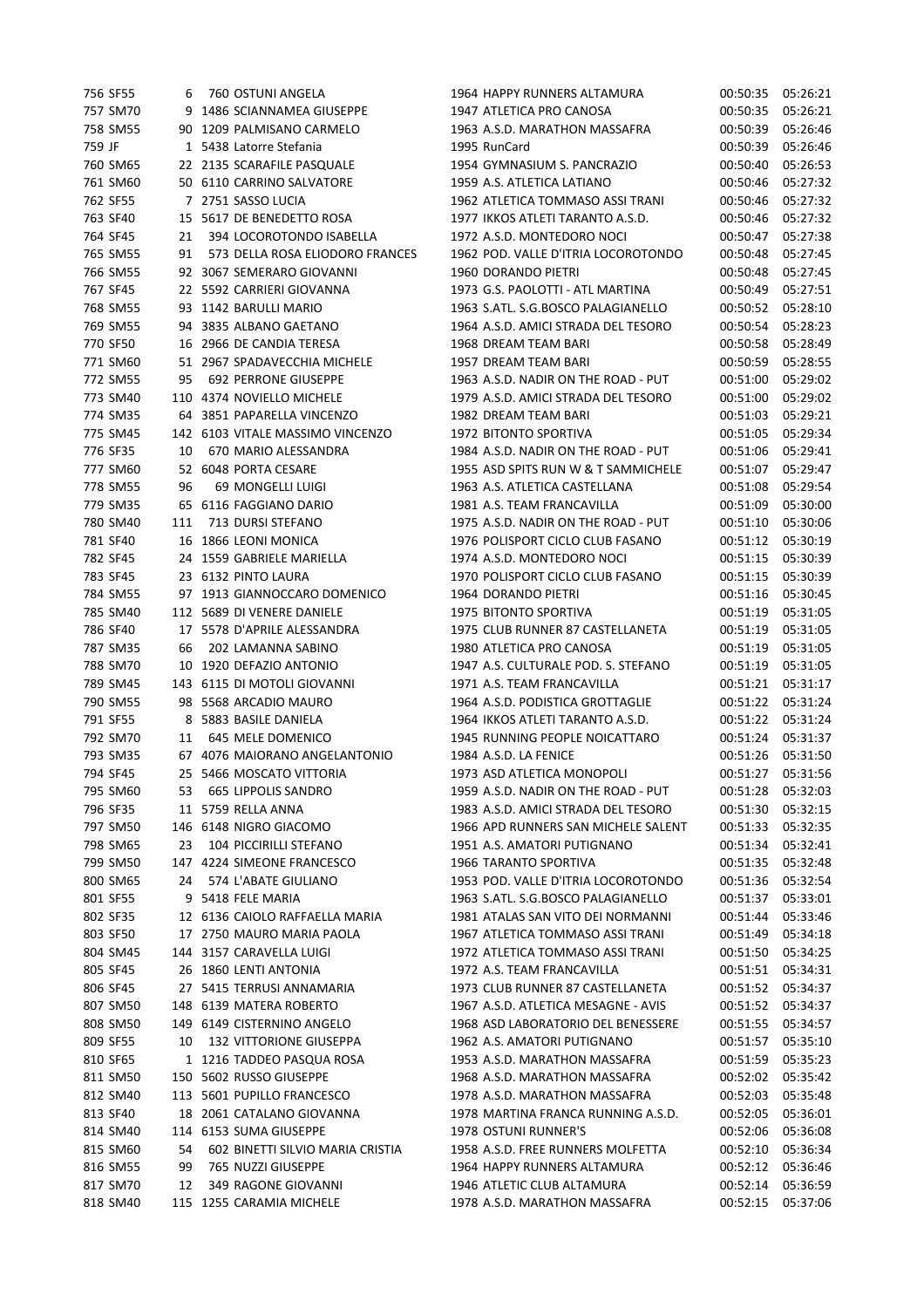|        | 756 SF55 | 6   | 760 OSTUNI ANGELA                | 1964 HAPPY RUNNERS ALTAMURA         | 00:50:35 05:26:21 |          |
|--------|----------|-----|----------------------------------|-------------------------------------|-------------------|----------|
|        | 757 SM70 |     | 9 1486 SCIANNAMEA GIUSEPPE       | 1947 ATLETICA PRO CANOSA            | 00:50:35          | 05:26:21 |
|        | 758 SM55 |     | 90 1209 PALMISANO CARMELO        | 1963 A.S.D. MARATHON MASSAFRA       | 00:50:39          | 05:26:46 |
| 759 JF |          |     | 1 5438 Latorre Stefania          | 1995 RunCard                        | 00:50:39          | 05:26:46 |
|        | 760 SM65 |     | 22 2135 SCARAFILE PASQUALE       | 1954 GYMNASIUM S. PANCRAZIO         | 00:50:40          | 05:26:53 |
|        | 761 SM60 |     | 50 6110 CARRINO SALVATORE        | 1959 A.S. ATLETICA LATIANO          | 00:50:46          | 05:27:32 |
|        | 762 SF55 |     | 7 2751 SASSO LUCIA               | 1962 ATLETICA TOMMASO ASSI TRANI    | 00:50:46          | 05:27:32 |
|        | 763 SF40 |     | 15 5617 DE BENEDETTO ROSA        | 1977 IKKOS ATLETI TARANTO A.S.D.    | 00:50:46          | 05:27:32 |
|        | 764 SF45 | 21  | 394 LOCOROTONDO ISABELLA         | 1972 A.S.D. MONTEDORO NOCI          | 00:50:47          | 05:27:38 |
|        | 765 SM55 | 91  | 573 DELLA ROSA ELIODORO FRANCES  | 1962 POD. VALLE D'ITRIA LOCOROTONDO |                   | 05:27:45 |
|        |          |     |                                  |                                     | 00:50:48          |          |
|        | 766 SM55 |     | 92 3067 SEMERARO GIOVANNI        | 1960 DORANDO PIETRI                 | 00:50:48          | 05:27:45 |
|        | 767 SF45 |     | 22 5592 CARRIERI GIOVANNA        | 1973 G.S. PAOLOTTI - ATL MARTINA    | 00:50:49          | 05:27:51 |
|        | 768 SM55 |     | 93 1142 BARULLI MARIO            | 1963 S.ATL. S.G.BOSCO PALAGIANELLO  | 00:50:52          | 05:28:10 |
|        | 769 SM55 |     | 94 3835 ALBANO GAETANO           | 1964 A.S.D. AMICI STRADA DEL TESORO | 00:50:54          | 05:28:23 |
|        | 770 SF50 |     | 16 2966 DE CANDIA TERESA         | 1968 DREAM TEAM BARI                | 00:50:58          | 05:28:49 |
|        | 771 SM60 |     | 51 2967 SPADAVECCHIA MICHELE     | 1957 DREAM TEAM BARI                | 00:50:59          | 05:28:55 |
|        | 772 SM55 | 95  | <b>692 PERRONE GIUSEPPE</b>      | 1963 A.S.D. NADIR ON THE ROAD - PUT | 00:51:00          | 05:29:02 |
|        | 773 SM40 |     | 110 4374 NOVIELLO MICHELE        | 1979 A.S.D. AMICI STRADA DEL TESORO | 00:51:00          | 05:29:02 |
|        | 774 SM35 |     | 64 3851 PAPARELLA VINCENZO       | 1982 DREAM TEAM BARI                | 00:51:03          | 05:29:21 |
|        | 775 SM45 |     | 142 6103 VITALE MASSIMO VINCENZO | 1972 BITONTO SPORTIVA               | 00:51:05          | 05:29:34 |
|        | 776 SF35 | 10  | 670 MARIO ALESSANDRA             | 1984 A.S.D. NADIR ON THE ROAD - PUT | 00:51:06          | 05:29:41 |
|        | 777 SM60 |     | 52 6048 PORTA CESARE             | 1955 ASD SPITS RUN W & T SAMMICHELE | 00:51:07          | 05:29:47 |
|        | 778 SM55 | 96  | 69 MONGELLI LUIGI                | 1963 A.S. ATLETICA CASTELLANA       | 00:51:08          | 05:29:54 |
|        | 779 SM35 |     | 65 6116 FAGGIANO DARIO           | 1981 A.S. TEAM FRANCAVILLA          | 00:51:09          | 05:30:00 |
|        | 780 SM40 | 111 | 713 DURSI STEFANO                | 1975 A.S.D. NADIR ON THE ROAD - PUT | 00:51:10          | 05:30:06 |
|        | 781 SF40 |     | 16 1866 LEONI MONICA             | 1976 POLISPORT CICLO CLUB FASANO    |                   |          |
|        |          |     |                                  |                                     | 00:51:12          | 05:30:19 |
|        | 782 SF45 |     | 24 1559 GABRIELE MARIELLA        | 1974 A.S.D. MONTEDORO NOCI          | 00:51:15          | 05:30:39 |
|        | 783 SF45 |     | 23 6132 PINTO LAURA              | 1970 POLISPORT CICLO CLUB FASANO    | 00:51:15          | 05:30:39 |
|        | 784 SM55 |     | 97 1913 GIANNOCCARO DOMENICO     | 1964 DORANDO PIETRI                 | 00:51:16          | 05:30:45 |
|        | 785 SM40 |     | 112 5689 DI VENERE DANIELE       | 1975 BITONTO SPORTIVA               | 00:51:19          | 05:31:05 |
|        | 786 SF40 |     | 17 5578 D'APRILE ALESSANDRA      | 1975 CLUB RUNNER 87 CASTELLANETA    | 00:51:19          | 05:31:05 |
|        | 787 SM35 | 66  | 202 LAMANNA SABINO               | 1980 ATLETICA PRO CANOSA            | 00:51:19          | 05:31:05 |
|        | 788 SM70 |     | 10 1920 DEFAZIO ANTONIO          | 1947 A.S. CULTURALE POD. S. STEFANO | 00:51:19          | 05:31:05 |
|        | 789 SM45 |     | 143 6115 DI MOTOLI GIOVANNI      | 1971 A.S. TEAM FRANCAVILLA          | 00:51:21          | 05:31:17 |
|        | 790 SM55 |     | 98 5568 ARCADIO MAURO            | 1964 A.S.D. PODISTICA GROTTAGLIE    | 00:51:22          | 05:31:24 |
|        | 791 SF55 |     | 8 5883 BASILE DANIELA            | 1964 IKKOS ATLETI TARANTO A.S.D.    | 00:51:22          | 05:31:24 |
|        | 792 SM70 | 11  | 645 MELE DOMENICO                | 1945 RUNNING PEOPLE NOICATTARO      | 00:51:24          | 05:31:37 |
|        | 793 SM35 |     | 67 4076 MAIORANO ANGELANTONIO    | 1984 A.S.D. LA FENICE               | 00:51:26          | 05:31:50 |
|        | 794 SF45 |     | 25 5466 MOSCATO VITTORIA         | 1973 ASD ATLETICA MONOPOLI          | 00:51:27          | 05:31:56 |
|        | 795 SM60 | 53  | <b>665 LIPPOLIS SANDRO</b>       | 1959 A.S.D. NADIR ON THE ROAD - PUT | 00:51:28          | 05:32:03 |
|        | 796 SF35 |     | 11 5759 RELLA ANNA               | 1983 A.S.D. AMICI STRADA DEL TESORO | 00:51:30          | 05:32:15 |
|        | 797 SM50 |     | 146 6148 NIGRO GIACOMO           | 1966 APD RUNNERS SAN MICHELE SALENT | 00:51:33          | 05:32:35 |
|        | 798 SM65 | 23  | 104 PICCIRILLI STEFANO           | 1951 A.S. AMATORI PUTIGNANO         | 00:51:34          | 05:32:41 |
|        | 799 SM50 |     | 147 4224 SIMEONE FRANCESCO       | 1966 TARANTO SPORTIVA               | 00:51:35          | 05:32:48 |
|        |          |     |                                  |                                     |                   |          |
|        | 800 SM65 | 24  | 574 L'ABATE GIULIANO             | 1953 POD. VALLE D'ITRIA LOCOROTONDO | 00:51:36          | 05:32:54 |
|        | 801 SF55 |     | 9 5418 FELE MARIA                | 1963 S.ATL. S.G.BOSCO PALAGIANELLO  | 00:51:37          | 05:33:01 |
|        | 802 SF35 |     | 12 6136 CAIOLO RAFFAELLA MARIA   | 1981 ATALAS SAN VITO DEI NORMANNI   | 00:51:44          | 05:33:46 |
|        | 803 SF50 |     | 17 2750 MAURO MARIA PAOLA        | 1967 ATLETICA TOMMASO ASSI TRANI    | 00:51:49          | 05:34:18 |
|        | 804 SM45 |     | 144 3157 CARAVELLA LUIGI         | 1972 ATLETICA TOMMASO ASSI TRANI    | 00:51:50          | 05:34:25 |
|        | 805 SF45 |     | 26 1860 LENTI ANTONIA            | 1972 A.S. TEAM FRANCAVILLA          | 00:51:51          | 05:34:31 |
|        | 806 SF45 |     | 27 5415 TERRUSI ANNAMARIA        | 1973 CLUB RUNNER 87 CASTELLANETA    | 00:51:52          | 05:34:37 |
|        | 807 SM50 |     | 148 6139 MATERA ROBERTO          | 1967 A.S.D. ATLETICA MESAGNE - AVIS | 00:51:52          | 05:34:37 |
|        | 808 SM50 |     | 149 6149 CISTERNINO ANGELO       | 1968 ASD LABORATORIO DEL BENESSERE  | 00:51:55          | 05:34:57 |
|        | 809 SF55 | 10  | 132 VITTORIONE GIUSEPPA          | 1962 A.S. AMATORI PUTIGNANO         | 00:51:57          | 05:35:10 |
|        | 810 SF65 |     | 1 1216 TADDEO PASQUA ROSA        | 1953 A.S.D. MARATHON MASSAFRA       | 00:51:59          | 05:35:23 |
|        | 811 SM50 |     | 150 5602 RUSSO GIUSEPPE          | 1968 A.S.D. MARATHON MASSAFRA       | 00:52:02          | 05:35:42 |
|        | 812 SM40 |     | 113 5601 PUPILLO FRANCESCO       | 1978 A.S.D. MARATHON MASSAFRA       | 00:52:03          | 05:35:48 |
|        | 813 SF40 |     | 18 2061 CATALANO GIOVANNA        | 1978 MARTINA FRANCA RUNNING A.S.D.  | 00:52:05          | 05:36:01 |
|        | 814 SM40 |     | 114 6153 SUMA GIUSEPPE           | 1978 OSTUNI RUNNER'S                | 00:52:06          | 05:36:08 |
|        | 815 SM60 | 54  | 602 BINETTI SILVIO MARIA CRISTIA | 1958 A.S.D. FREE RUNNERS MOLFETTA   | 00:52:10          | 05:36:34 |
|        | 816 SM55 | 99  | 765 NUZZI GIUSEPPE               | 1964 HAPPY RUNNERS ALTAMURA         | 00:52:12          | 05:36:46 |
|        | 817 SM70 | 12  | 349 RAGONE GIOVANNI              | 1946 ATLETIC CLUB ALTAMURA          | 00:52:14          | 05:36:59 |
|        | 818 SM40 |     | 115 1255 CARAMIA MICHELE         | 1978 A.S.D. MARATHON MASSAFRA       | 00:52:15          | 05:37:06 |
|        |          |     |                                  |                                     |                   |          |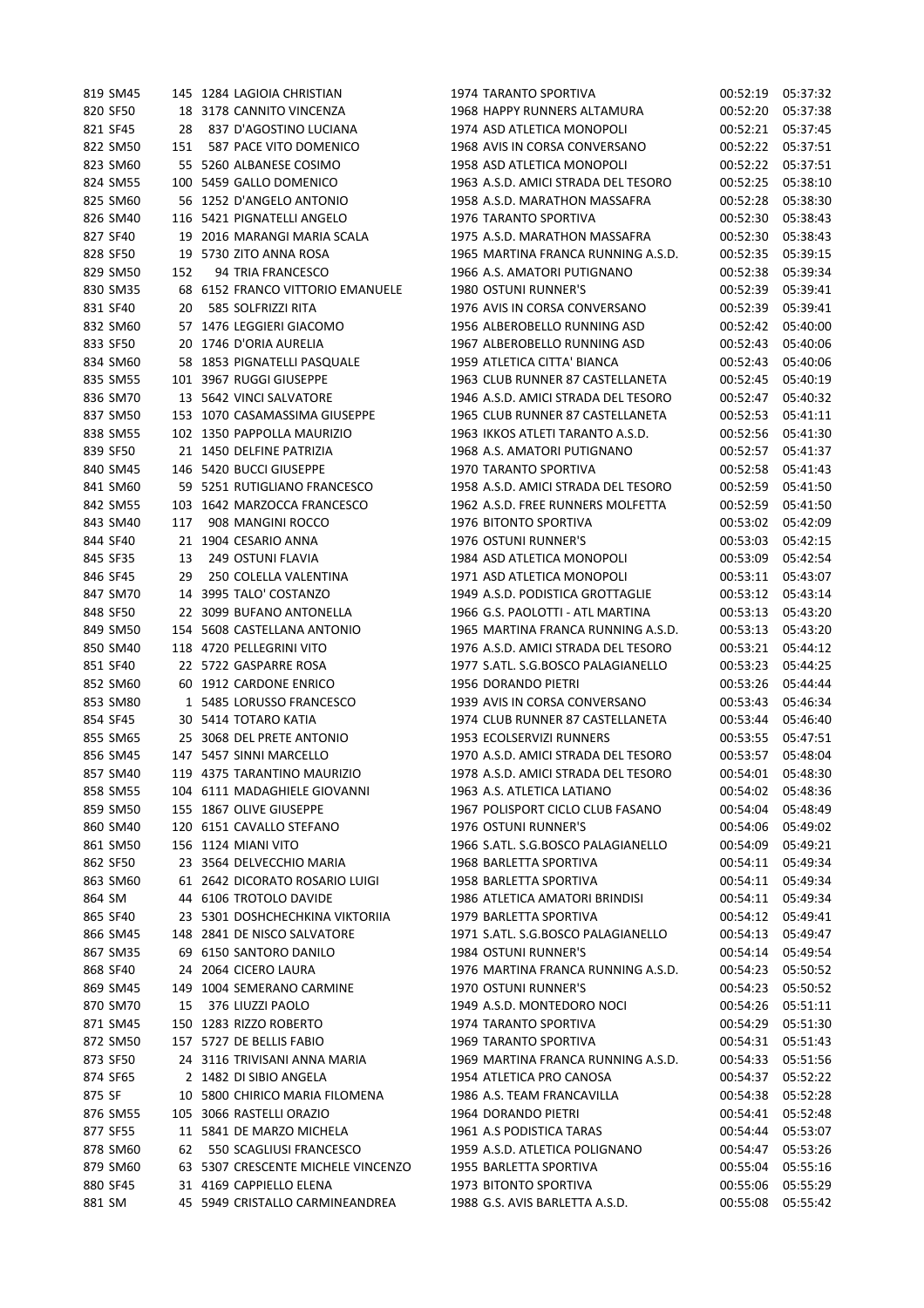| 819 SM45             |     | 145 1284 LAGIOIA CHRISTIAN                                    | 1974 TARANTO SPORTIVA               | 00:52:19             | 05:37:32             |
|----------------------|-----|---------------------------------------------------------------|-------------------------------------|----------------------|----------------------|
| 820 SF50             |     | 18 3178 CANNITO VINCENZA                                      | 1968 HAPPY RUNNERS ALTAMURA         | 00:52:20             | 05:37:38             |
| 821 SF45             | 28  | 837 D'AGOSTINO LUCIANA                                        | 1974 ASD ATLETICA MONOPOLI          | 00:52:21             | 05:37:45             |
| 822 SM50             | 151 | 587 PACE VITO DOMENICO                                        | 1968 AVIS IN CORSA CONVERSANO       | 00:52:22             | 05:37:51             |
| 823 SM60             |     | 55 5260 ALBANESE COSIMO                                       | 1958 ASD ATLETICA MONOPOLI          | 00:52:22             | 05:37:51             |
| 824 SM55             |     | 100 5459 GALLO DOMENICO                                       | 1963 A.S.D. AMICI STRADA DEL TESORO | 00:52:25             | 05:38:10             |
| 825 SM60             |     | 56 1252 D'ANGELO ANTONIO                                      | 1958 A.S.D. MARATHON MASSAFRA       | 00:52:28             | 05:38:30             |
| 826 SM40             |     | 116 5421 PIGNATELLI ANGELO                                    | 1976 TARANTO SPORTIVA               | 00:52:30             | 05:38:43             |
| 827 SF40             |     | 19 2016 MARANGI MARIA SCALA                                   | 1975 A.S.D. MARATHON MASSAFRA       | 00:52:30             | 05:38:43             |
| 828 SF50             |     | 19 5730 ZITO ANNA ROSA                                        | 1965 MARTINA FRANCA RUNNING A.S.D.  | 00:52:35             | 05:39:15             |
| 829 SM50             | 152 | 94 TRIA FRANCESCO                                             | 1966 A.S. AMATORI PUTIGNANO         | 00:52:38             | 05:39:34             |
| 830 SM35             |     | 68 6152 FRANCO VITTORIO EMANUELE                              | <b>1980 OSTUNI RUNNER'S</b>         | 00:52:39             | 05:39:41             |
| 831 SF40             | 20  | 585 SOLFRIZZI RITA                                            | 1976 AVIS IN CORSA CONVERSANO       | 00:52:39             | 05:39:41             |
| 832 SM60             |     | 57 1476 LEGGIERI GIACOMO                                      | 1956 ALBEROBELLO RUNNING ASD        | 00:52:42             | 05:40:00             |
| 833 SF50             |     | 20 1746 D'ORIA AURELIA                                        | 1967 ALBEROBELLO RUNNING ASD        | 00:52:43             | 05:40:06             |
| 834 SM60             |     | 58 1853 PIGNATELLI PASQUALE                                   | 1959 ATLETICA CITTA' BIANCA         | 00:52:43             | 05:40:06             |
| 835 SM55             |     | 101 3967 RUGGI GIUSEPPE                                       | 1963 CLUB RUNNER 87 CASTELLANETA    |                      | 05:40:19             |
|                      |     |                                                               |                                     | 00:52:45             |                      |
| 836 SM70             |     | 13 5642 VINCI SALVATORE                                       | 1946 A.S.D. AMICI STRADA DEL TESORO | 00:52:47             | 05:40:32             |
| 837 SM50             |     | 153 1070 CASAMASSIMA GIUSEPPE                                 | 1965 CLUB RUNNER 87 CASTELLANETA    | 00:52:53             | 05:41:11             |
| 838 SM55             |     | 102 1350 PAPPOLLA MAURIZIO                                    | 1963 IKKOS ATLETI TARANTO A.S.D.    | 00:52:56             | 05:41:30             |
| 839 SF50             |     | 21 1450 DELFINE PATRIZIA                                      | 1968 A.S. AMATORI PUTIGNANO         | 00:52:57             | 05:41:37             |
| 840 SM45             |     | 146 5420 BUCCI GIUSEPPE                                       | 1970 TARANTO SPORTIVA               | 00:52:58             | 05:41:43             |
| 841 SM60             |     | 59 5251 RUTIGLIANO FRANCESCO                                  | 1958 A.S.D. AMICI STRADA DEL TESORO | 00:52:59             | 05:41:50             |
| 842 SM55             |     | 103 1642 MARZOCCA FRANCESCO                                   | 1962 A.S.D. FREE RUNNERS MOLFETTA   | 00:52:59             | 05:41:50             |
| 843 SM40             | 117 | 908 MANGINI ROCCO                                             | 1976 BITONTO SPORTIVA               | 00:53:02             | 05:42:09             |
| 844 SF40             | 21  | 1904 CESARIO ANNA                                             | 1976 OSTUNI RUNNER'S                | 00:53:03             | 05:42:15             |
| 845 SF35             | 13  | 249 OSTUNI FLAVIA                                             | 1984 ASD ATLETICA MONOPOLI          | 00:53:09             | 05:42:54             |
| 846 SF45             | 29  | 250 COLELLA VALENTINA                                         | 1971 ASD ATLETICA MONOPOLI          | 00:53:11             | 05:43:07             |
| 847 SM70             |     | 14 3995 TALO' COSTANZO                                        | 1949 A.S.D. PODISTICA GROTTAGLIE    | 00:53:12             | 05:43:14             |
| 848 SF50             |     | 22 3099 BUFANO ANTONELLA                                      | 1966 G.S. PAOLOTTI - ATL MARTINA    | 00:53:13             | 05:43:20             |
| 849 SM50             |     | 154 5608 CASTELLANA ANTONIO                                   | 1965 MARTINA FRANCA RUNNING A.S.D.  | 00:53:13             | 05:43:20             |
| 850 SM40             |     | 118 4720 PELLEGRINI VITO                                      | 1976 A.S.D. AMICI STRADA DEL TESORO | 00:53:21             | 05:44:12             |
| 851 SF40             |     | 22 5722 GASPARRE ROSA                                         | 1977 S.ATL. S.G.BOSCO PALAGIANELLO  | 00:53:23             | 05:44:25             |
| 852 SM60             |     | 60 1912 CARDONE ENRICO                                        | 1956 DORANDO PIETRI                 | 00:53:26             | 05:44:44             |
| 853 SM80             |     | 1 5485 LORUSSO FRANCESCO                                      | 1939 AVIS IN CORSA CONVERSANO       | 00:53:43             | 05:46:34             |
| 854 SF45             |     | 30 5414 TOTARO KATIA                                          | 1974 CLUB RUNNER 87 CASTELLANETA    | 00:53:44             | 05:46:40             |
| 855 SM65             |     | 25 3068 DEL PRETE ANTONIO                                     | 1953 ECOLSERVIZI RUNNERS            | 00:53:55             | 05:47:51             |
| 856 SM45             |     | 147 5457 SINNI MARCELLO                                       | 1970 A.S.D. AMICI STRADA DEL TESORO | 00:53:57             | 05:48:04             |
| 857 SM40             |     | 119 4375 TARANTINO MAURIZIO                                   | 1978 A.S.D. AMICI STRADA DEL TESORO | 00:54:01             | 05:48:30             |
| 858 SM55             |     | 104 6111 MADAGHIELE GIOVANNI                                  | 1963 A.S. ATLETICA LATIANO          | 00:54:02             | 05:48:36             |
| 859 SM50             |     | 155 1867 OLIVE GIUSEPPE                                       | 1967 POLISPORT CICLO CLUB FASANO    | 00:54:04             | 05:48:49             |
| 860 SM40             |     | 120 6151 CAVALLO STEFANO                                      | 1976 OSTUNI RUNNER'S                | 00:54:06             | 05:49:02             |
| 861 SM50             |     | 156 1124 MIANI VITO                                           | 1966 S.ATL. S.G.BOSCO PALAGIANELLO  | 00:54:09             | 05:49:21             |
| 862 SF50             |     | 23 3564 DELVECCHIO MARIA                                      | 1968 BARLETTA SPORTIVA              | 00:54:11             | 05:49:34             |
| 863 SM60             |     | 61 2642 DICORATO ROSARIO LUIGI                                | 1958 BARLETTA SPORTIVA              | 00:54:11             | 05:49:34             |
| 864 SM               |     | 44 6106 TROTOLO DAVIDE                                        | 1986 ATLETICA AMATORI BRINDISI      | 00:54:11             | 05:49:34             |
| 865 SF40             |     | 23 5301 DOSHCHECHKINA VIKTORIIA                               | 1979 BARLETTA SPORTIVA              | 00:54:12             | 05:49:41             |
| 866 SM45             |     | 148 2841 DE NISCO SALVATORE                                   | 1971 S.ATL. S.G.BOSCO PALAGIANELLO  | 00:54:13             | 05:49:47             |
| 867 SM35             |     | 69 6150 SANTORO DANILO                                        | 1984 OSTUNI RUNNER'S                | 00:54:14             | 05:49:54             |
| 868 SF40             |     | 24 2064 CICERO LAURA                                          | 1976 MARTINA FRANCA RUNNING A.S.D.  | 00:54:23             | 05:50:52             |
| 869 SM45             |     | 149 1004 SEMERANO CARMINE                                     | 1970 OSTUNI RUNNER'S                | 00:54:23             | 05:50:52             |
| 870 SM70             | 15  | 376 LIUZZI PAOLO                                              | 1949 A.S.D. MONTEDORO NOCI          | 00:54:26             | 05:51:11             |
| 871 SM45             |     | 150 1283 RIZZO ROBERTO                                        | 1974 TARANTO SPORTIVA               | 00:54:29             | 05:51:30             |
| 872 SM50             |     | 157 5727 DE BELLIS FABIO                                      | 1969 TARANTO SPORTIVA               | 00:54:31             | 05:51:43             |
| 873 SF50             |     | 24 3116 TRIVISANI ANNA MARIA                                  | 1969 MARTINA FRANCA RUNNING A.S.D.  | 00:54:33             | 05:51:56             |
| 874 SF65             |     | 2 1482 DI SIBIO ANGELA                                        | 1954 ATLETICA PRO CANOSA            | 00:54:37             | 05:52:22             |
| 875 SF               |     | 10 5800 CHIRICO MARIA FILOMENA                                | 1986 A.S. TEAM FRANCAVILLA          | 00:54:38             | 05:52:28             |
| 876 SM55             |     | 105 3066 RASTELLI ORAZIO                                      | 1964 DORANDO PIETRI                 |                      |                      |
| 877 SF55             |     | 11 5841 DE MARZO MICHELA                                      | 1961 A.S PODISTICA TARAS            | 00:54:41<br>00:54:44 | 05:52:48<br>05:53:07 |
|                      |     |                                                               |                                     |                      |                      |
| 878 SM60<br>879 SM60 | 62  | 550 SCAGLIUSI FRANCESCO<br>63 5307 CRESCENTE MICHELE VINCENZO | 1959 A.S.D. ATLETICA POLIGNANO      | 00:54:47             | 05:53:26             |
|                      |     |                                                               | 1955 BARLETTA SPORTIVA              | 00:55:04             | 05:55:16             |
| 880 SF45             |     | 31 4169 CAPPIELLO ELENA                                       | 1973 BITONTO SPORTIVA               | 00:55:06             | 05:55:29             |
| 881 SM               |     | 45 5949 CRISTALLO CARMINEANDREA                               | 1988 G.S. AVIS BARLETTA A.S.D.      | 00:55:08             | 05:55:42             |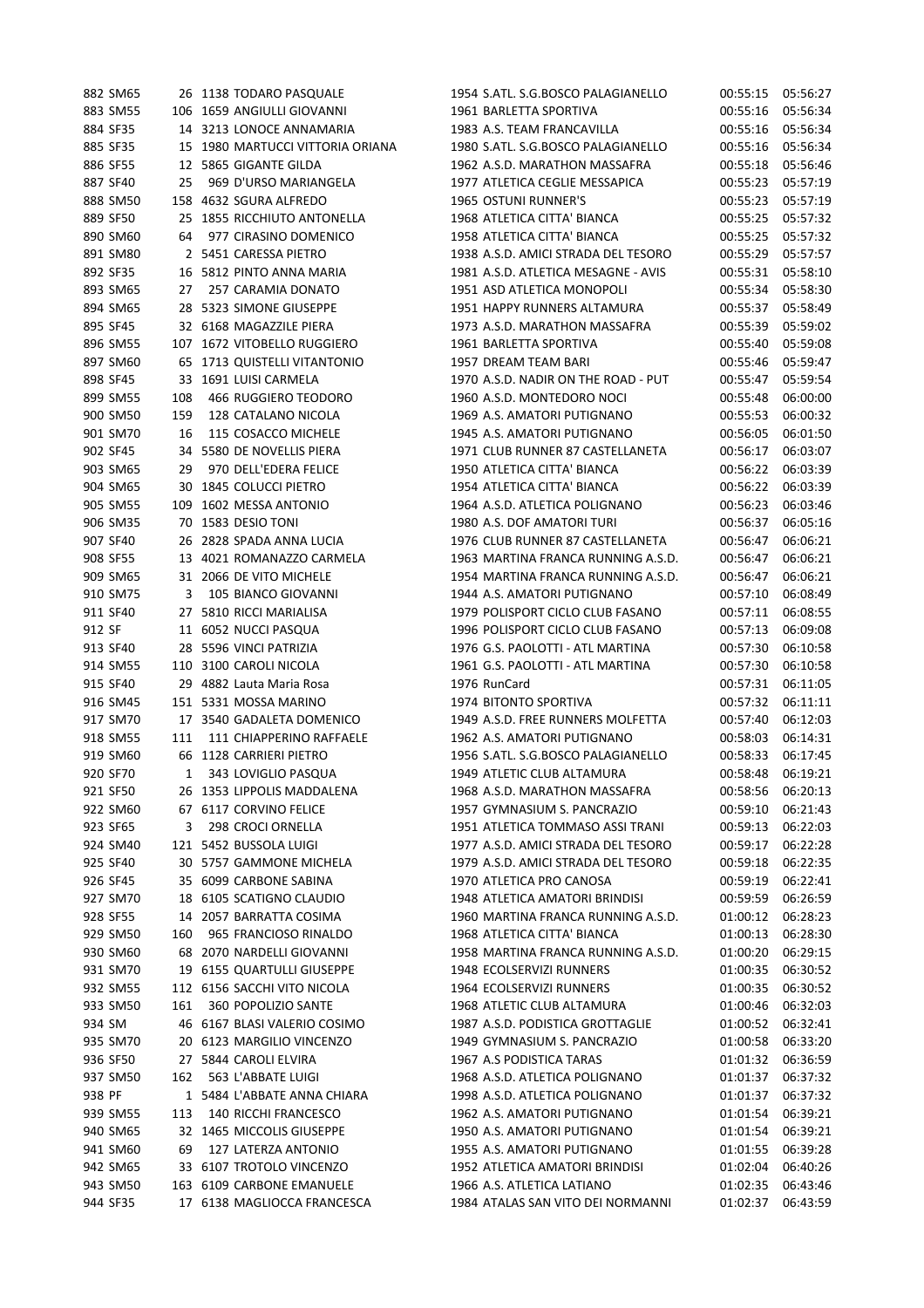|        | 882 SM65 |              | 26 1138 TODARO PASQUALE          | 1954 S.ATL. S.G.BOSCO PALAGIANELLO  | 00:55:15 | 05:56:27 |
|--------|----------|--------------|----------------------------------|-------------------------------------|----------|----------|
|        | 883 SM55 |              | 106 1659 ANGIULLI GIOVANNI       | 1961 BARLETTA SPORTIVA              | 00:55:16 | 05:56:34 |
|        | 884 SF35 |              | 14 3213 LONOCE ANNAMARIA         | 1983 A.S. TEAM FRANCAVILLA          | 00:55:16 | 05:56:34 |
|        | 885 SF35 |              | 15 1980 MARTUCCI VITTORIA ORIANA | 1980 S.ATL. S.G.BOSCO PALAGIANELLO  | 00:55:16 | 05:56:34 |
|        | 886 SF55 |              | 12 5865 GIGANTE GILDA            | 1962 A.S.D. MARATHON MASSAFRA       | 00:55:18 | 05:56:46 |
|        | 887 SF40 | 25           | 969 D'URSO MARIANGELA            | 1977 ATLETICA CEGLIE MESSAPICA      | 00:55:23 | 05:57:19 |
|        | 888 SM50 |              | 158 4632 SGURA ALFREDO           | 1965 OSTUNI RUNNER'S                | 00:55:23 | 05:57:19 |
|        | 889 SF50 |              | 25 1855 RICCHIUTO ANTONELLA      | 1968 ATLETICA CITTA' BIANCA         | 00:55:25 | 05:57:32 |
|        | 890 SM60 | 64           | 977 CIRASINO DOMENICO            | 1958 ATLETICA CITTA' BIANCA         | 00:55:25 | 05:57:32 |
|        | 891 SM80 |              | 2 5451 CARESSA PIETRO            | 1938 A.S.D. AMICI STRADA DEL TESORO | 00:55:29 | 05:57:57 |
|        | 892 SF35 |              | 16 5812 PINTO ANNA MARIA         | 1981 A.S.D. ATLETICA MESAGNE - AVIS | 00:55:31 | 05:58:10 |
|        | 893 SM65 | 27           | 257 CARAMIA DONATO               | 1951 ASD ATLETICA MONOPOLI          | 00:55:34 | 05:58:30 |
|        | 894 SM65 |              | 28 5323 SIMONE GIUSEPPE          | 1951 HAPPY RUNNERS ALTAMURA         | 00:55:37 | 05:58:49 |
|        |          |              |                                  |                                     |          |          |
|        | 895 SF45 |              | 32 6168 MAGAZZILE PIERA          | 1973 A.S.D. MARATHON MASSAFRA       | 00:55:39 | 05:59:02 |
|        | 896 SM55 |              | 107 1672 VITOBELLO RUGGIERO      | 1961 BARLETTA SPORTIVA              | 00:55:40 | 05:59:08 |
|        | 897 SM60 |              | 65 1713 QUISTELLI VITANTONIO     | 1957 DREAM TEAM BARI                | 00:55:46 | 05:59:47 |
|        | 898 SF45 |              | 33 1691 LUISI CARMELA            | 1970 A.S.D. NADIR ON THE ROAD - PUT | 00:55:47 | 05:59:54 |
|        | 899 SM55 | 108          | 466 RUGGIERO TEODORO             | 1960 A.S.D. MONTEDORO NOCI          | 00:55:48 | 06:00:00 |
|        | 900 SM50 | 159          | 128 CATALANO NICOLA              | 1969 A.S. AMATORI PUTIGNANO         | 00:55:53 | 06:00:32 |
|        | 901 SM70 | 16           | 115 COSACCO MICHELE              | 1945 A.S. AMATORI PUTIGNANO         | 00:56:05 | 06:01:50 |
|        | 902 SF45 |              | 34 5580 DE NOVELLIS PIERA        | 1971 CLUB RUNNER 87 CASTELLANETA    | 00:56:17 | 06:03:07 |
|        | 903 SM65 | 29           | 970 DELL'EDERA FELICE            | 1950 ATLETICA CITTA' BIANCA         | 00:56:22 | 06:03:39 |
|        | 904 SM65 |              | 30 1845 COLUCCI PIETRO           | 1954 ATLETICA CITTA' BIANCA         | 00:56:22 | 06:03:39 |
|        | 905 SM55 |              | 109 1602 MESSA ANTONIO           | 1964 A.S.D. ATLETICA POLIGNANO      | 00:56:23 | 06:03:46 |
|        | 906 SM35 |              | 70 1583 DESIO TONI               | 1980 A.S. DOF AMATORI TURI          | 00:56:37 | 06:05:16 |
|        | 907 SF40 |              | 26 2828 SPADA ANNA LUCIA         | 1976 CLUB RUNNER 87 CASTELLANETA    | 00:56:47 | 06:06:21 |
|        | 908 SF55 |              | 13 4021 ROMANAZZO CARMELA        | 1963 MARTINA FRANCA RUNNING A.S.D.  | 00:56:47 | 06:06:21 |
|        | 909 SM65 |              | 31 2066 DE VITO MICHELE          | 1954 MARTINA FRANCA RUNNING A.S.D.  | 00:56:47 | 06:06:21 |
|        | 910 SM75 | 3            | 105 BIANCO GIOVANNI              | 1944 A.S. AMATORI PUTIGNANO         | 00:57:10 | 06:08:49 |
|        | 911 SF40 |              | 27 5810 RICCI MARIALISA          | 1979 POLISPORT CICLO CLUB FASANO    | 00:57:11 | 06:08:55 |
| 912 SF |          |              | 11 6052 NUCCI PASQUA             | 1996 POLISPORT CICLO CLUB FASANO    | 00:57:13 | 06:09:08 |
|        | 913 SF40 |              | 28 5596 VINCI PATRIZIA           | 1976 G.S. PAOLOTTI - ATL MARTINA    | 00:57:30 | 06:10:58 |
|        | 914 SM55 |              | 110 3100 CAROLI NICOLA           | 1961 G.S. PAOLOTTI - ATL MARTINA    | 00:57:30 | 06:10:58 |
|        | 915 SF40 |              | 29 4882 Lauta Maria Rosa         | 1976 RunCard                        | 00:57:31 | 06:11:05 |
|        | 916 SM45 |              | 151 5331 MOSSA MARINO            |                                     |          |          |
|        |          |              |                                  | 1974 BITONTO SPORTIVA               | 00:57:32 | 06:11:11 |
|        | 917 SM70 |              | 17 3540 GADALETA DOMENICO        | 1949 A.S.D. FREE RUNNERS MOLFETTA   | 00:57:40 | 06:12:03 |
|        | 918 SM55 | 111          | 111 CHIAPPERINO RAFFAELE         | 1962 A.S. AMATORI PUTIGNANO         | 00:58:03 | 06:14:31 |
|        | 919 SM60 |              | 66 1128 CARRIERI PIETRO          | 1956 S.ATL. S.G.BOSCO PALAGIANELLO  | 00:58:33 | 06:17:45 |
|        | 920 SF70 | $\mathbf{1}$ | 343 LOVIGLIO PASQUA              | 1949 ATLETIC CLUB ALTAMURA          | 00:58:48 | 06:19:21 |
|        | 921 SF50 |              | 26 1353 LIPPOLIS MADDALENA       | 1968 A.S.D. MARATHON MASSAFRA       | 00:58:56 | 06:20:13 |
|        | 922 SM60 |              | 67 6117 CORVINO FELICE           | 1957 GYMNASIUM S. PANCRAZIO         | 00:59:10 | 06:21:43 |
|        | 923 SF65 | 3            | 298 CROCI ORNELLA                | 1951 ATLETICA TOMMASO ASSI TRANI    | 00:59:13 | 06:22:03 |
|        | 924 SM40 |              | 121 5452 BUSSOLA LUIGI           | 1977 A.S.D. AMICI STRADA DEL TESORO | 00:59:17 | 06:22:28 |
|        | 925 SF40 |              | 30 5757 GAMMONE MICHELA          | 1979 A.S.D. AMICI STRADA DEL TESORO | 00:59:18 | 06:22:35 |
|        | 926 SF45 |              | 35 6099 CARBONE SABINA           | 1970 ATLETICA PRO CANOSA            | 00:59:19 | 06:22:41 |
|        | 927 SM70 | 18           | 6105 SCATIGNO CLAUDIO            | 1948 ATLETICA AMATORI BRINDISI      | 00:59:59 | 06:26:59 |
|        | 928 SF55 |              | 14 2057 BARRATTA COSIMA          | 1960 MARTINA FRANCA RUNNING A.S.D.  | 01:00:12 | 06:28:23 |
|        | 929 SM50 | 160          | 965 FRANCIOSO RINALDO            | 1968 ATLETICA CITTA' BIANCA         | 01:00:13 | 06:28:30 |
|        | 930 SM60 |              | 68 2070 NARDELLI GIOVANNI        | 1958 MARTINA FRANCA RUNNING A.S.D.  | 01:00:20 | 06:29:15 |
|        | 931 SM70 |              | 19 6155 QUARTULLI GIUSEPPE       | 1948 ECOLSERVIZI RUNNERS            | 01:00:35 | 06:30:52 |
|        | 932 SM55 |              | 112 6156 SACCHI VITO NICOLA      | 1964 ECOLSERVIZI RUNNERS            | 01:00:35 | 06:30:52 |
|        | 933 SM50 | 161          | 360 POPOLIZIO SANTE              | 1968 ATLETIC CLUB ALTAMURA          | 01:00:46 | 06:32:03 |
| 934 SM |          |              | 46 6167 BLASI VALERIO COSIMO     | 1987 A.S.D. PODISTICA GROTTAGLIE    | 01:00:52 | 06:32:41 |
|        | 935 SM70 |              | 20 6123 MARGILIO VINCENZO        | 1949 GYMNASIUM S. PANCRAZIO         | 01:00:58 | 06:33:20 |
|        | 936 SF50 |              | 27 5844 CAROLI ELVIRA            | 1967 A.S PODISTICA TARAS            | 01:01:32 | 06:36:59 |
|        | 937 SM50 | 162          | 563 L'ABBATE LUIGI               | 1968 A.S.D. ATLETICA POLIGNANO      | 01:01:37 | 06:37:32 |
| 938 PF |          |              | 1 5484 L'ABBATE ANNA CHIARA      | 1998 A.S.D. ATLETICA POLIGNANO      | 01:01:37 | 06:37:32 |
|        | 939 SM55 | 113          | 140 RICCHI FRANCESCO             | 1962 A.S. AMATORI PUTIGNANO         | 01:01:54 | 06:39:21 |
|        | 940 SM65 |              | 32 1465 MICCOLIS GIUSEPPE        | 1950 A.S. AMATORI PUTIGNANO         | 01:01:54 | 06:39:21 |
|        | 941 SM60 | 69           | 127 LATERZA ANTONIO              | 1955 A.S. AMATORI PUTIGNANO         | 01:01:55 | 06:39:28 |
|        | 942 SM65 |              | 33 6107 TROTOLO VINCENZO         | 1952 ATLETICA AMATORI BRINDISI      | 01:02:04 | 06:40:26 |
|        |          |              |                                  |                                     |          |          |
|        | 943 SM50 |              | 163 6109 CARBONE EMANUELE        | 1966 A.S. ATLETICA LATIANO          | 01:02:35 | 06:43:46 |
|        | 944 SF35 |              | 17 6138 MAGLIOCCA FRANCESCA      | 1984 ATALAS SAN VITO DEI NORMANNI   | 01:02:37 | 06:43:59 |